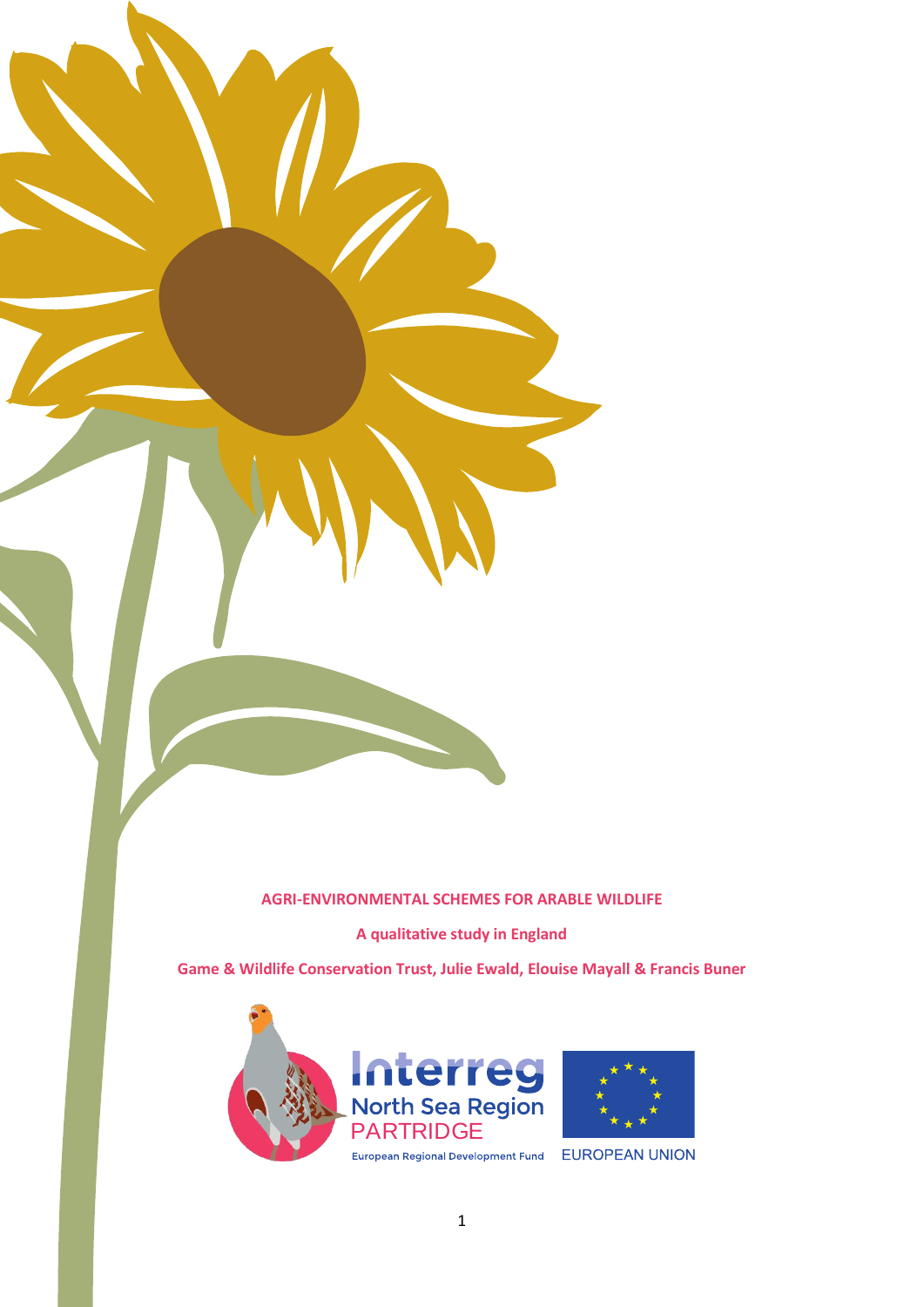#### **AGRI-ENVIRONMENTAL SCHEMES FOR ARABLE WILDLIFE**

**A qualitative study in England**

**Game & Wildlife Conservation Trust, Julie Ewald, Elouise Mayall & Francis Buner**



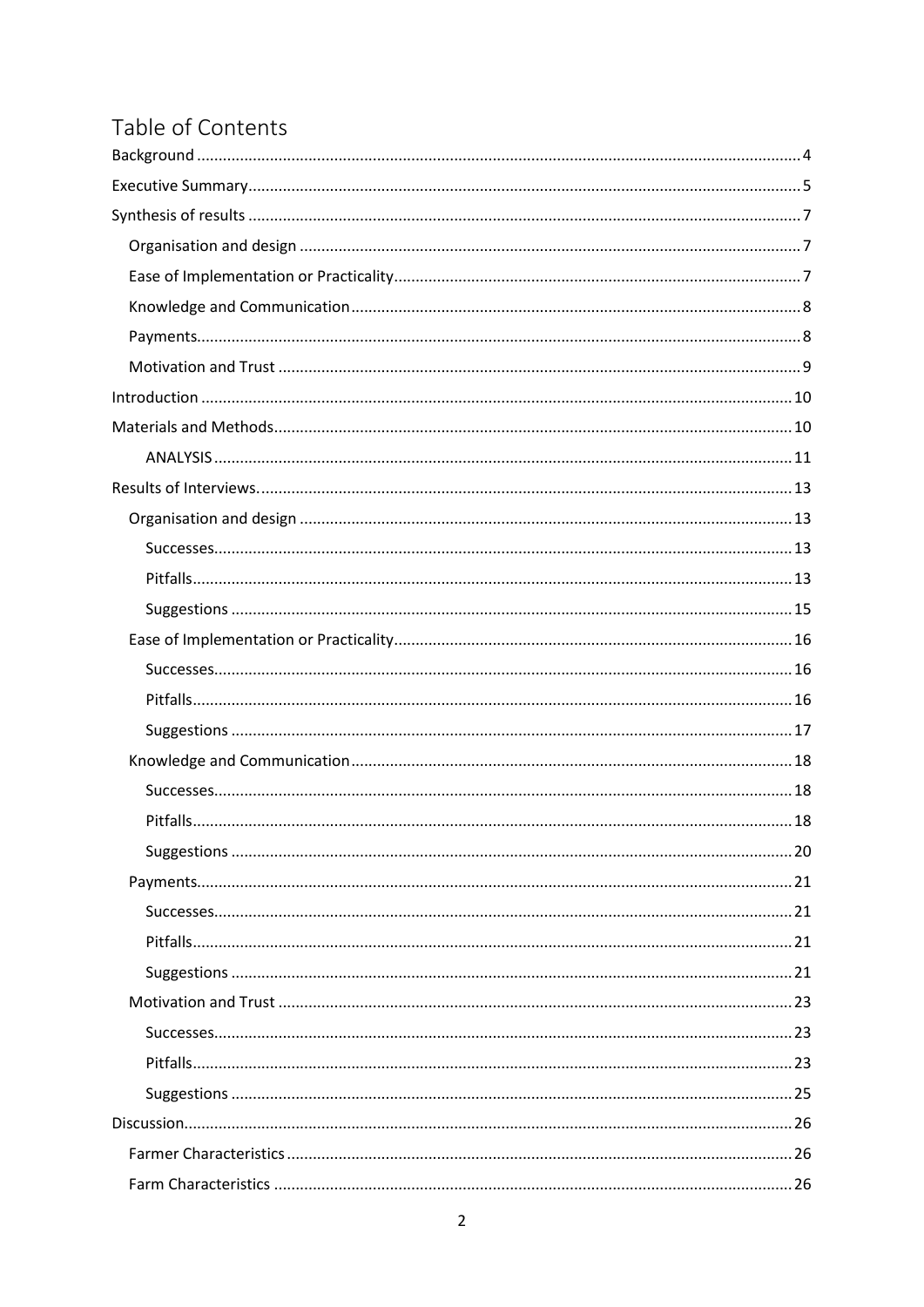# Table of Contents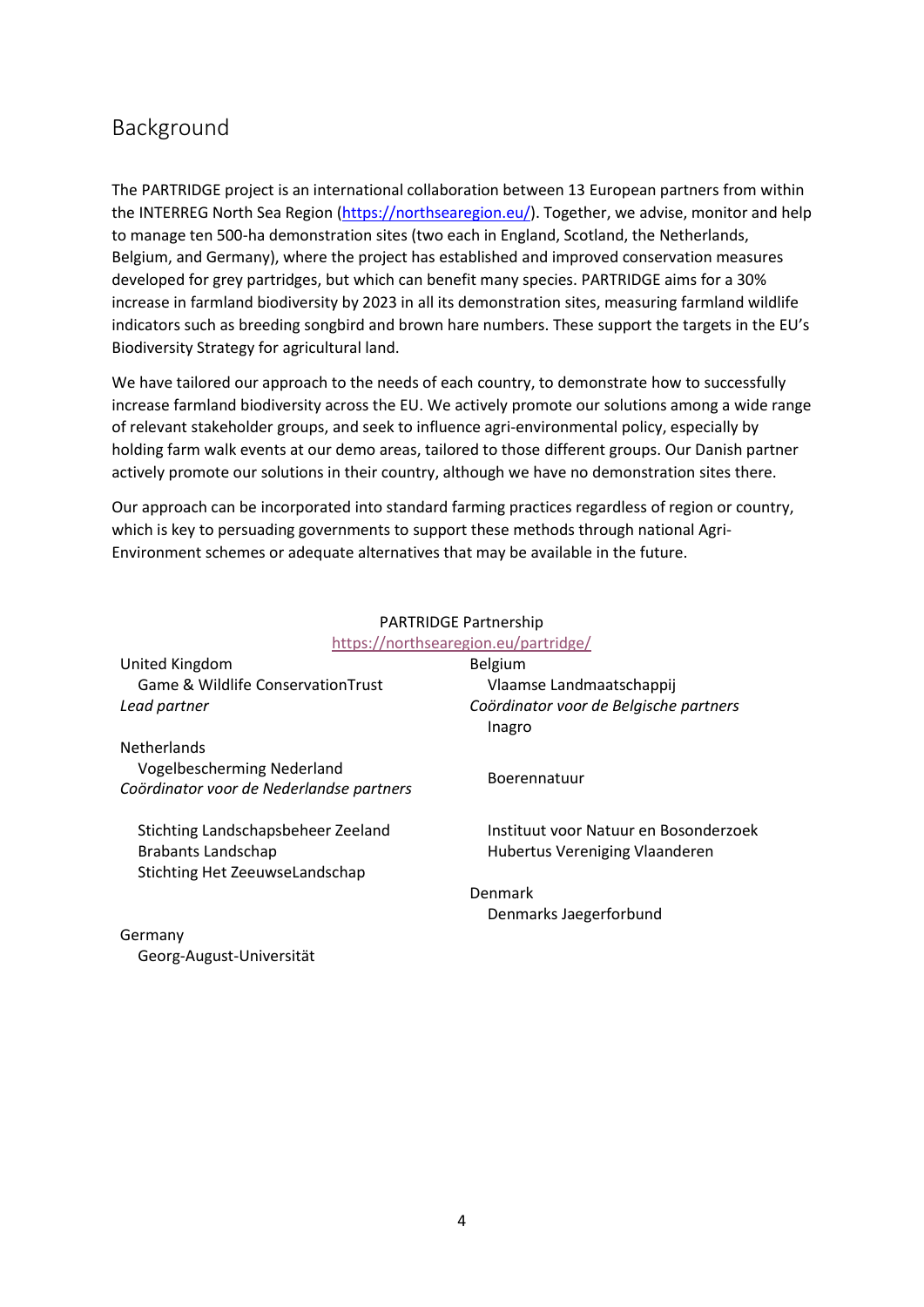## <span id="page-3-0"></span>Background

The PARTRIDGE project is an international collaboration between 13 European partners from within the INTERREG North Sea Region [\(https://northsearegion.eu/\)](https://northsearegion.eu/). Together, we advise, monitor and help to manage ten 500-ha demonstration sites (two each in England, Scotland, the Netherlands, Belgium, and Germany), where the project has established and improved conservation measures developed for grey partridges, but which can benefit many species. PARTRIDGE aims for a 30% increase in farmland biodiversity by 2023 in all its demonstration sites, measuring farmland wildlife indicators such as breeding songbird and brown hare numbers. These support the targets in the EU's Biodiversity Strategy for agricultural land.

We have tailored our approach to the needs of each country, to demonstrate how to successfully increase farmland biodiversity across the EU. We actively promote our solutions among a wide range of relevant stakeholder groups, and seek to influence agri-environmental policy, especially by holding farm walk events at our demo areas, tailored to those different groups. Our Danish partner actively promote our solutions in their country, although we have no demonstration sites there.

Our approach can be incorporated into standard farming practices regardless of region or country, which is key to persuading governments to support these methods through national Agri-Environment schemes or adequate alternatives that may be available in the future.

|                                                                                                   | <b>PARTRIDGE Partnership</b>                                            |
|---------------------------------------------------------------------------------------------------|-------------------------------------------------------------------------|
|                                                                                                   | https://northsearegion.eu/partridge/                                    |
| United Kingdom                                                                                    | Belgium                                                                 |
| <b>Game &amp; Wildlife Conservation Trust</b>                                                     | Vlaamse Landmaatschappij                                                |
| Lead partner                                                                                      | Coördinator voor de Belgische partners                                  |
|                                                                                                   | Inagro                                                                  |
| <b>Netherlands</b><br>Vogelbescherming Nederland                                                  | Boerennatuur                                                            |
| Coördinator voor de Nederlandse partners                                                          |                                                                         |
| Stichting Landschapsbeheer Zeeland<br><b>Brabants Landschap</b><br>Stichting Het ZeeuwseLandschap | Instituut voor Natuur en Bosonderzoek<br>Hubertus Vereniging Vlaanderen |
|                                                                                                   | Denmark                                                                 |
|                                                                                                   | Denmarks Jaegerforbund                                                  |
|                                                                                                   |                                                                         |

#### Germany Georg-August-Universität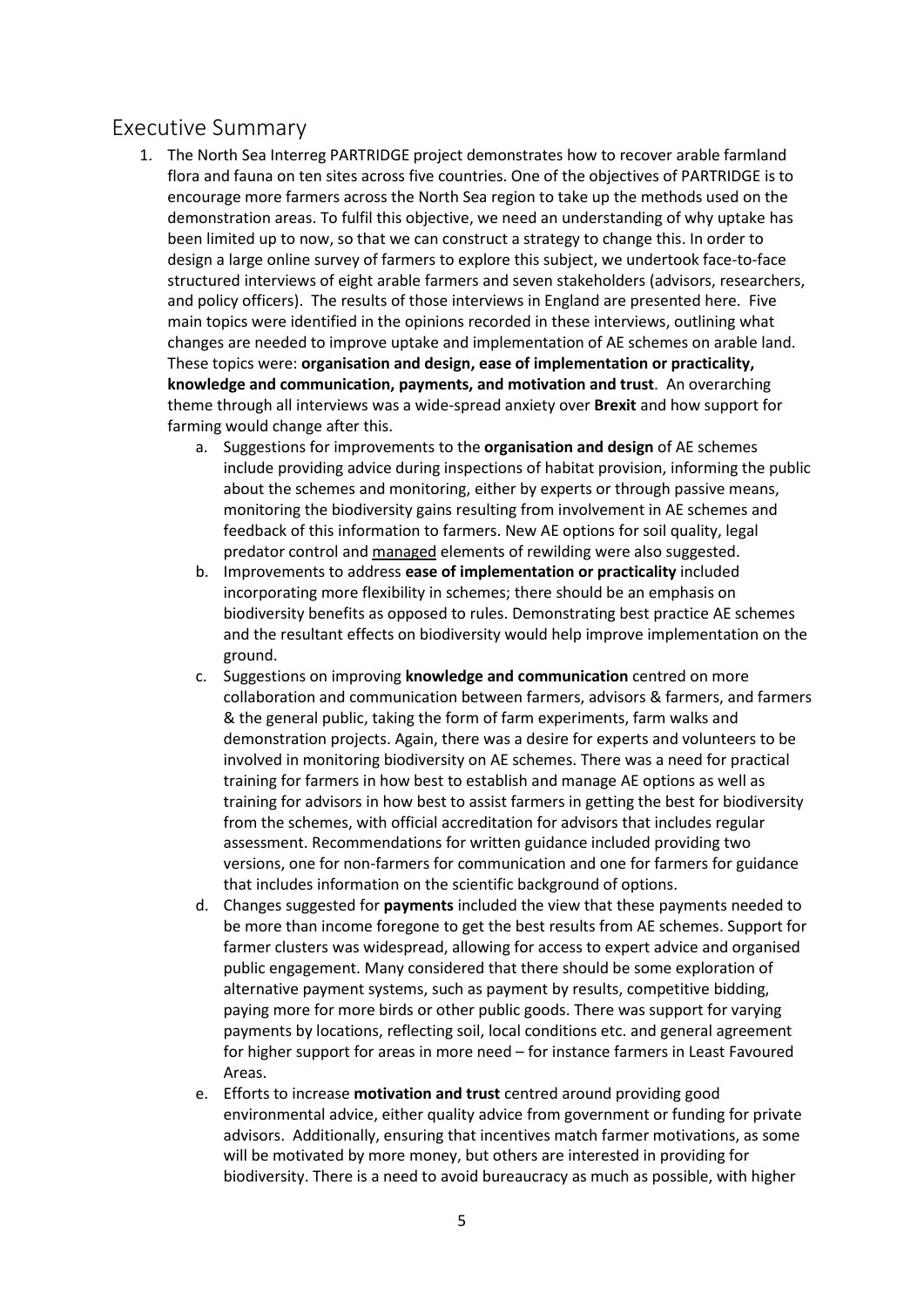## <span id="page-4-0"></span>Executive Summary

- 1. The North Sea Interreg PARTRIDGE project demonstrates how to recover arable farmland flora and fauna on ten sites across five countries. One of the objectives of PARTRIDGE is to encourage more farmers across the North Sea region to take up the methods used on the demonstration areas. To fulfil this objective, we need an understanding of why uptake has been limited up to now, so that we can construct a strategy to change this. In order to design a large online survey of farmers to explore this subject, we undertook face-to-face structured interviews of eight arable farmers and seven stakeholders (advisors, researchers, and policy officers). The results of those interviews in England are presented here. Five main topics were identified in the opinions recorded in these interviews, outlining what changes are needed to improve uptake and implementation of AE schemes on arable land. These topics were: **organisation and design, ease of implementation or practicality, knowledge and communication, payments, and motivation and trust**. An overarching theme through all interviews was a wide-spread anxiety over **Brexit** and how support for farming would change after this.
	- a. Suggestions for improvements to the **organisation and design** of AE schemes include providing advice during inspections of habitat provision, informing the public about the schemes and monitoring, either by experts or through passive means, monitoring the biodiversity gains resulting from involvement in AE schemes and feedback of this information to farmers. New AE options for soil quality, legal predator control and managed elements of rewilding were also suggested.
	- b. Improvements to address **ease of implementation or practicality** included incorporating more flexibility in schemes; there should be an emphasis on biodiversity benefits as opposed to rules. Demonstrating best practice AE schemes and the resultant effects on biodiversity would help improve implementation on the ground.
	- c. Suggestions on improving **knowledge and communication** centred on more collaboration and communication between farmers, advisors & farmers, and farmers & the general public, taking the form of farm experiments, farm walks and demonstration projects. Again, there was a desire for experts and volunteers to be involved in monitoring biodiversity on AE schemes. There was a need for practical training for farmers in how best to establish and manage AE options as well as training for advisors in how best to assist farmers in getting the best for biodiversity from the schemes, with official accreditation for advisors that includes regular assessment. Recommendations for written guidance included providing two versions, one for non-farmers for communication and one for farmers for guidance that includes information on the scientific background of options.
	- d. Changes suggested for **payments** included the view that these payments needed to be more than income foregone to get the best results from AE schemes. Support for farmer clusters was widespread, allowing for access to expert advice and organised public engagement. Many considered that there should be some exploration of alternative payment systems, such as payment by results, competitive bidding, paying more for more birds or other public goods. There was support for varying payments by locations, reflecting soil, local conditions etc. and general agreement for higher support for areas in more need – for instance farmers in Least Favoured Areas.
	- e. Efforts to increase **motivation and trust** centred around providing good environmental advice, either quality advice from government or funding for private advisors. Additionally, ensuring that incentives match farmer motivations, as some will be motivated by more money, but others are interested in providing for biodiversity. There is a need to avoid bureaucracy as much as possible, with higher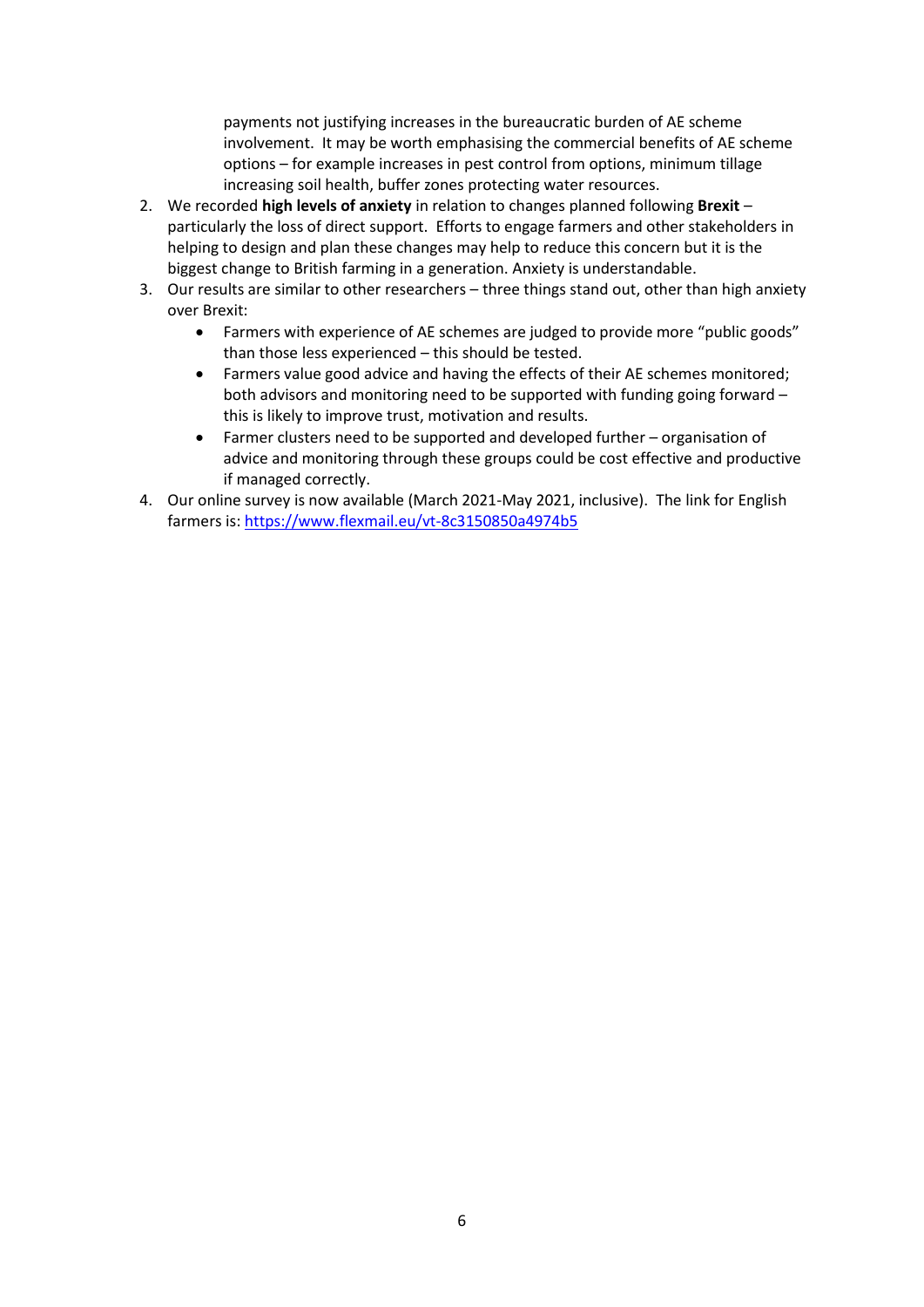payments not justifying increases in the bureaucratic burden of AE scheme involvement. It may be worth emphasising the commercial benefits of AE scheme options – for example increases in pest control from options, minimum tillage increasing soil health, buffer zones protecting water resources.

- 2. We recorded **high levels of anxiety** in relation to changes planned following **Brexit** particularly the loss of direct support. Efforts to engage farmers and other stakeholders in helping to design and plan these changes may help to reduce this concern but it is the biggest change to British farming in a generation. Anxiety is understandable.
- 3. Our results are similar to other researchers three things stand out, other than high anxiety over Brexit:
	- Farmers with experience of AE schemes are judged to provide more "public goods" than those less experienced – this should be tested.
	- Farmers value good advice and having the effects of their AE schemes monitored; both advisors and monitoring need to be supported with funding going forward – this is likely to improve trust, motivation and results.
	- Farmer clusters need to be supported and developed further organisation of advice and monitoring through these groups could be cost effective and productive if managed correctly.
- 4. Our online survey is now available (March 2021-May 2021, inclusive). The link for English farmers is[: https://www.flexmail.eu/vt-8c3150850a4974b5](https://www.flexmail.eu/vt-8c3150850a4974b5)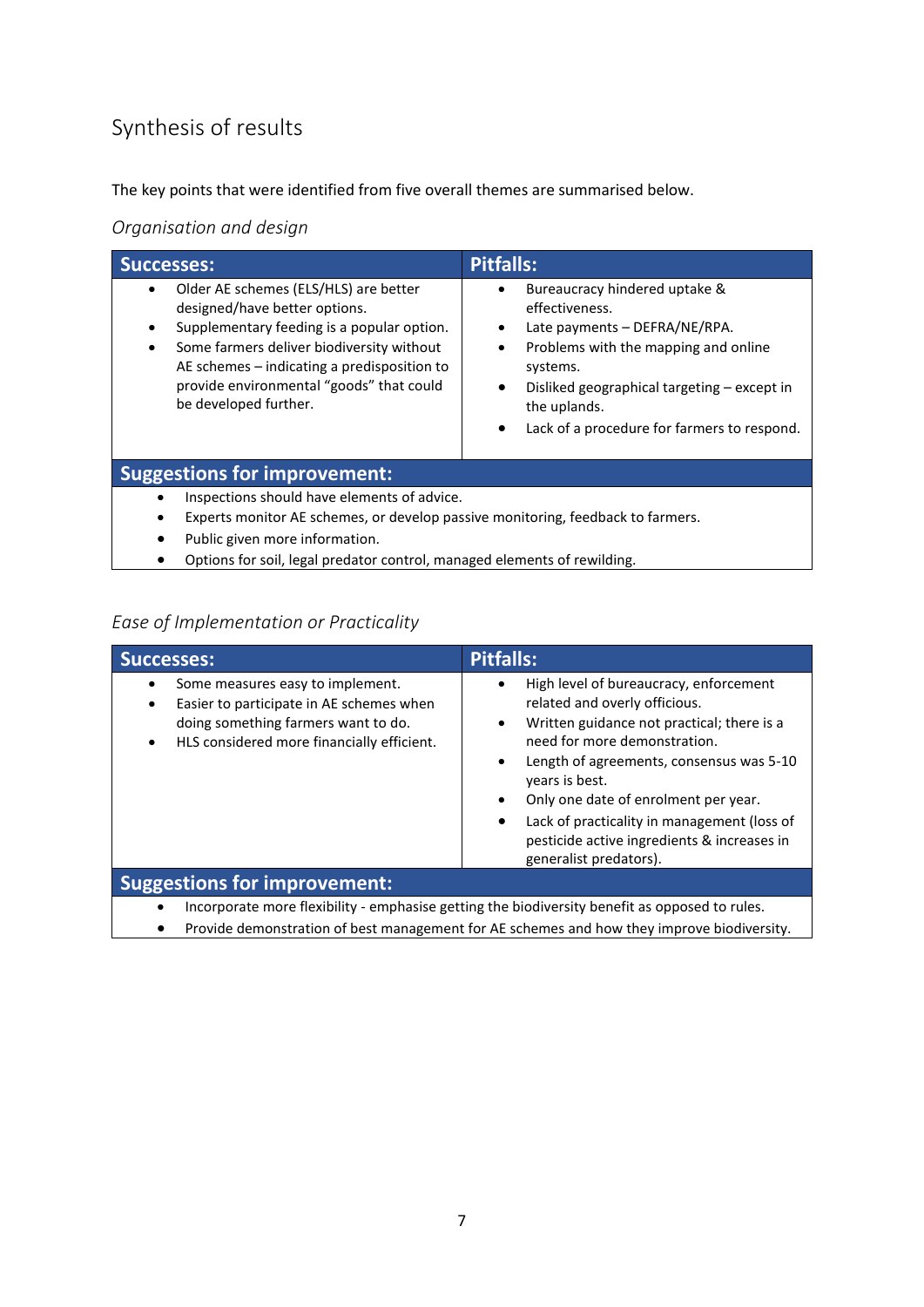# <span id="page-6-0"></span>Synthesis of results

The key points that were identified from five overall themes are summarised below.

<span id="page-6-1"></span>*Organisation and design*

| <b>Successes:</b>                                                                                                                                                                                                                                                                     | <b>Pitfalls:</b>                                                                                                                                                                                                                                                                                       |  |
|---------------------------------------------------------------------------------------------------------------------------------------------------------------------------------------------------------------------------------------------------------------------------------------|--------------------------------------------------------------------------------------------------------------------------------------------------------------------------------------------------------------------------------------------------------------------------------------------------------|--|
| Older AE schemes (ELS/HLS) are better<br>designed/have better options.<br>Supplementary feeding is a popular option.<br>Some farmers deliver biodiversity without<br>AE schemes – indicating a predisposition to<br>provide environmental "goods" that could<br>be developed further. | Bureaucracy hindered uptake &<br>effectiveness.<br>Late payments - DEFRA/NE/RPA.<br>$\bullet$<br>Problems with the mapping and online<br>$\bullet$<br>systems.<br>Disliked geographical targeting – except in<br>$\bullet$<br>the uplands.<br>Lack of a procedure for farmers to respond.<br>$\bullet$ |  |
| <b>Suggestions for improvement:</b>                                                                                                                                                                                                                                                   |                                                                                                                                                                                                                                                                                                        |  |
| Inspections should have elements of advice.<br>Experts monitor AE schemes, or develop passive monitoring, feedback to farmers.<br>Public given more information.<br>٠<br>Options for soil, legal predator control, managed elements of rewilding.                                     |                                                                                                                                                                                                                                                                                                        |  |

## <span id="page-6-2"></span>*Ease of Implementation or Practicality*

| <b>Successes:</b>                                                                                                                                                      | <b>Pitfalls:</b>                                                                                                                                                                                                                                                                                                                                                                                                                                     |
|------------------------------------------------------------------------------------------------------------------------------------------------------------------------|------------------------------------------------------------------------------------------------------------------------------------------------------------------------------------------------------------------------------------------------------------------------------------------------------------------------------------------------------------------------------------------------------------------------------------------------------|
| Some measures easy to implement.<br>Easier to participate in AE schemes when<br>doing something farmers want to do.<br>HLS considered more financially efficient.<br>٠ | High level of bureaucracy, enforcement<br>$\bullet$<br>related and overly officious.<br>Written guidance not practical; there is a<br>$\bullet$<br>need for more demonstration.<br>Length of agreements, consensus was 5-10<br>$\bullet$<br>years is best.<br>Only one date of enrolment per year.<br>$\bullet$<br>Lack of practicality in management (loss of<br>$\bullet$<br>pesticide active ingredients & increases in<br>generalist predators). |
| <b>Suggestions for improvement:</b>                                                                                                                                    |                                                                                                                                                                                                                                                                                                                                                                                                                                                      |
| Incorporate more flexibility - emphasise getting the biodiversity benefit as opposed to rules.                                                                         |                                                                                                                                                                                                                                                                                                                                                                                                                                                      |

• Provide demonstration of best management for AE schemes and how they improve biodiversity.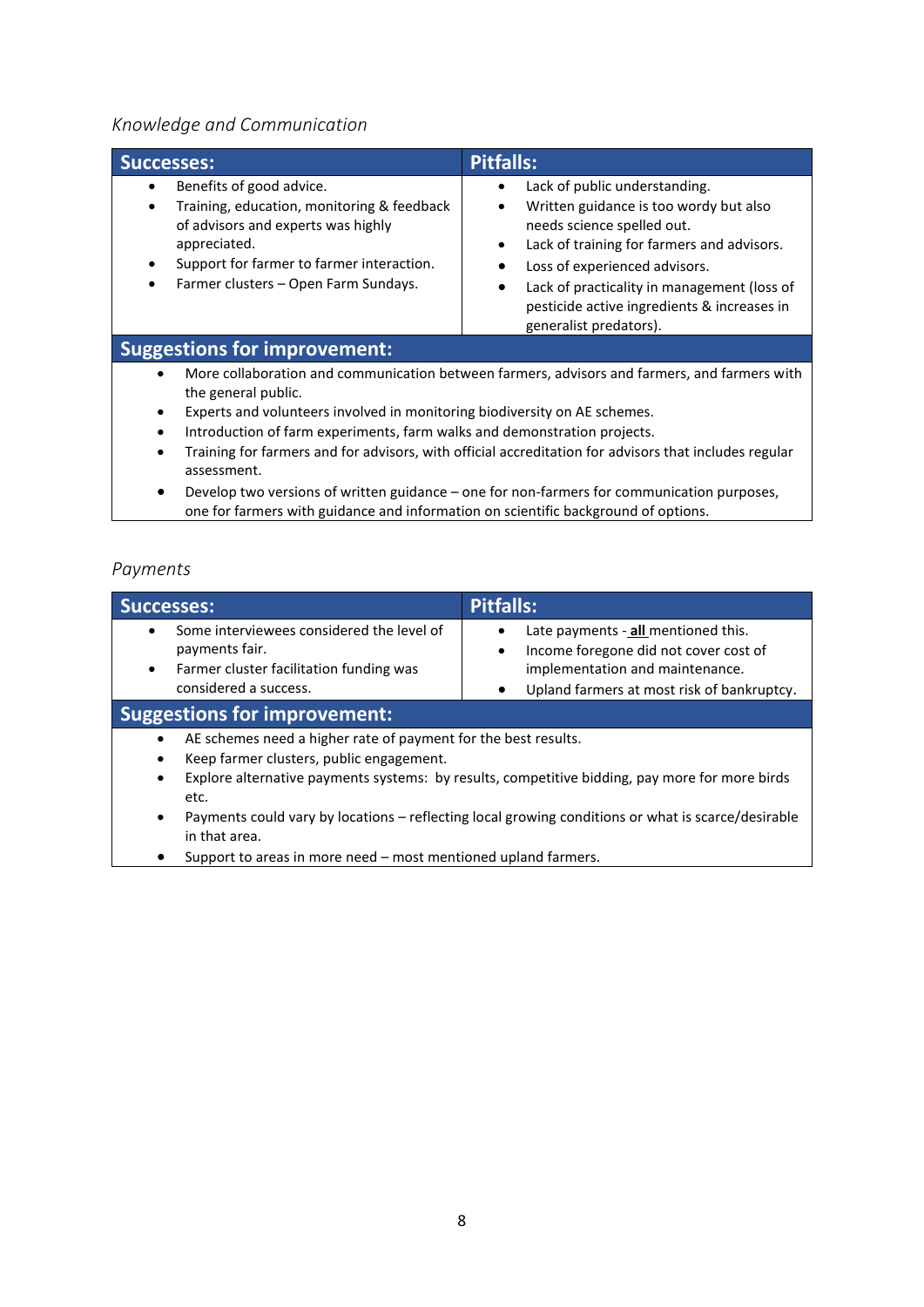### <span id="page-7-0"></span>*Knowledge and Communication*

| Successes:                                                                                                                                                                                                        | <b>Pitfalls:</b>                                                                                                                                                                                                                                                                                                                                      |
|-------------------------------------------------------------------------------------------------------------------------------------------------------------------------------------------------------------------|-------------------------------------------------------------------------------------------------------------------------------------------------------------------------------------------------------------------------------------------------------------------------------------------------------------------------------------------------------|
| Benefits of good advice.<br>Training, education, monitoring & feedback<br>of advisors and experts was highly<br>appreciated.<br>Support for farmer to farmer interaction.<br>Farmer clusters - Open Farm Sundays. | Lack of public understanding.<br>$\bullet$<br>Written guidance is too wordy but also<br>٠<br>needs science spelled out.<br>Lack of training for farmers and advisors.<br>$\bullet$<br>Loss of experienced advisors.<br>٠<br>Lack of practicality in management (loss of<br>٠<br>pesticide active ingredients & increases in<br>generalist predators). |
| <b>Suggestions for improvement:</b>                                                                                                                                                                               |                                                                                                                                                                                                                                                                                                                                                       |
| ٠<br>the general public.                                                                                                                                                                                          | More collaboration and communication between farmers, advisors and farmers, and farmers with                                                                                                                                                                                                                                                          |

- Experts and volunteers involved in monitoring biodiversity on AE schemes.
- Introduction of farm experiments, farm walks and demonstration projects.
- Training for farmers and for advisors, with official accreditation for advisors that includes regular assessment.
- Develop two versions of written guidance one for non-farmers for communication purposes, one for farmers with guidance and information on scientific background of options.

#### <span id="page-7-1"></span>*Payments*

| <b>Successes:</b>                                                                                                                                                                                                                                                                                                                                        | <b>Pitfalls:</b>                                                                                                                                                                        |
|----------------------------------------------------------------------------------------------------------------------------------------------------------------------------------------------------------------------------------------------------------------------------------------------------------------------------------------------------------|-----------------------------------------------------------------------------------------------------------------------------------------------------------------------------------------|
| Some interviewees considered the level of<br>payments fair.<br>Farmer cluster facilitation funding was<br>$\bullet$<br>considered a success.                                                                                                                                                                                                             | Late payments - all mentioned this.<br>$\bullet$<br>Income foregone did not cover cost of<br>$\bullet$<br>implementation and maintenance.<br>Upland farmers at most risk of bankruptcy. |
| <b>Suggestions for improvement:</b>                                                                                                                                                                                                                                                                                                                      |                                                                                                                                                                                         |
| AE schemes need a higher rate of payment for the best results.<br>Keep farmer clusters, public engagement.<br>Explore alternative payments systems: by results, competitive bidding, pay more for more birds<br>$\bullet$<br>etc.<br>Payments could vary by locations – reflecting local growing conditions or what is scarce/desirable<br>in that area. |                                                                                                                                                                                         |

• Support to areas in more need – most mentioned upland farmers.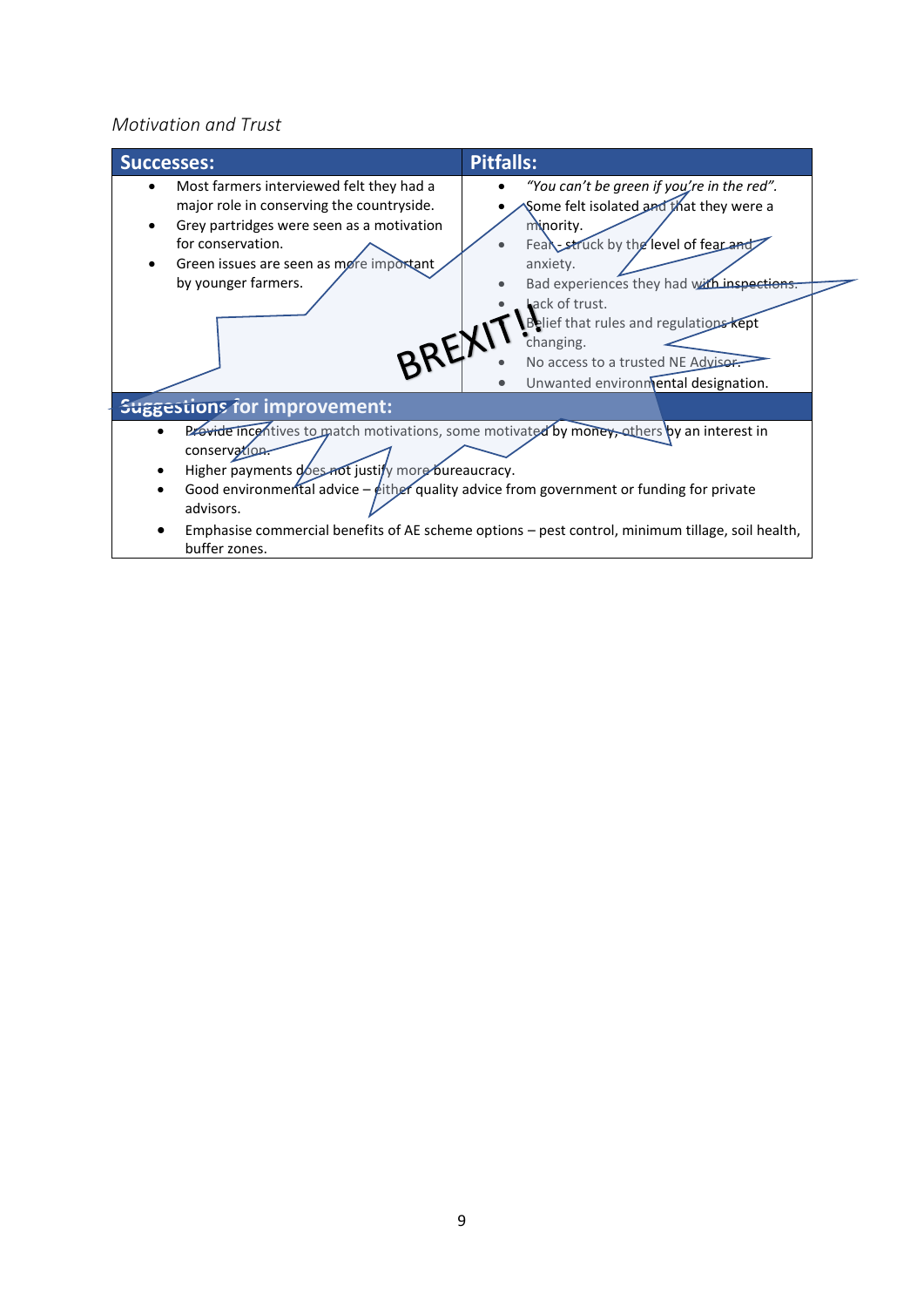#### <span id="page-8-0"></span>*Motivation and Trust*

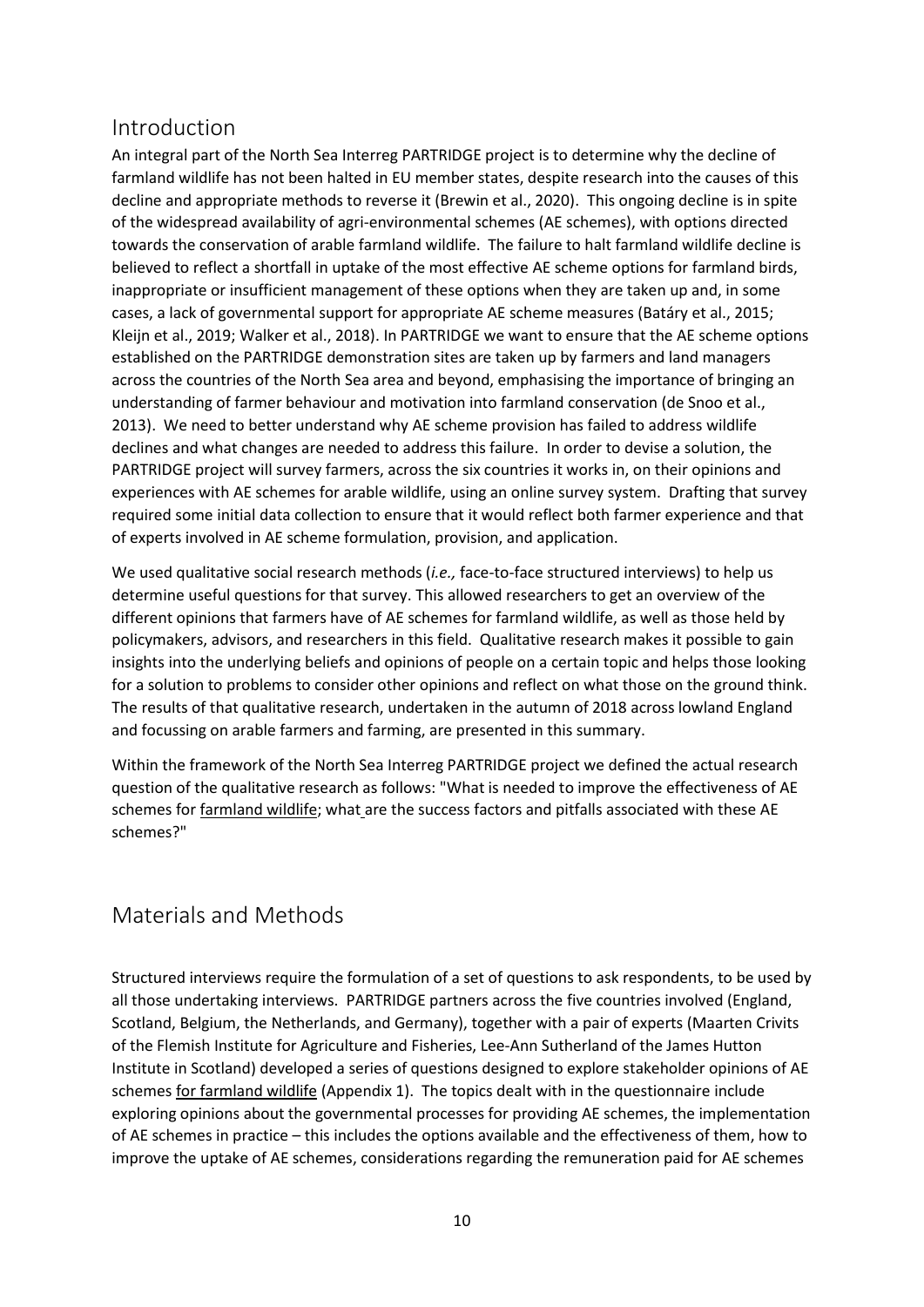## <span id="page-9-0"></span>Introduction

An integral part of the North Sea Interreg PARTRIDGE project is to determine why the decline of farmland wildlife has not been halted in EU member states, despite research into the causes of this decline and appropriate methods to reverse it (Brewin et al., 2020). This ongoing decline is in spite of the widespread availability of agri-environmental schemes (AE schemes), with options directed towards the conservation of arable farmland wildlife. The failure to halt farmland wildlife decline is believed to reflect a shortfall in uptake of the most effective AE scheme options for farmland birds, inappropriate or insufficient management of these options when they are taken up and, in some cases, a lack of governmental support for appropriate AE scheme measures (Batáry et al., 2015; Kleijn et al., 2019; Walker et al., 2018). In PARTRIDGE we want to ensure that the AE scheme options established on the PARTRIDGE demonstration sites are taken up by farmers and land managers across the countries of the North Sea area and beyond, emphasising the importance of bringing an understanding of farmer behaviour and motivation into farmland conservation (de Snoo et al., 2013). We need to better understand why AE scheme provision has failed to address wildlife declines and what changes are needed to address this failure. In order to devise a solution, the PARTRIDGE project will survey farmers, across the six countries it works in, on their opinions and experiences with AE schemes for arable wildlife, using an online survey system. Drafting that survey required some initial data collection to ensure that it would reflect both farmer experience and that of experts involved in AE scheme formulation, provision, and application.

We used qualitative social research methods (*i.e.,* face-to-face structured interviews) to help us determine useful questions for that survey. This allowed researchers to get an overview of the different opinions that farmers have of AE schemes for farmland wildlife, as well as those held by policymakers, advisors, and researchers in this field. Qualitative research makes it possible to gain insights into the underlying beliefs and opinions of people on a certain topic and helps those looking for a solution to problems to consider other opinions and reflect on what those on the ground think. The results of that qualitative research, undertaken in the autumn of 2018 across lowland England and focussing on arable farmers and farming, are presented in this summary.

Within the framework of the North Sea Interreg PARTRIDGE project we defined the actual research question of the qualitative research as follows: "What is needed to improve the effectiveness of AE schemes for farmland wildlife; what are the success factors and pitfalls associated with these AE schemes?"

## <span id="page-9-1"></span>Materials and Methods

Structured interviews require the formulation of a set of questions to ask respondents, to be used by all those undertaking interviews. PARTRIDGE partners across the five countries involved (England, Scotland, Belgium, the Netherlands, and Germany), together with a pair of experts (Maarten Crivits of the Flemish Institute for Agriculture and Fisheries, Lee-Ann Sutherland of the James Hutton Institute in Scotland) developed a series of questions designed to explore stakeholder opinions of AE schemes for farmland wildlife (Appendix 1). The topics dealt with in the questionnaire include exploring opinions about the governmental processes for providing AE schemes, the implementation of AE schemes in practice – this includes the options available and the effectiveness of them, how to improve the uptake of AE schemes, considerations regarding the remuneration paid for AE schemes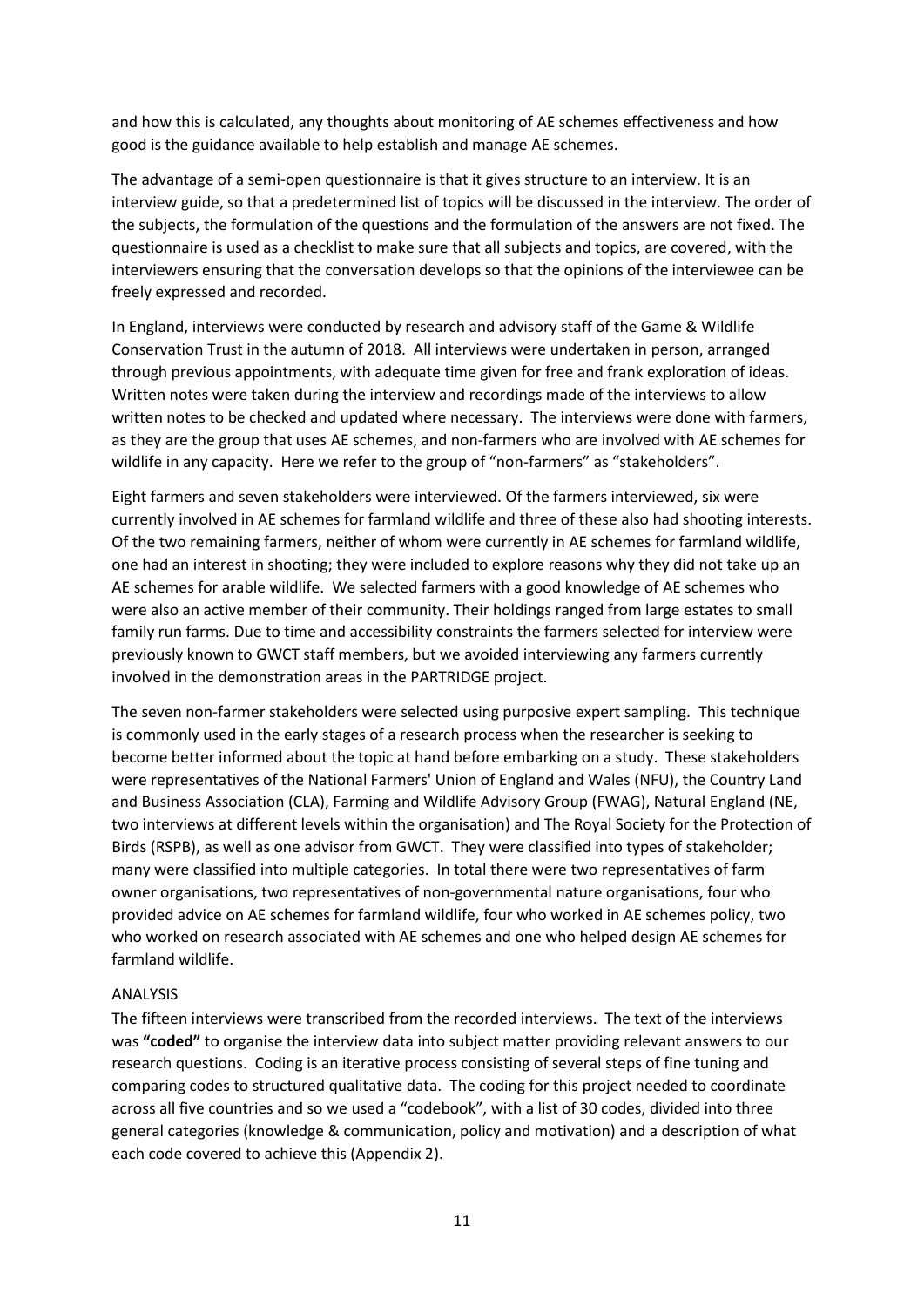and how this is calculated, any thoughts about monitoring of AE schemes effectiveness and how good is the guidance available to help establish and manage AE schemes.

The advantage of a semi-open questionnaire is that it gives structure to an interview. It is an interview guide, so that a predetermined list of topics will be discussed in the interview. The order of the subjects, the formulation of the questions and the formulation of the answers are not fixed. The questionnaire is used as a checklist to make sure that all subjects and topics, are covered, with the interviewers ensuring that the conversation develops so that the opinions of the interviewee can be freely expressed and recorded.

In England, interviews were conducted by research and advisory staff of the Game & Wildlife Conservation Trust in the autumn of 2018. All interviews were undertaken in person, arranged through previous appointments, with adequate time given for free and frank exploration of ideas. Written notes were taken during the interview and recordings made of the interviews to allow written notes to be checked and updated where necessary. The interviews were done with farmers, as they are the group that uses AE schemes, and non-farmers who are involved with AE schemes for wildlife in any capacity. Here we refer to the group of "non-farmers" as "stakeholders".

Eight farmers and seven stakeholders were interviewed. Of the farmers interviewed, six were currently involved in AE schemes for farmland wildlife and three of these also had shooting interests. Of the two remaining farmers, neither of whom were currently in AE schemes for farmland wildlife, one had an interest in shooting; they were included to explore reasons why they did not take up an AE schemes for arable wildlife. We selected farmers with a good knowledge of AE schemes who were also an active member of their community. Their holdings ranged from large estates to small family run farms. Due to time and accessibility constraints the farmers selected for interview were previously known to GWCT staff members, but we avoided interviewing any farmers currently involved in the demonstration areas in the PARTRIDGE project.

The seven non-farmer stakeholders were selected using purposive expert sampling. This technique is commonly used in the early stages of a research process when the researcher is seeking to become better informed about the topic at hand before embarking on a study. These stakeholders were representatives of the National Farmers' Union of England and Wales (NFU), the Country Land and Business Association (CLA), Farming and Wildlife Advisory Group (FWAG), Natural England (NE, two interviews at different levels within the organisation) and The Royal Society for the Protection of Birds (RSPB), as well as one advisor from GWCT. They were classified into types of stakeholder; many were classified into multiple categories. In total there were two representatives of farm owner organisations, two representatives of non-governmental nature organisations, four who provided advice on AE schemes for farmland wildlife, four who worked in AE schemes policy, two who worked on research associated with AE schemes and one who helped design AE schemes for farmland wildlife.

#### <span id="page-10-0"></span>ANALYSIS

The fifteen interviews were transcribed from the recorded interviews. The text of the interviews was **"coded"** to organise the interview data into subject matter providing relevant answers to our research questions. Coding is an iterative process consisting of several steps of fine tuning and comparing codes to structured qualitative data. The coding for this project needed to coordinate across all five countries and so we used a "codebook", with a list of 30 codes, divided into three general categories (knowledge & communication, policy and motivation) and a description of what each code covered to achieve this (Appendix 2).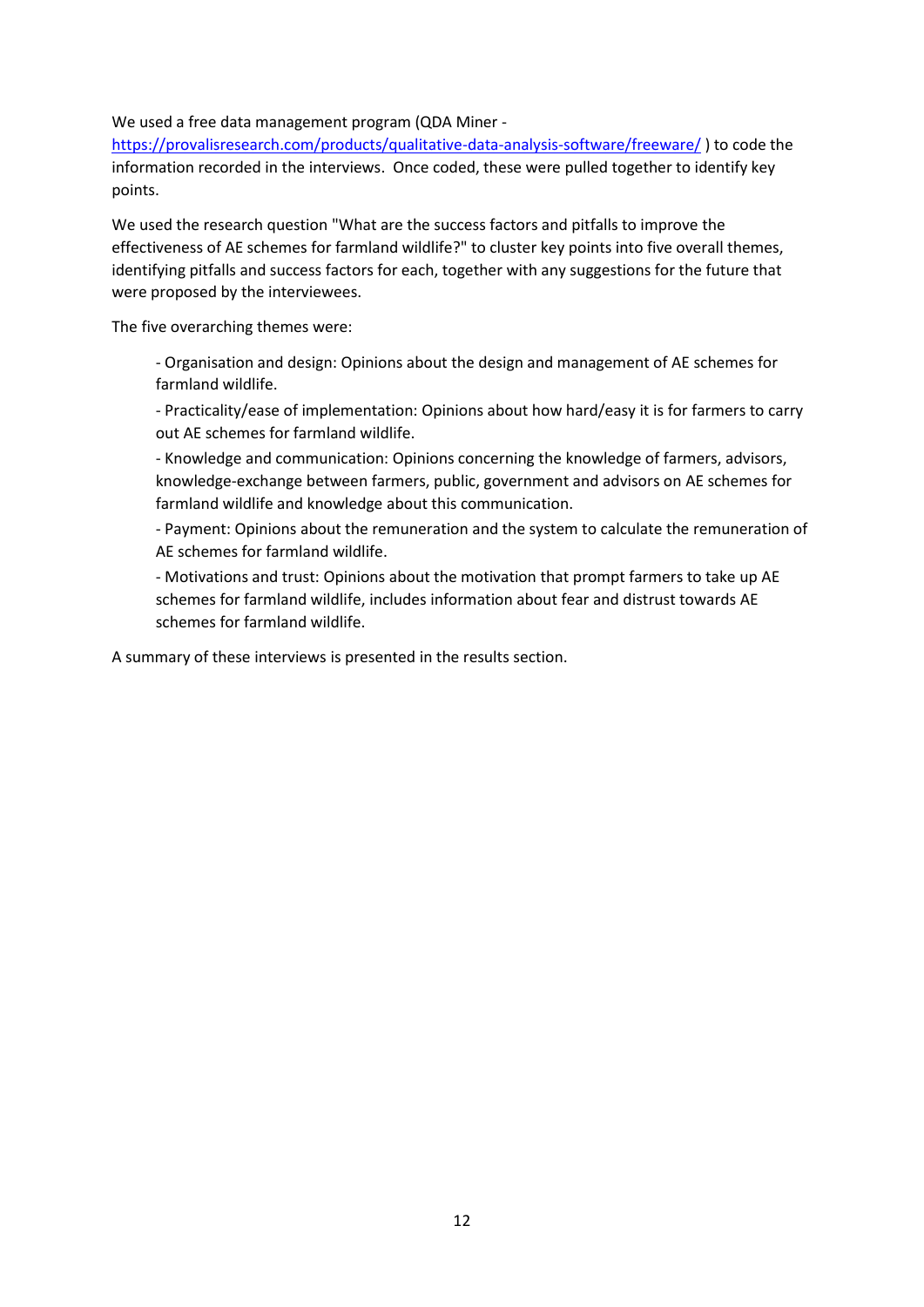We used a free data management program (QDA Miner -

<https://provalisresearch.com/products/qualitative-data-analysis-software/freeware/> ) to code the information recorded in the interviews. Once coded, these were pulled together to identify key points.

We used the research question "What are the success factors and pitfalls to improve the effectiveness of AE schemes for farmland wildlife?" to cluster key points into five overall themes, identifying pitfalls and success factors for each, together with any suggestions for the future that were proposed by the interviewees.

The five overarching themes were:

- Organisation and design: Opinions about the design and management of AE schemes for farmland wildlife.

- Practicality/ease of implementation: Opinions about how hard/easy it is for farmers to carry out AE schemes for farmland wildlife.

- Knowledge and communication: Opinions concerning the knowledge of farmers, advisors, knowledge-exchange between farmers, public, government and advisors on AE schemes for farmland wildlife and knowledge about this communication.

- Payment: Opinions about the remuneration and the system to calculate the remuneration of AE schemes for farmland wildlife.

- Motivations and trust: Opinions about the motivation that prompt farmers to take up AE schemes for farmland wildlife, includes information about fear and distrust towards AE schemes for farmland wildlife.

A summary of these interviews is presented in the results section.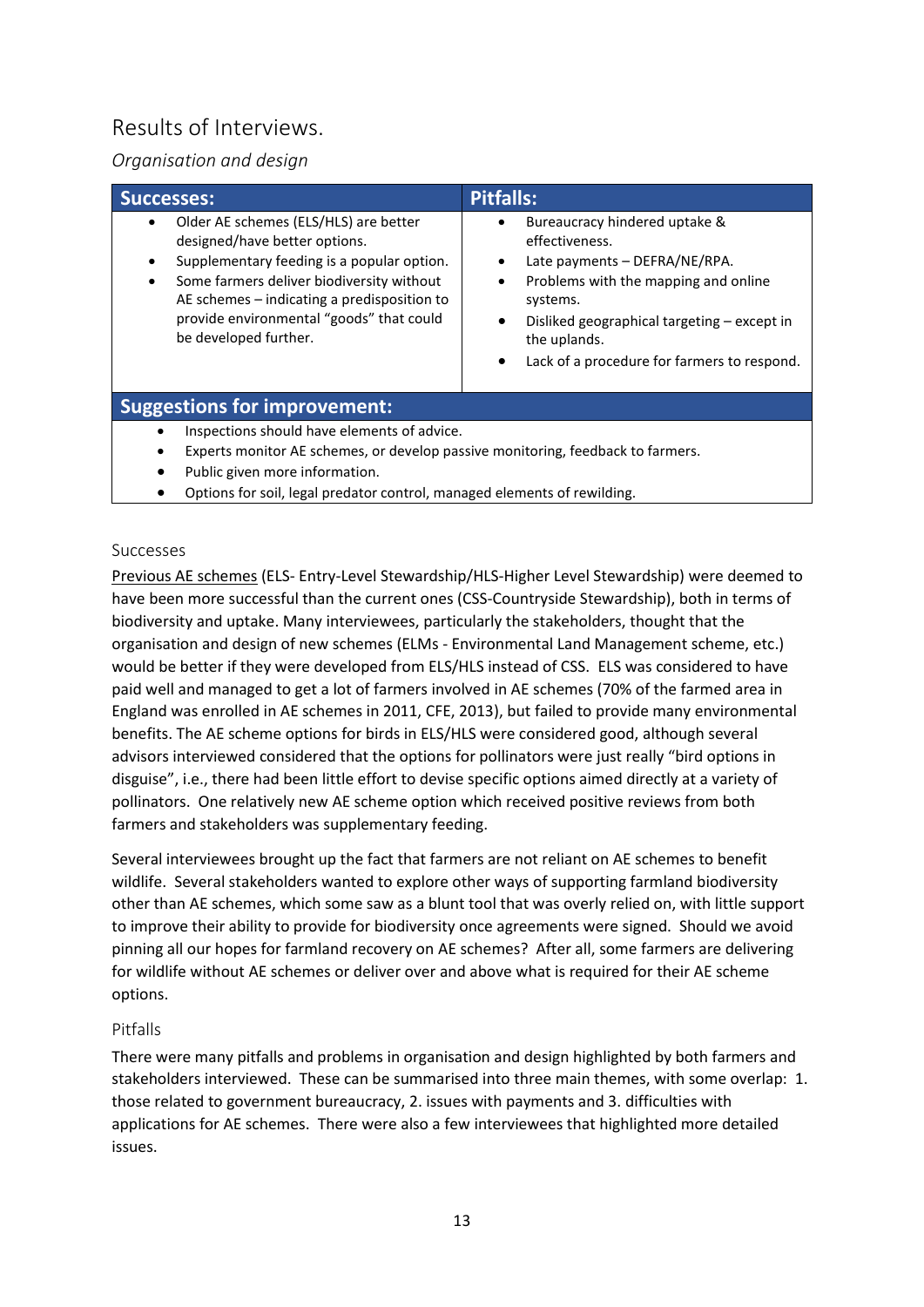## <span id="page-12-0"></span>Results of Interviews.

### <span id="page-12-1"></span>*Organisation and design*

| <b>Successes:</b>                                                                                                                                                                                                                                                                                                            | Pitfalls:                                                                                                                                                                                                                                                                                      |
|------------------------------------------------------------------------------------------------------------------------------------------------------------------------------------------------------------------------------------------------------------------------------------------------------------------------------|------------------------------------------------------------------------------------------------------------------------------------------------------------------------------------------------------------------------------------------------------------------------------------------------|
| Older AE schemes (ELS/HLS) are better<br>$\bullet$<br>designed/have better options.<br>Supplementary feeding is a popular option.<br>$\bullet$<br>Some farmers deliver biodiversity without<br>$\bullet$<br>AE schemes – indicating a predisposition to<br>provide environmental "goods" that could<br>be developed further. | Bureaucracy hindered uptake &<br>٠<br>effectiveness.<br>Late payments - DEFRA/NE/RPA.<br>$\bullet$<br>Problems with the mapping and online<br>$\bullet$<br>systems.<br>Disliked geographical targeting - except in<br>$\bullet$<br>the uplands.<br>Lack of a procedure for farmers to respond. |
| <b>Suggestions for improvement:</b>                                                                                                                                                                                                                                                                                          |                                                                                                                                                                                                                                                                                                |
| Inspections should have elements of advice.<br>$\bullet$<br>Experts monitor AE schemes, or develop passive monitoring, feedback to farmers.                                                                                                                                                                                  |                                                                                                                                                                                                                                                                                                |

- Public given more information.
- Options for soil, legal predator control, managed elements of rewilding.

#### <span id="page-12-2"></span>Successes

Previous AE schemes (ELS- Entry-Level Stewardship/HLS-Higher Level Stewardship) were deemed to have been more successful than the current ones (CSS-Countryside Stewardship), both in terms of biodiversity and uptake. Many interviewees, particularly the stakeholders, thought that the organisation and design of new schemes (ELMs - Environmental Land Management scheme, etc.) would be better if they were developed from ELS/HLS instead of CSS. ELS was considered to have paid well and managed to get a lot of farmers involved in AE schemes (70% of the farmed area in England was enrolled in AE schemes in 2011, CFE, 2013), but failed to provide many environmental benefits. The AE scheme options for birds in ELS/HLS were considered good, although several advisors interviewed considered that the options for pollinators were just really "bird options in disguise", i.e., there had been little effort to devise specific options aimed directly at a variety of pollinators. One relatively new AE scheme option which received positive reviews from both farmers and stakeholders was supplementary feeding.

Several interviewees brought up the fact that farmers are not reliant on AE schemes to benefit wildlife. Several stakeholders wanted to explore other ways of supporting farmland biodiversity other than AE schemes, which some saw as a blunt tool that was overly relied on, with little support to improve their ability to provide for biodiversity once agreements were signed. Should we avoid pinning all our hopes for farmland recovery on AE schemes? After all, some farmers are delivering for wildlife without AE schemes or deliver over and above what is required for their AE scheme options.

#### <span id="page-12-3"></span>Pitfalls

There were many pitfalls and problems in organisation and design highlighted by both farmers and stakeholders interviewed. These can be summarised into three main themes, with some overlap: 1. those related to government bureaucracy, 2. issues with payments and 3. difficulties with applications for AE schemes. There were also a few interviewees that highlighted more detailed issues.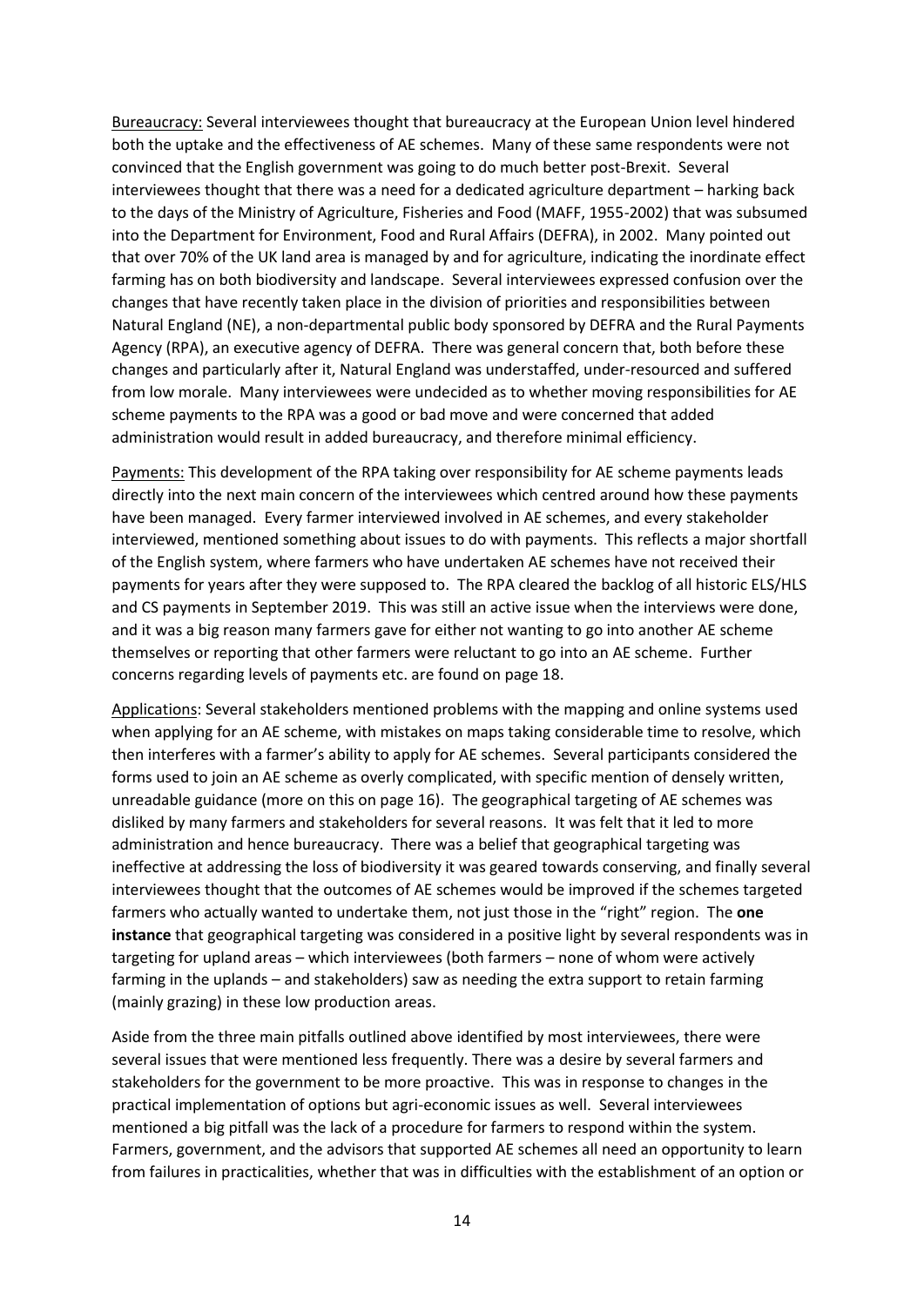Bureaucracy: Several interviewees thought that bureaucracy at the European Union level hindered both the uptake and the effectiveness of AE schemes. Many of these same respondents were not convinced that the English government was going to do much better post-Brexit. Several interviewees thought that there was a need for a dedicated agriculture department – harking back to the days of the Ministry of Agriculture, Fisheries and Food (MAFF, 1955-2002) that was subsumed into the Department for Environment, Food and Rural Affairs (DEFRA), in 2002. Many pointed out that over 70% of the UK land area is managed by and for agriculture, indicating the inordinate effect farming has on both biodiversity and landscape. Several interviewees expressed confusion over the changes that have recently taken place in the division of priorities and responsibilities between Natural England (NE), a non-departmental public body sponsored by DEFRA and the Rural Payments Agency (RPA), an executive agency of DEFRA. There was general concern that, both before these changes and particularly after it, Natural England was understaffed, under-resourced and suffered from low morale. Many interviewees were undecided as to whether moving responsibilities for AE scheme payments to the RPA was a good or bad move and were concerned that added administration would result in added bureaucracy, and therefore minimal efficiency.

Payments: This development of the RPA taking over responsibility for AE scheme payments leads directly into the next main concern of the interviewees which centred around how these payments have been managed. Every farmer interviewed involved in AE schemes, and every stakeholder interviewed, mentioned something about issues to do with payments. This reflects a major shortfall of the English system, where farmers who have undertaken AE schemes have not received their payments for years after they were supposed to. The RPA cleared the backlog of all historic ELS/HLS and CS payments in September 2019. This was still an active issue when the interviews were done, and it was a big reason many farmers gave for either not wanting to go into another AE scheme themselves or reporting that other farmers were reluctant to go into an AE scheme. Further concerns regarding levels of payments etc. are found on page 18.

Applications: Several stakeholders mentioned problems with the mapping and online systems used when applying for an AE scheme, with mistakes on maps taking considerable time to resolve, which then interferes with a farmer's ability to apply for AE schemes. Several participants considered the forms used to join an AE scheme as overly complicated, with specific mention of densely written, unreadable guidance (more on this on page 16). The geographical targeting of AE schemes was disliked by many farmers and stakeholders for several reasons. It was felt that it led to more administration and hence bureaucracy. There was a belief that geographical targeting was ineffective at addressing the loss of biodiversity it was geared towards conserving, and finally several interviewees thought that the outcomes of AE schemes would be improved if the schemes targeted farmers who actually wanted to undertake them, not just those in the "right" region. The **one instance** that geographical targeting was considered in a positive light by several respondents was in targeting for upland areas – which interviewees (both farmers – none of whom were actively farming in the uplands – and stakeholders) saw as needing the extra support to retain farming (mainly grazing) in these low production areas.

Aside from the three main pitfalls outlined above identified by most interviewees, there were several issues that were mentioned less frequently. There was a desire by several farmers and stakeholders for the government to be more proactive. This was in response to changes in the practical implementation of options but agri-economic issues as well. Several interviewees mentioned a big pitfall was the lack of a procedure for farmers to respond within the system. Farmers, government, and the advisors that supported AE schemes all need an opportunity to learn from failures in practicalities, whether that was in difficulties with the establishment of an option or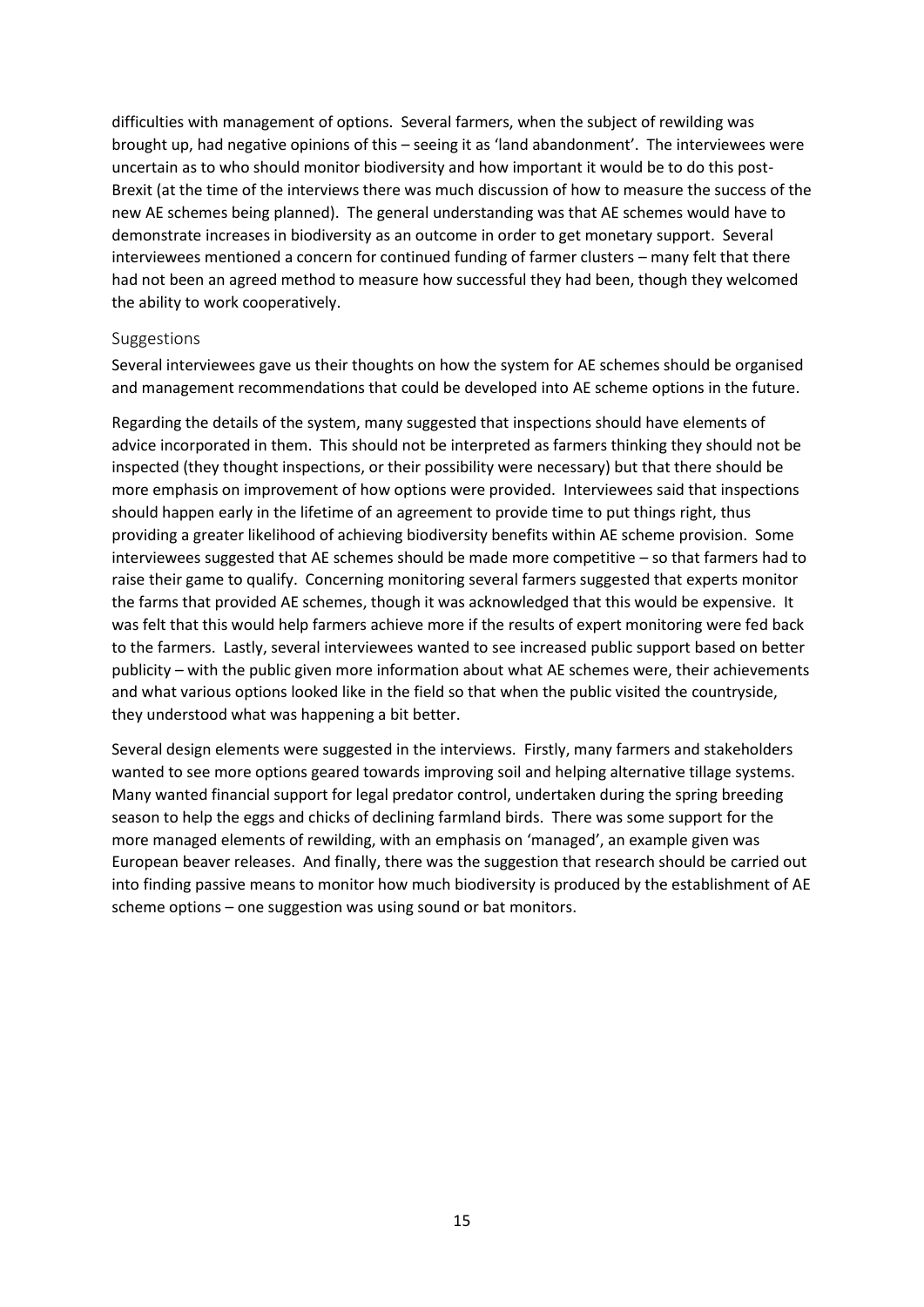difficulties with management of options. Several farmers, when the subject of rewilding was brought up, had negative opinions of this – seeing it as 'land abandonment'. The interviewees were uncertain as to who should monitor biodiversity and how important it would be to do this post-Brexit (at the time of the interviews there was much discussion of how to measure the success of the new AE schemes being planned). The general understanding was that AE schemes would have to demonstrate increases in biodiversity as an outcome in order to get monetary support. Several interviewees mentioned a concern for continued funding of farmer clusters – many felt that there had not been an agreed method to measure how successful they had been, though they welcomed the ability to work cooperatively.

#### <span id="page-14-0"></span>Suggestions

Several interviewees gave us their thoughts on how the system for AE schemes should be organised and management recommendations that could be developed into AE scheme options in the future.

Regarding the details of the system, many suggested that inspections should have elements of advice incorporated in them. This should not be interpreted as farmers thinking they should not be inspected (they thought inspections, or their possibility were necessary) but that there should be more emphasis on improvement of how options were provided. Interviewees said that inspections should happen early in the lifetime of an agreement to provide time to put things right, thus providing a greater likelihood of achieving biodiversity benefits within AE scheme provision. Some interviewees suggested that AE schemes should be made more competitive – so that farmers had to raise their game to qualify. Concerning monitoring several farmers suggested that experts monitor the farms that provided AE schemes, though it was acknowledged that this would be expensive. It was felt that this would help farmers achieve more if the results of expert monitoring were fed back to the farmers. Lastly, several interviewees wanted to see increased public support based on better publicity – with the public given more information about what AE schemes were, their achievements and what various options looked like in the field so that when the public visited the countryside, they understood what was happening a bit better.

Several design elements were suggested in the interviews. Firstly, many farmers and stakeholders wanted to see more options geared towards improving soil and helping alternative tillage systems. Many wanted financial support for legal predator control, undertaken during the spring breeding season to help the eggs and chicks of declining farmland birds. There was some support for the more managed elements of rewilding, with an emphasis on 'managed', an example given was European beaver releases. And finally, there was the suggestion that research should be carried out into finding passive means to monitor how much biodiversity is produced by the establishment of AE scheme options – one suggestion was using sound or bat monitors.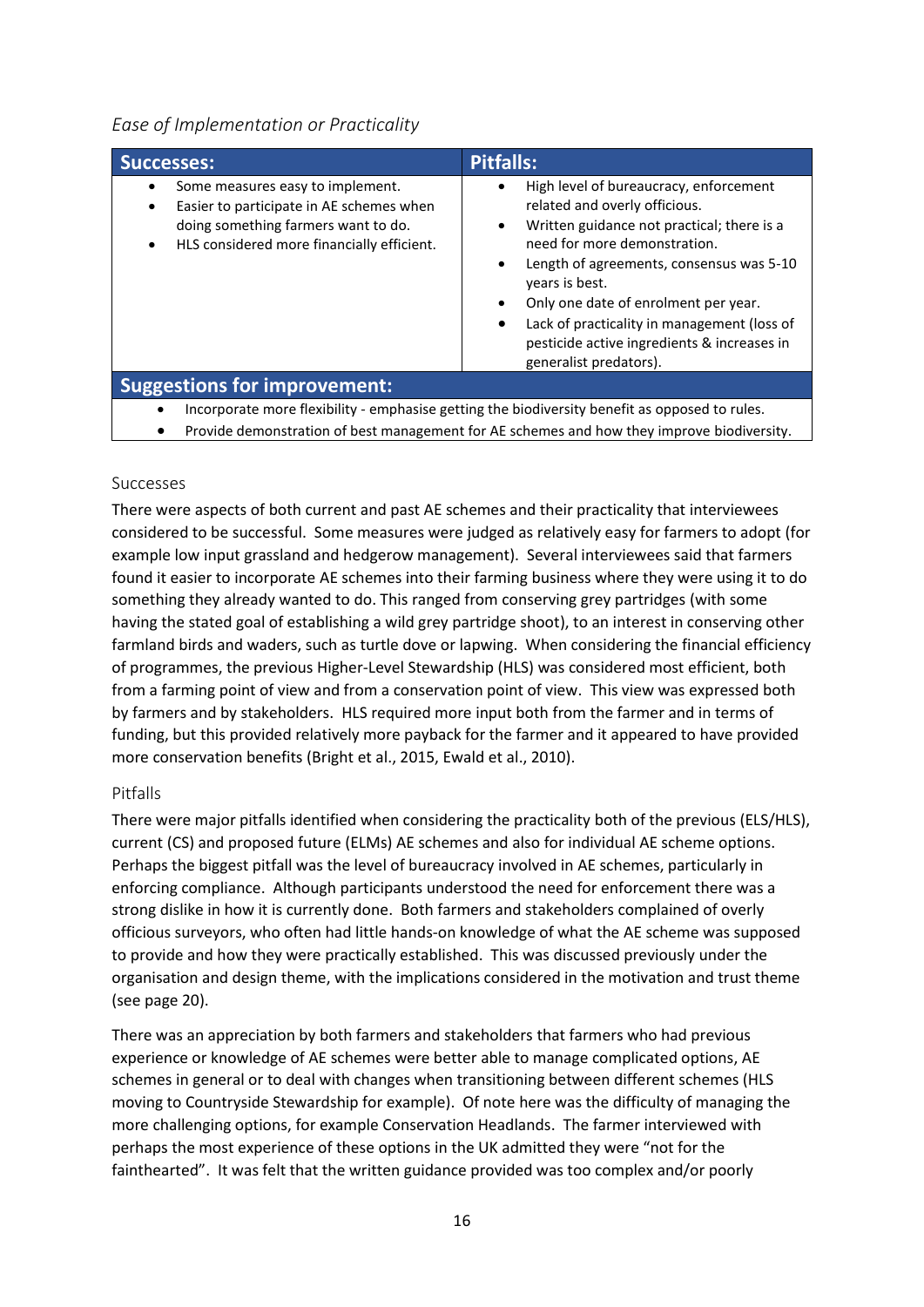<span id="page-15-0"></span>

| <b>Successes:</b>                                                                                                                                                              | <b>Pitfalls:</b>                                                                                                                                                                                                                                                                                                                                                                                                                                     |
|--------------------------------------------------------------------------------------------------------------------------------------------------------------------------------|------------------------------------------------------------------------------------------------------------------------------------------------------------------------------------------------------------------------------------------------------------------------------------------------------------------------------------------------------------------------------------------------------------------------------------------------------|
| Some measures easy to implement.<br>Easier to participate in AE schemes when<br>doing something farmers want to do.<br>HLS considered more financially efficient.<br>$\bullet$ | High level of bureaucracy, enforcement<br>$\bullet$<br>related and overly officious.<br>Written guidance not practical; there is a<br>$\bullet$<br>need for more demonstration.<br>Length of agreements, consensus was 5-10<br>$\bullet$<br>years is best.<br>Only one date of enrolment per year.<br>$\bullet$<br>Lack of practicality in management (loss of<br>$\bullet$<br>pesticide active ingredients & increases in<br>generalist predators). |
| <b>Suggestions for improvement:</b>                                                                                                                                            |                                                                                                                                                                                                                                                                                                                                                                                                                                                      |
| Incorporate more flexibility - emphasise getting the biodiversity benefit as opposed to rules.                                                                                 |                                                                                                                                                                                                                                                                                                                                                                                                                                                      |

• Provide demonstration of best management for AE schemes and how they improve biodiversity.

#### <span id="page-15-1"></span>Successes

There were aspects of both current and past AE schemes and their practicality that interviewees considered to be successful. Some measures were judged as relatively easy for farmers to adopt (for example low input grassland and hedgerow management). Several interviewees said that farmers found it easier to incorporate AE schemes into their farming business where they were using it to do something they already wanted to do. This ranged from conserving grey partridges (with some having the stated goal of establishing a wild grey partridge shoot), to an interest in conserving other farmland birds and waders, such as turtle dove or lapwing. When considering the financial efficiency of programmes, the previous Higher-Level Stewardship (HLS) was considered most efficient, both from a farming point of view and from a conservation point of view. This view was expressed both by farmers and by stakeholders. HLS required more input both from the farmer and in terms of funding, but this provided relatively more payback for the farmer and it appeared to have provided more conservation benefits (Bright et al., 2015, Ewald et al., 2010).

#### <span id="page-15-2"></span>Pitfalls

There were major pitfalls identified when considering the practicality both of the previous (ELS/HLS), current (CS) and proposed future (ELMs) AE schemes and also for individual AE scheme options. Perhaps the biggest pitfall was the level of bureaucracy involved in AE schemes, particularly in enforcing compliance. Although participants understood the need for enforcement there was a strong dislike in how it is currently done. Both farmers and stakeholders complained of overly officious surveyors, who often had little hands-on knowledge of what the AE scheme was supposed to provide and how they were practically established. This was discussed previously under the organisation and design theme, with the implications considered in the motivation and trust theme (see page 20).

There was an appreciation by both farmers and stakeholders that farmers who had previous experience or knowledge of AE schemes were better able to manage complicated options, AE schemes in general or to deal with changes when transitioning between different schemes (HLS moving to Countryside Stewardship for example). Of note here was the difficulty of managing the more challenging options, for example Conservation Headlands. The farmer interviewed with perhaps the most experience of these options in the UK admitted they were "not for the fainthearted". It was felt that the written guidance provided was too complex and/or poorly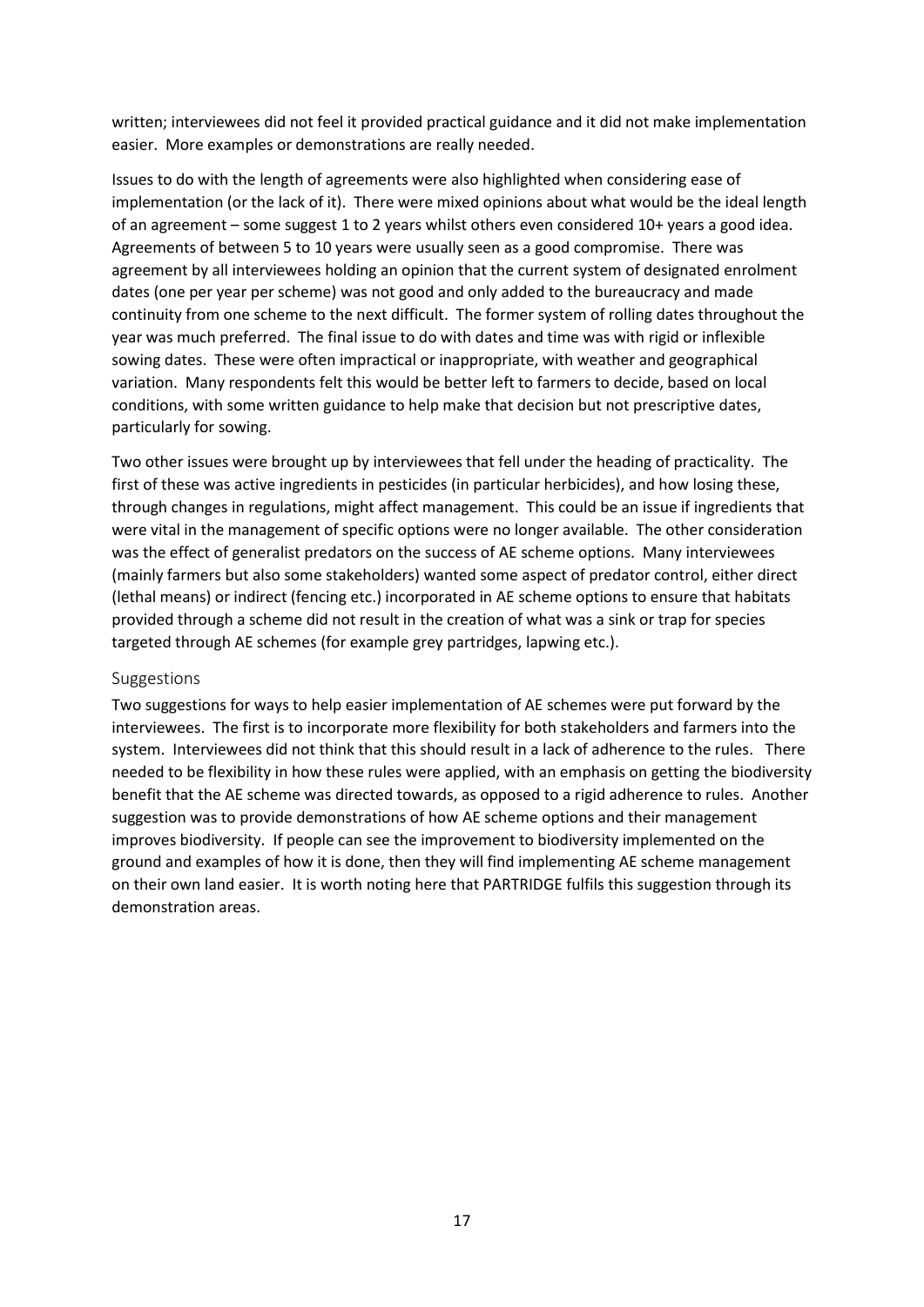written; interviewees did not feel it provided practical guidance and it did not make implementation easier. More examples or demonstrations are really needed.

Issues to do with the length of agreements were also highlighted when considering ease of implementation (or the lack of it). There were mixed opinions about what would be the ideal length of an agreement – some suggest 1 to 2 years whilst others even considered 10+ years a good idea. Agreements of between 5 to 10 years were usually seen as a good compromise. There was agreement by all interviewees holding an opinion that the current system of designated enrolment dates (one per year per scheme) was not good and only added to the bureaucracy and made continuity from one scheme to the next difficult. The former system of rolling dates throughout the year was much preferred. The final issue to do with dates and time was with rigid or inflexible sowing dates. These were often impractical or inappropriate, with weather and geographical variation. Many respondents felt this would be better left to farmers to decide, based on local conditions, with some written guidance to help make that decision but not prescriptive dates, particularly for sowing.

Two other issues were brought up by interviewees that fell under the heading of practicality. The first of these was active ingredients in pesticides (in particular herbicides), and how losing these, through changes in regulations, might affect management. This could be an issue if ingredients that were vital in the management of specific options were no longer available. The other consideration was the effect of generalist predators on the success of AE scheme options. Many interviewees (mainly farmers but also some stakeholders) wanted some aspect of predator control, either direct (lethal means) or indirect (fencing etc.) incorporated in AE scheme options to ensure that habitats provided through a scheme did not result in the creation of what was a sink or trap for species targeted through AE schemes (for example grey partridges, lapwing etc.).

#### <span id="page-16-0"></span>Suggestions

Two suggestions for ways to help easier implementation of AE schemes were put forward by the interviewees. The first is to incorporate more flexibility for both stakeholders and farmers into the system. Interviewees did not think that this should result in a lack of adherence to the rules. There needed to be flexibility in how these rules were applied, with an emphasis on getting the biodiversity benefit that the AE scheme was directed towards, as opposed to a rigid adherence to rules. Another suggestion was to provide demonstrations of how AE scheme options and their management improves biodiversity. If people can see the improvement to biodiversity implemented on the ground and examples of how it is done, then they will find implementing AE scheme management on their own land easier. It is worth noting here that PARTRIDGE fulfils this suggestion through its demonstration areas.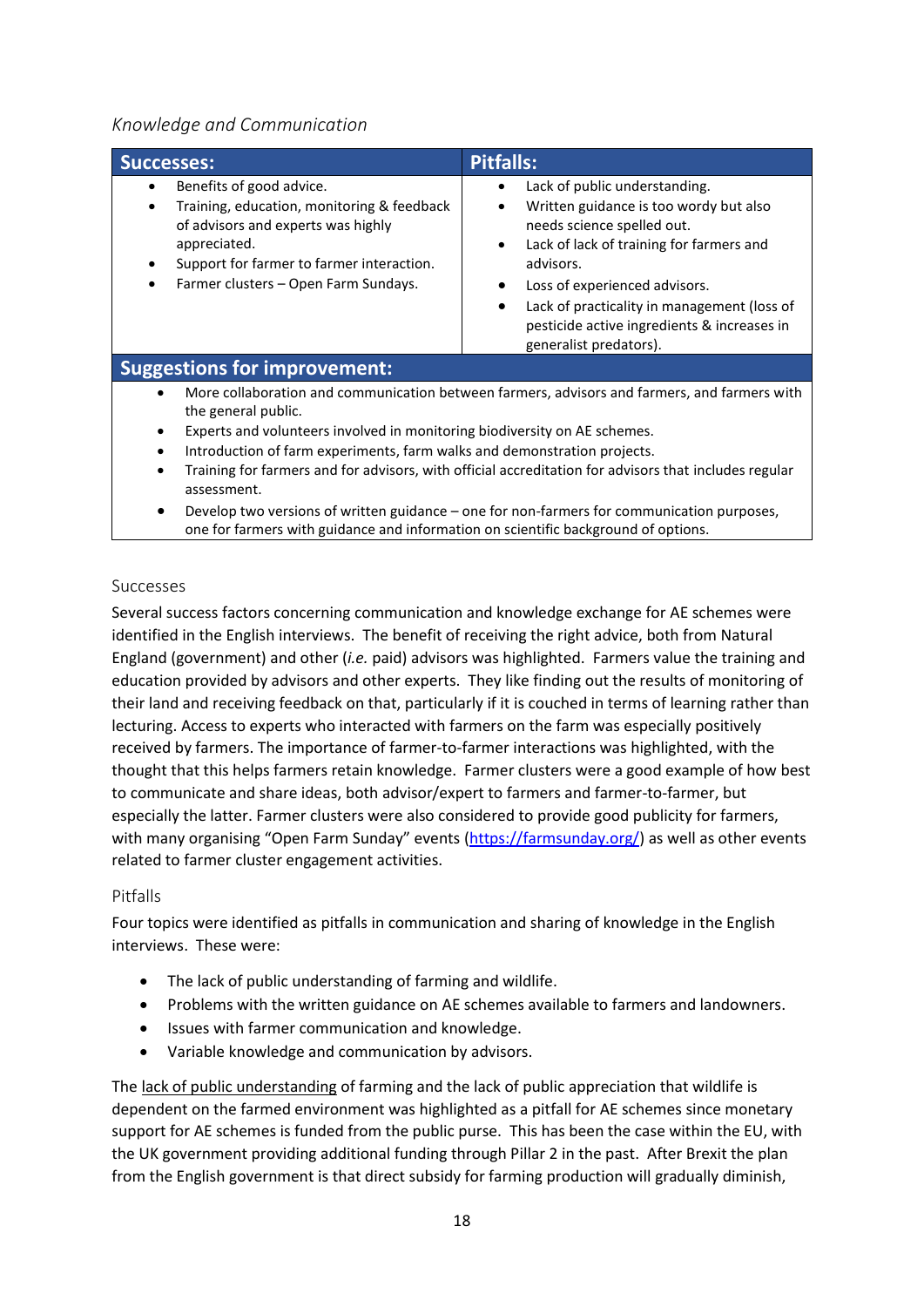#### <span id="page-17-0"></span>*Knowledge and Communication*

| <b>Successes:</b>                                                                                                                                                                                                                                                                                                                                                                                               | <b>Pitfalls:</b>                                                                                                                                                                                                                                                                                                                                                            |  |
|-----------------------------------------------------------------------------------------------------------------------------------------------------------------------------------------------------------------------------------------------------------------------------------------------------------------------------------------------------------------------------------------------------------------|-----------------------------------------------------------------------------------------------------------------------------------------------------------------------------------------------------------------------------------------------------------------------------------------------------------------------------------------------------------------------------|--|
| Benefits of good advice.<br>٠<br>Training, education, monitoring & feedback<br>$\bullet$<br>of advisors and experts was highly<br>appreciated.<br>Support for farmer to farmer interaction.<br>Farmer clusters - Open Farm Sundays.<br>٠                                                                                                                                                                        | Lack of public understanding.<br>Written guidance is too wordy but also<br>$\bullet$<br>needs science spelled out.<br>Lack of lack of training for farmers and<br>$\bullet$<br>advisors.<br>Loss of experienced advisors.<br>$\bullet$<br>Lack of practicality in management (loss of<br>$\bullet$<br>pesticide active ingredients & increases in<br>generalist predators). |  |
| <b>Suggestions for improvement:</b>                                                                                                                                                                                                                                                                                                                                                                             |                                                                                                                                                                                                                                                                                                                                                                             |  |
| More collaboration and communication between farmers, advisors and farmers, and farmers with<br>$\bullet$<br>the general public.<br>Experts and volunteers involved in monitoring biodiversity on AE schemes.<br>Introduction of farm experiments, farm walks and demonstration projects.<br>$\bullet$<br>Training for farmers and for advisors, with official accreditation for advisors that includes regular |                                                                                                                                                                                                                                                                                                                                                                             |  |

- $\mathfrak s$  and for advisors, with official accreditation for advisors that inclu assessment.
- Develop two versions of written guidance one for non-farmers for communication purposes, one for farmers with guidance and information on scientific background of options.

#### <span id="page-17-1"></span>Successes

Several success factors concerning communication and knowledge exchange for AE schemes were identified in the English interviews. The benefit of receiving the right advice, both from Natural England (government) and other (*i.e.* paid) advisors was highlighted. Farmers value the training and education provided by advisors and other experts. They like finding out the results of monitoring of their land and receiving feedback on that, particularly if it is couched in terms of learning rather than lecturing. Access to experts who interacted with farmers on the farm was especially positively received by farmers. The importance of farmer-to-farmer interactions was highlighted, with the thought that this helps farmers retain knowledge. Farmer clusters were a good example of how best to communicate and share ideas, both advisor/expert to farmers and farmer-to-farmer, but especially the latter. Farmer clusters were also considered to provide good publicity for farmers, with many organising "Open Farm Sunday" events [\(https://farmsunday.org/\)](https://farmsunday.org/) as well as other events related to farmer cluster engagement activities.

#### <span id="page-17-2"></span>Pitfalls

Four topics were identified as pitfalls in communication and sharing of knowledge in the English interviews. These were:

- The lack of public understanding of farming and wildlife.
- Problems with the written guidance on AE schemes available to farmers and landowners.
- Issues with farmer communication and knowledge.
- Variable knowledge and communication by advisors.

The lack of public understanding of farming and the lack of public appreciation that wildlife is dependent on the farmed environment was highlighted as a pitfall for AE schemes since monetary support for AE schemes is funded from the public purse. This has been the case within the EU, with the UK government providing additional funding through Pillar 2 in the past. After Brexit the plan from the English government is that direct subsidy for farming production will gradually diminish,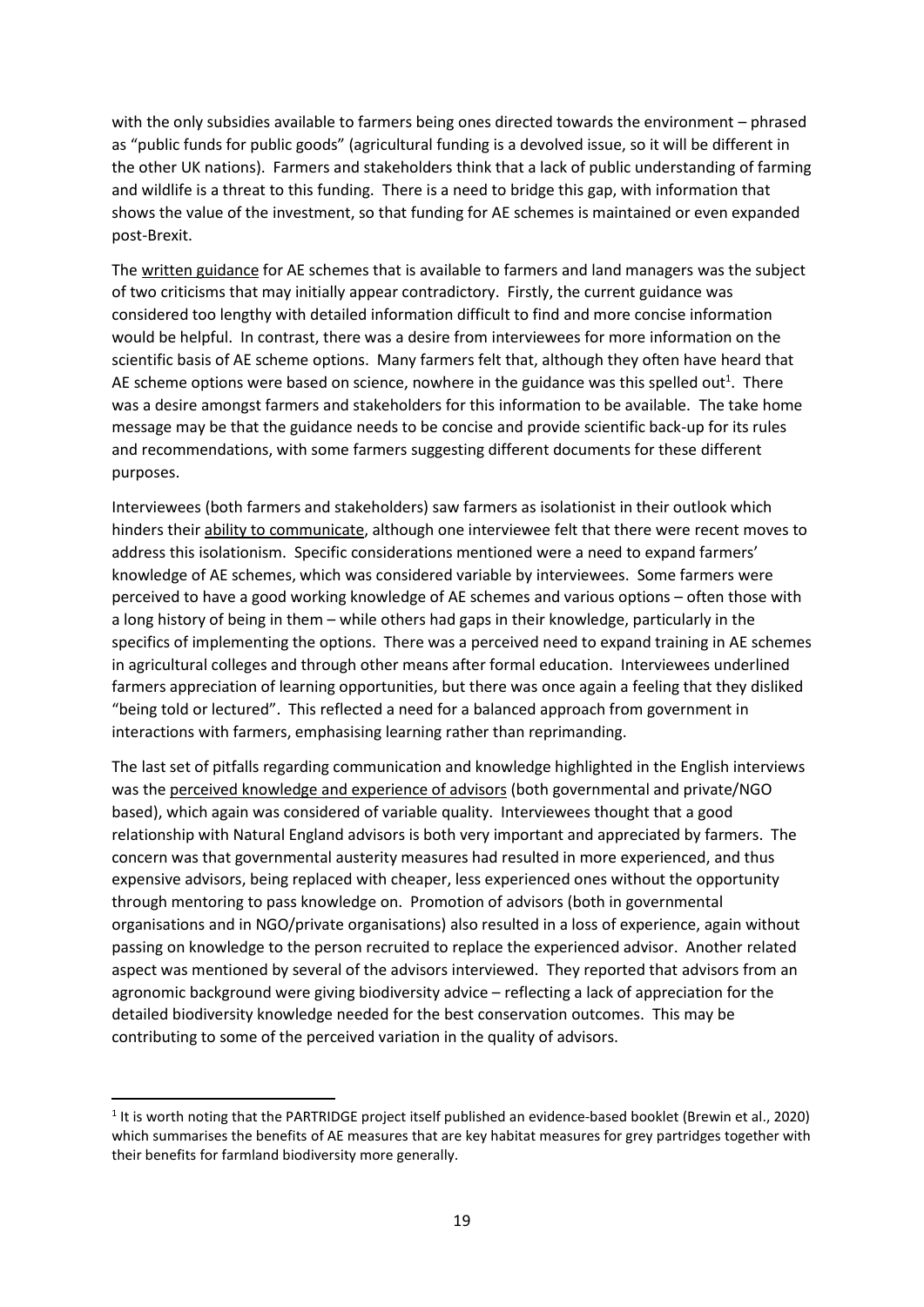with the only subsidies available to farmers being ones directed towards the environment – phrased as "public funds for public goods" (agricultural funding is a devolved issue, so it will be different in the other UK nations). Farmers and stakeholders think that a lack of public understanding of farming and wildlife is a threat to this funding. There is a need to bridge this gap, with information that shows the value of the investment, so that funding for AE schemes is maintained or even expanded post-Brexit.

The written guidance for AE schemes that is available to farmers and land managers was the subject of two criticisms that may initially appear contradictory. Firstly, the current guidance was considered too lengthy with detailed information difficult to find and more concise information would be helpful. In contrast, there was a desire from interviewees for more information on the scientific basis of AE scheme options. Many farmers felt that, although they often have heard that AE scheme options were based on science, nowhere in the guidance was this spelled out<sup>1</sup>. There was a desire amongst farmers and stakeholders for this information to be available. The take home message may be that the guidance needs to be concise and provide scientific back-up for its rules and recommendations, with some farmers suggesting different documents for these different purposes.

Interviewees (both farmers and stakeholders) saw farmers as isolationist in their outlook which hinders their ability to communicate, although one interviewee felt that there were recent moves to address this isolationism. Specific considerations mentioned were a need to expand farmers' knowledge of AE schemes, which was considered variable by interviewees. Some farmers were perceived to have a good working knowledge of AE schemes and various options – often those with a long history of being in them – while others had gaps in their knowledge, particularly in the specifics of implementing the options. There was a perceived need to expand training in AE schemes in agricultural colleges and through other means after formal education. Interviewees underlined farmers appreciation of learning opportunities, but there was once again a feeling that they disliked "being told or lectured". This reflected a need for a balanced approach from government in interactions with farmers, emphasising learning rather than reprimanding.

The last set of pitfalls regarding communication and knowledge highlighted in the English interviews was the perceived knowledge and experience of advisors (both governmental and private/NGO based), which again was considered of variable quality. Interviewees thought that a good relationship with Natural England advisors is both very important and appreciated by farmers. The concern was that governmental austerity measures had resulted in more experienced, and thus expensive advisors, being replaced with cheaper, less experienced ones without the opportunity through mentoring to pass knowledge on. Promotion of advisors (both in governmental organisations and in NGO/private organisations) also resulted in a loss of experience, again without passing on knowledge to the person recruited to replace the experienced advisor. Another related aspect was mentioned by several of the advisors interviewed. They reported that advisors from an agronomic background were giving biodiversity advice – reflecting a lack of appreciation for the detailed biodiversity knowledge needed for the best conservation outcomes. This may be contributing to some of the perceived variation in the quality of advisors.

<sup>&</sup>lt;sup>1</sup> It is worth noting that the PARTRIDGE project itself published an evidence-based booklet (Brewin et al., 2020) which summarises the benefits of AE measures that are key habitat measures for grey partridges together with their benefits for farmland biodiversity more generally.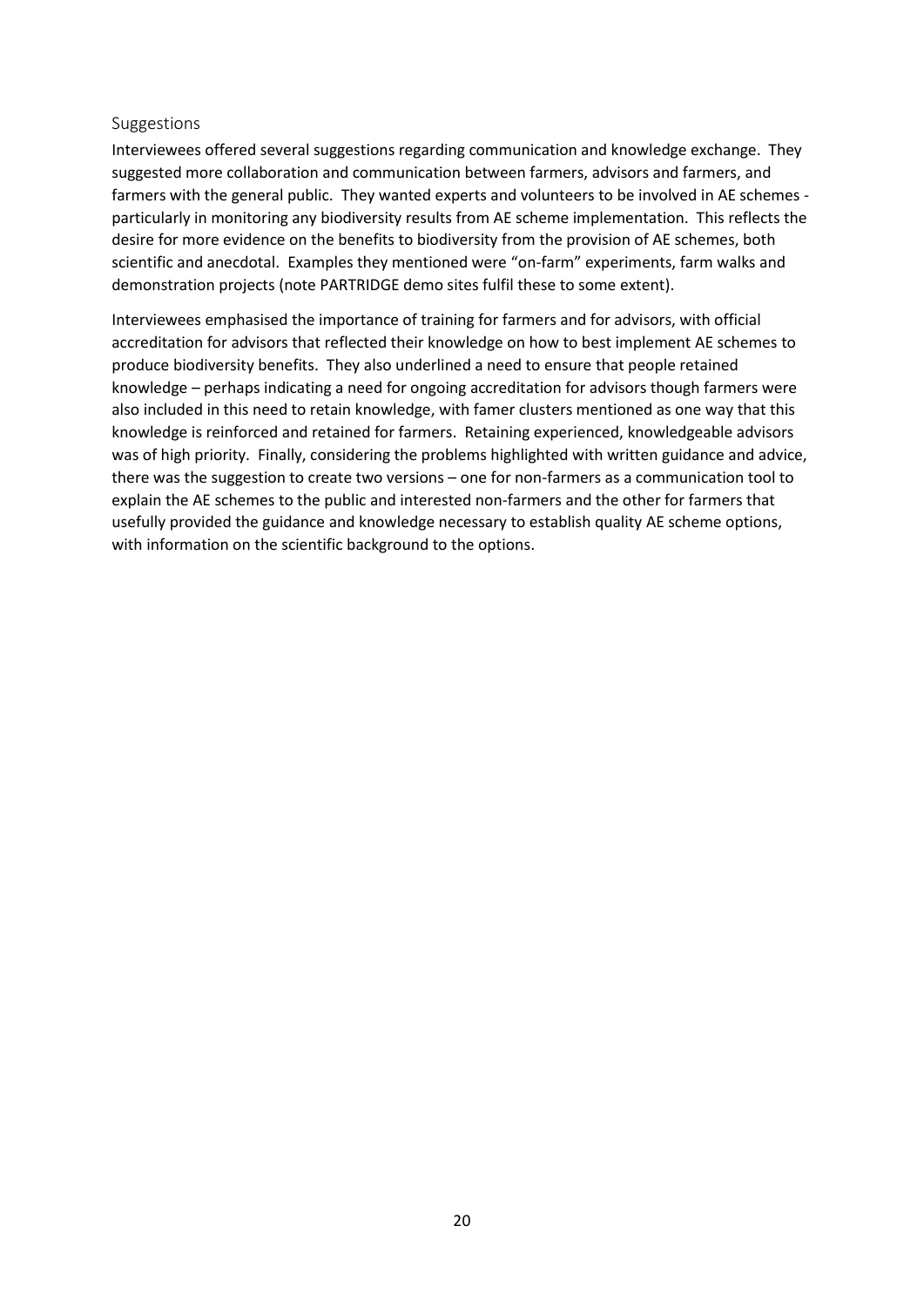#### <span id="page-19-0"></span>Suggestions

Interviewees offered several suggestions regarding communication and knowledge exchange. They suggested more collaboration and communication between farmers, advisors and farmers, and farmers with the general public. They wanted experts and volunteers to be involved in AE schemes particularly in monitoring any biodiversity results from AE scheme implementation. This reflects the desire for more evidence on the benefits to biodiversity from the provision of AE schemes, both scientific and anecdotal. Examples they mentioned were "on-farm" experiments, farm walks and demonstration projects (note PARTRIDGE demo sites fulfil these to some extent).

Interviewees emphasised the importance of training for farmers and for advisors, with official accreditation for advisors that reflected their knowledge on how to best implement AE schemes to produce biodiversity benefits. They also underlined a need to ensure that people retained knowledge – perhaps indicating a need for ongoing accreditation for advisors though farmers were also included in this need to retain knowledge, with famer clusters mentioned as one way that this knowledge is reinforced and retained for farmers. Retaining experienced, knowledgeable advisors was of high priority. Finally, considering the problems highlighted with written guidance and advice, there was the suggestion to create two versions – one for non-farmers as a communication tool to explain the AE schemes to the public and interested non-farmers and the other for farmers that usefully provided the guidance and knowledge necessary to establish quality AE scheme options, with information on the scientific background to the options.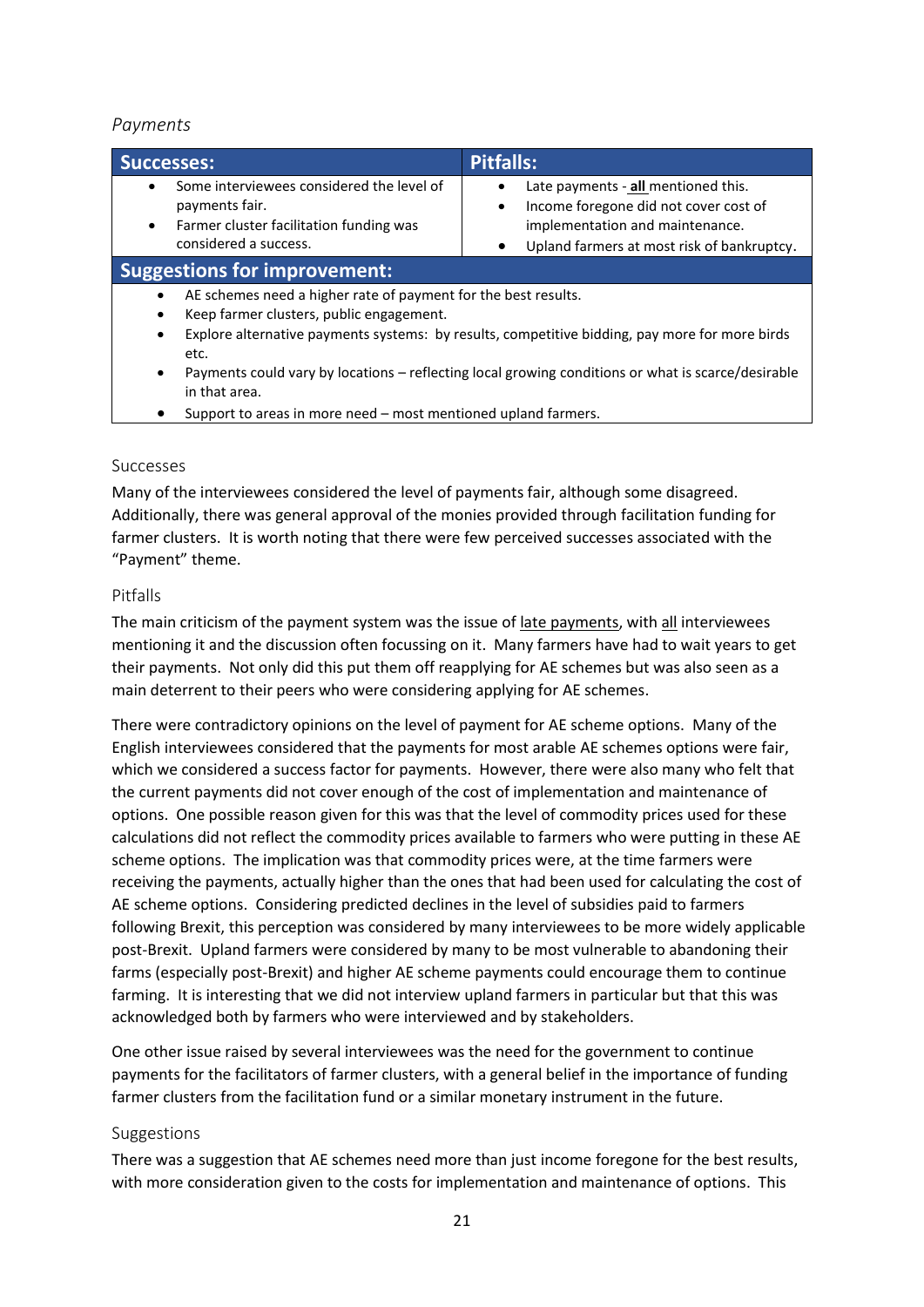#### <span id="page-20-0"></span>*Payments*

| <b>Successes:</b>                                                                                                                                                                                                                                                                                                                                                         | <b>Pitfalls:</b>                                                                                                                                                                |
|---------------------------------------------------------------------------------------------------------------------------------------------------------------------------------------------------------------------------------------------------------------------------------------------------------------------------------------------------------------------------|---------------------------------------------------------------------------------------------------------------------------------------------------------------------------------|
| Some interviewees considered the level of<br>payments fair.<br>Farmer cluster facilitation funding was<br>$\bullet$<br>considered a success.                                                                                                                                                                                                                              | Late payments - all mentioned this.<br>Income foregone did not cover cost of<br>$\bullet$<br>implementation and maintenance.<br>Upland farmers at most risk of bankruptcy.<br>٠ |
| <b>Suggestions for improvement:</b>                                                                                                                                                                                                                                                                                                                                       |                                                                                                                                                                                 |
| AE schemes need a higher rate of payment for the best results.<br>Keep farmer clusters, public engagement.<br>٠<br>Explore alternative payments systems: by results, competitive bidding, pay more for more birds<br>$\bullet$<br>etc.<br>Payments could vary by locations – reflecting local growing conditions or what is scarce/desirable<br>$\bullet$<br>in that area |                                                                                                                                                                                 |

Support to areas in more need - most mentioned upland farmers.

#### <span id="page-20-1"></span>Successes

Many of the interviewees considered the level of payments fair, although some disagreed. Additionally, there was general approval of the monies provided through facilitation funding for farmer clusters. It is worth noting that there were few perceived successes associated with the "Payment" theme.

#### <span id="page-20-2"></span>Pitfalls

The main criticism of the payment system was the issue of late payments, with all interviewees mentioning it and the discussion often focussing on it. Many farmers have had to wait years to get their payments. Not only did this put them off reapplying for AE schemes but was also seen as a main deterrent to their peers who were considering applying for AE schemes.

There were contradictory opinions on the level of payment for AE scheme options. Many of the English interviewees considered that the payments for most arable AE schemes options were fair, which we considered a success factor for payments. However, there were also many who felt that the current payments did not cover enough of the cost of implementation and maintenance of options. One possible reason given for this was that the level of commodity prices used for these calculations did not reflect the commodity prices available to farmers who were putting in these AE scheme options. The implication was that commodity prices were, at the time farmers were receiving the payments, actually higher than the ones that had been used for calculating the cost of AE scheme options. Considering predicted declines in the level of subsidies paid to farmers following Brexit, this perception was considered by many interviewees to be more widely applicable post-Brexit. Upland farmers were considered by many to be most vulnerable to abandoning their farms (especially post-Brexit) and higher AE scheme payments could encourage them to continue farming. It is interesting that we did not interview upland farmers in particular but that this was acknowledged both by farmers who were interviewed and by stakeholders.

One other issue raised by several interviewees was the need for the government to continue payments for the facilitators of farmer clusters, with a general belief in the importance of funding farmer clusters from the facilitation fund or a similar monetary instrument in the future.

#### <span id="page-20-3"></span>Suggestions

There was a suggestion that AE schemes need more than just income foregone for the best results, with more consideration given to the costs for implementation and maintenance of options. This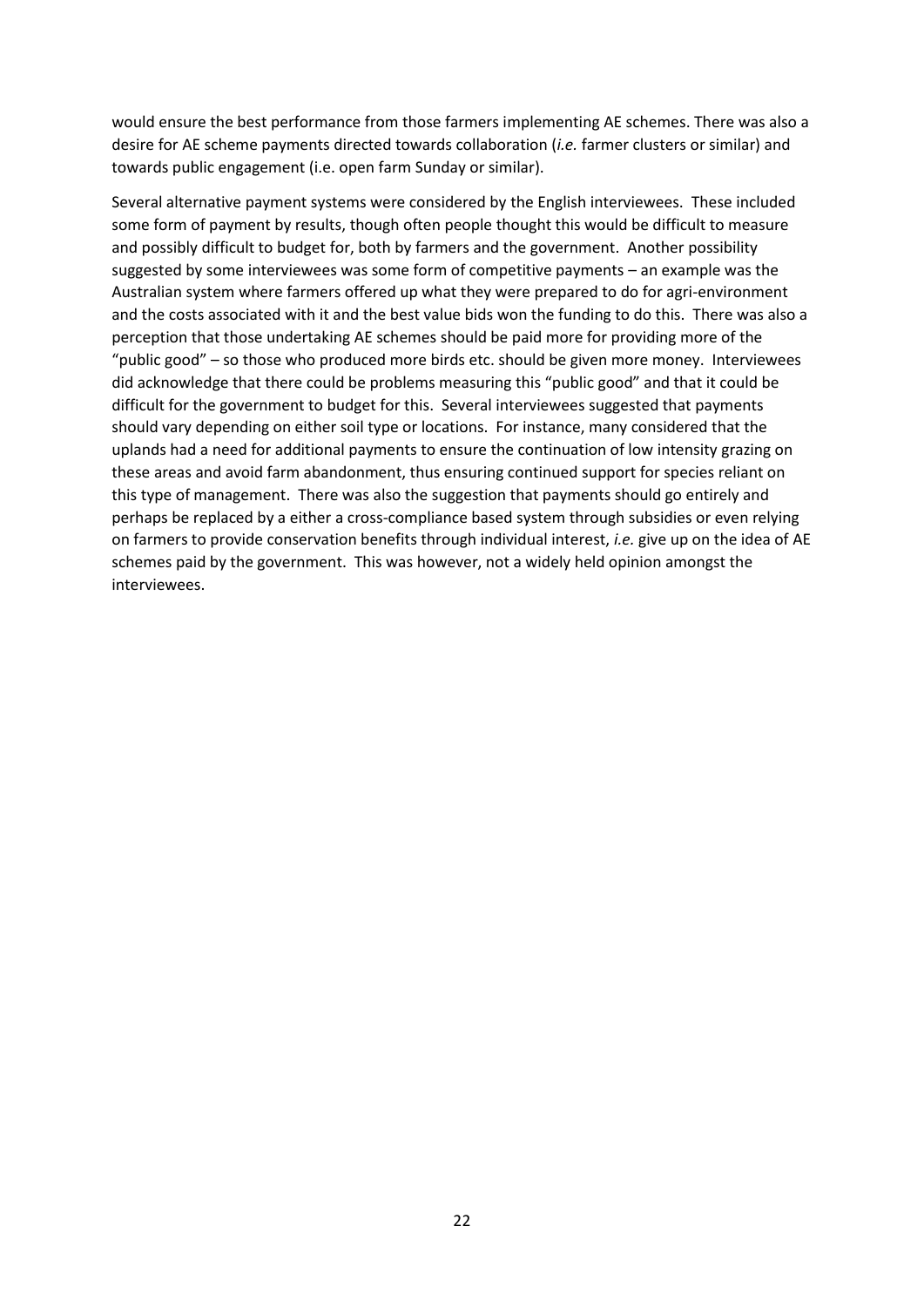would ensure the best performance from those farmers implementing AE schemes. There was also a desire for AE scheme payments directed towards collaboration (*i.e.* farmer clusters or similar) and towards public engagement (i.e. open farm Sunday or similar).

Several alternative payment systems were considered by the English interviewees. These included some form of payment by results, though often people thought this would be difficult to measure and possibly difficult to budget for, both by farmers and the government. Another possibility suggested by some interviewees was some form of competitive payments – an example was the Australian system where farmers offered up what they were prepared to do for agri-environment and the costs associated with it and the best value bids won the funding to do this. There was also a perception that those undertaking AE schemes should be paid more for providing more of the "public good" – so those who produced more birds etc. should be given more money. Interviewees did acknowledge that there could be problems measuring this "public good" and that it could be difficult for the government to budget for this. Several interviewees suggested that payments should vary depending on either soil type or locations. For instance, many considered that the uplands had a need for additional payments to ensure the continuation of low intensity grazing on these areas and avoid farm abandonment, thus ensuring continued support for species reliant on this type of management. There was also the suggestion that payments should go entirely and perhaps be replaced by a either a cross-compliance based system through subsidies or even relying on farmers to provide conservation benefits through individual interest, *i.e.* give up on the idea of AE schemes paid by the government. This was however, not a widely held opinion amongst the interviewees.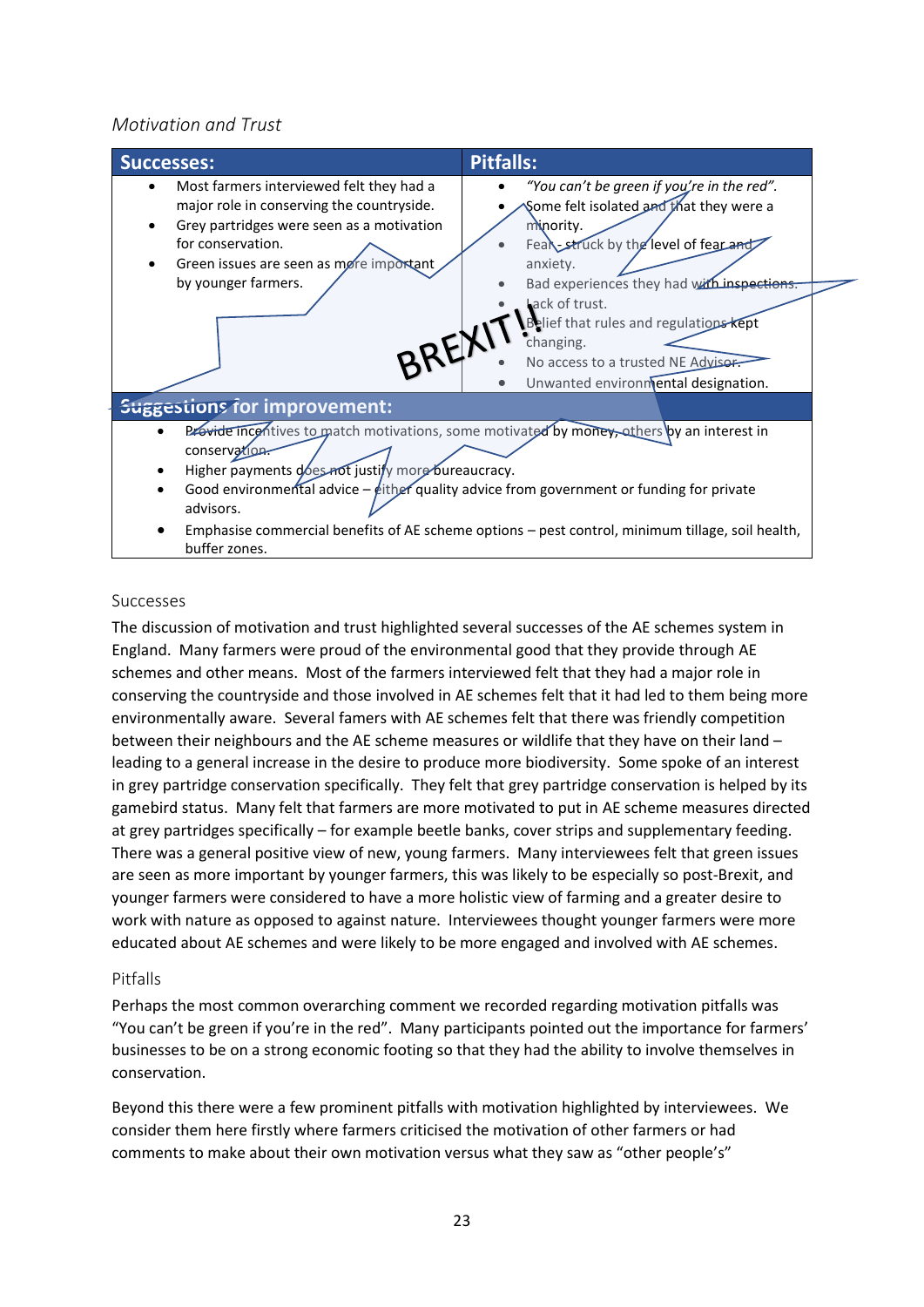#### <span id="page-22-0"></span>*Motivation and Trust*



#### <span id="page-22-1"></span>Successes

The discussion of motivation and trust highlighted several successes of the AE schemes system in England. Many farmers were proud of the environmental good that they provide through AE schemes and other means. Most of the farmers interviewed felt that they had a major role in conserving the countryside and those involved in AE schemes felt that it had led to them being more environmentally aware. Several famers with AE schemes felt that there was friendly competition between their neighbours and the AE scheme measures or wildlife that they have on their land – leading to a general increase in the desire to produce more biodiversity. Some spoke of an interest in grey partridge conservation specifically. They felt that grey partridge conservation is helped by its gamebird status. Many felt that farmers are more motivated to put in AE scheme measures directed at grey partridges specifically – for example beetle banks, cover strips and supplementary feeding. There was a general positive view of new, young farmers. Many interviewees felt that green issues are seen as more important by younger farmers, this was likely to be especially so post-Brexit, and younger farmers were considered to have a more holistic view of farming and a greater desire to work with nature as opposed to against nature. Interviewees thought younger farmers were more educated about AE schemes and were likely to be more engaged and involved with AE schemes.

#### <span id="page-22-2"></span>Pitfalls

Perhaps the most common overarching comment we recorded regarding motivation pitfalls was "You can't be green if you're in the red". Many participants pointed out the importance for farmers' businesses to be on a strong economic footing so that they had the ability to involve themselves in conservation.

Beyond this there were a few prominent pitfalls with motivation highlighted by interviewees. We consider them here firstly where farmers criticised the motivation of other farmers or had comments to make about their own motivation versus what they saw as "other people's"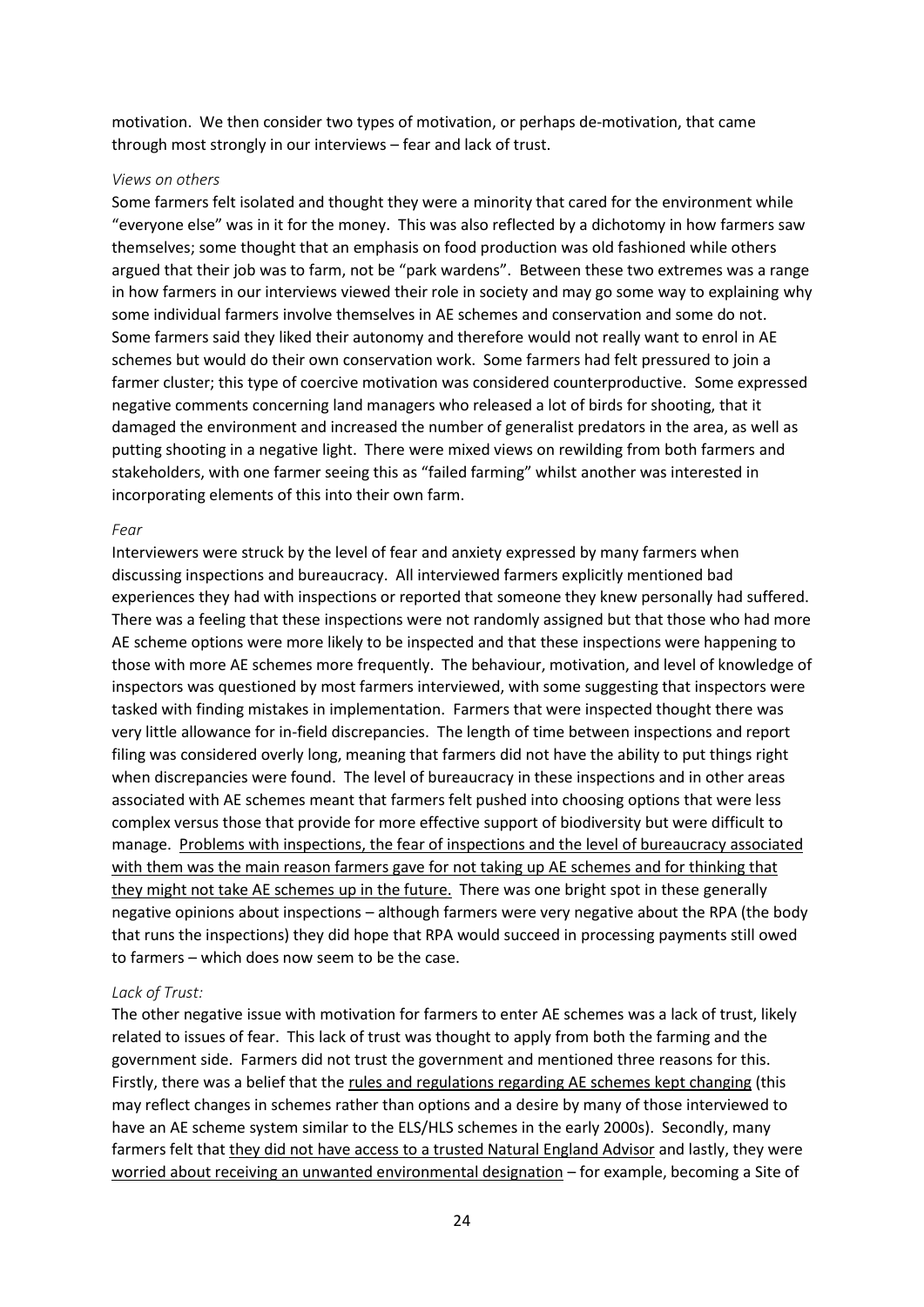motivation. We then consider two types of motivation, or perhaps de-motivation, that came through most strongly in our interviews – fear and lack of trust.

#### *Views on others*

Some farmers felt isolated and thought they were a minority that cared for the environment while "everyone else" was in it for the money. This was also reflected by a dichotomy in how farmers saw themselves; some thought that an emphasis on food production was old fashioned while others argued that their job was to farm, not be "park wardens". Between these two extremes was a range in how farmers in our interviews viewed their role in society and may go some way to explaining why some individual farmers involve themselves in AE schemes and conservation and some do not. Some farmers said they liked their autonomy and therefore would not really want to enrol in AE schemes but would do their own conservation work. Some farmers had felt pressured to join a farmer cluster; this type of coercive motivation was considered counterproductive. Some expressed negative comments concerning land managers who released a lot of birds for shooting, that it damaged the environment and increased the number of generalist predators in the area, as well as putting shooting in a negative light. There were mixed views on rewilding from both farmers and stakeholders, with one farmer seeing this as "failed farming" whilst another was interested in incorporating elements of this into their own farm.

#### *Fear*

Interviewers were struck by the level of fear and anxiety expressed by many farmers when discussing inspections and bureaucracy. All interviewed farmers explicitly mentioned bad experiences they had with inspections or reported that someone they knew personally had suffered. There was a feeling that these inspections were not randomly assigned but that those who had more AE scheme options were more likely to be inspected and that these inspections were happening to those with more AE schemes more frequently. The behaviour, motivation, and level of knowledge of inspectors was questioned by most farmers interviewed, with some suggesting that inspectors were tasked with finding mistakes in implementation. Farmers that were inspected thought there was very little allowance for in-field discrepancies. The length of time between inspections and report filing was considered overly long, meaning that farmers did not have the ability to put things right when discrepancies were found. The level of bureaucracy in these inspections and in other areas associated with AE schemes meant that farmers felt pushed into choosing options that were less complex versus those that provide for more effective support of biodiversity but were difficult to manage. Problems with inspections, the fear of inspections and the level of bureaucracy associated with them was the main reason farmers gave for not taking up AE schemes and for thinking that they might not take AE schemes up in the future. There was one bright spot in these generally negative opinions about inspections – although farmers were very negative about the RPA (the body that runs the inspections) they did hope that RPA would succeed in processing payments still owed to farmers – which does now seem to be the case.

#### *Lack of Trust:*

The other negative issue with motivation for farmers to enter AE schemes was a lack of trust, likely related to issues of fear. This lack of trust was thought to apply from both the farming and the government side. Farmers did not trust the government and mentioned three reasons for this. Firstly, there was a belief that the rules and regulations regarding AE schemes kept changing (this may reflect changes in schemes rather than options and a desire by many of those interviewed to have an AE scheme system similar to the ELS/HLS schemes in the early 2000s). Secondly, many farmers felt that they did not have access to a trusted Natural England Advisor and lastly, they were worried about receiving an unwanted environmental designation – for example, becoming a Site of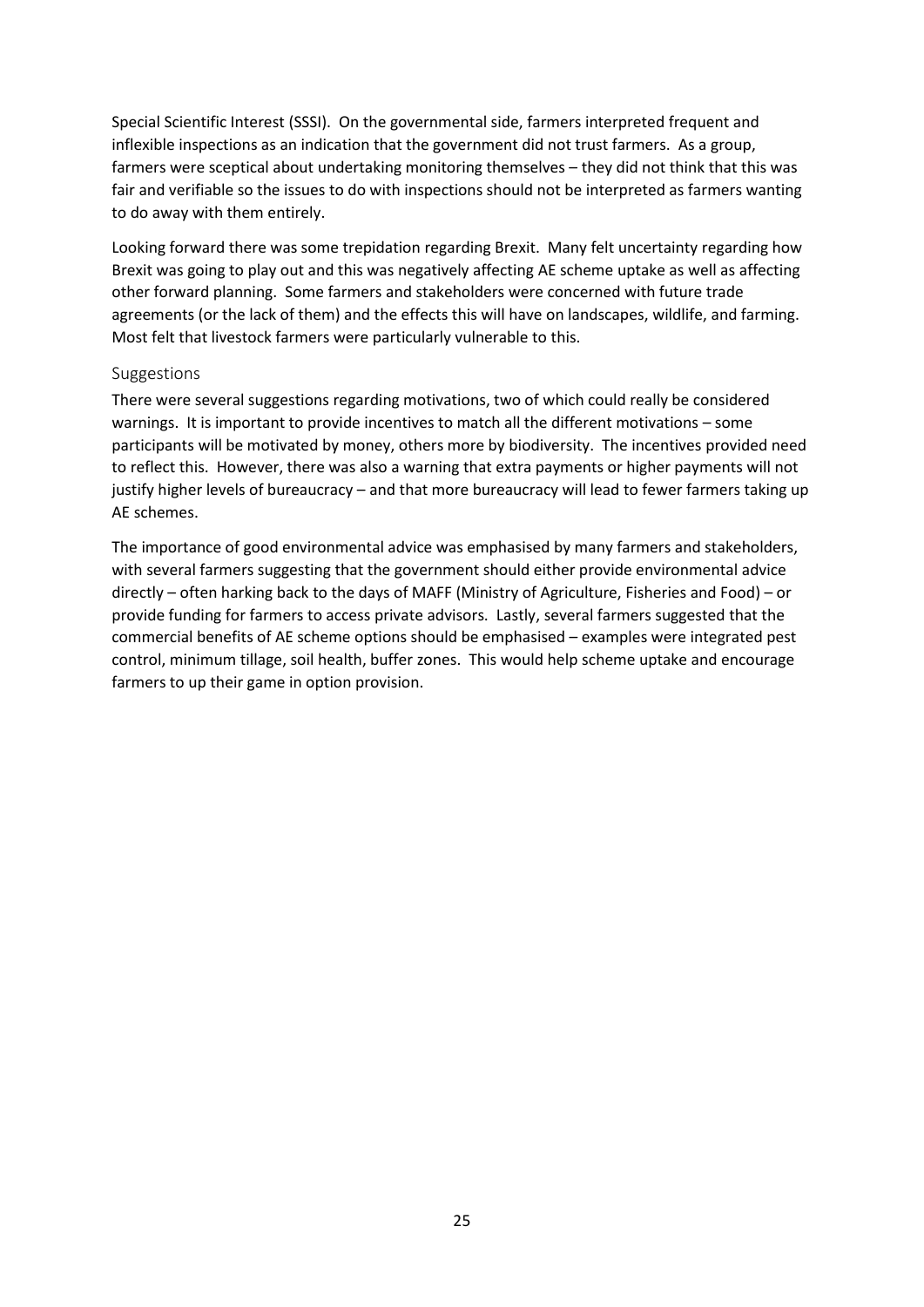Special Scientific Interest (SSSI). On the governmental side, farmers interpreted frequent and inflexible inspections as an indication that the government did not trust farmers. As a group, farmers were sceptical about undertaking monitoring themselves – they did not think that this was fair and verifiable so the issues to do with inspections should not be interpreted as farmers wanting to do away with them entirely.

Looking forward there was some trepidation regarding Brexit. Many felt uncertainty regarding how Brexit was going to play out and this was negatively affecting AE scheme uptake as well as affecting other forward planning. Some farmers and stakeholders were concerned with future trade agreements (or the lack of them) and the effects this will have on landscapes, wildlife, and farming. Most felt that livestock farmers were particularly vulnerable to this.

#### <span id="page-24-0"></span>Suggestions

There were several suggestions regarding motivations, two of which could really be considered warnings. It is important to provide incentives to match all the different motivations – some participants will be motivated by money, others more by biodiversity. The incentives provided need to reflect this. However, there was also a warning that extra payments or higher payments will not justify higher levels of bureaucracy – and that more bureaucracy will lead to fewer farmers taking up AE schemes.

The importance of good environmental advice was emphasised by many farmers and stakeholders, with several farmers suggesting that the government should either provide environmental advice directly – often harking back to the days of MAFF (Ministry of Agriculture, Fisheries and Food) – or provide funding for farmers to access private advisors. Lastly, several farmers suggested that the commercial benefits of AE scheme options should be emphasised – examples were integrated pest control, minimum tillage, soil health, buffer zones. This would help scheme uptake and encourage farmers to up their game in option provision.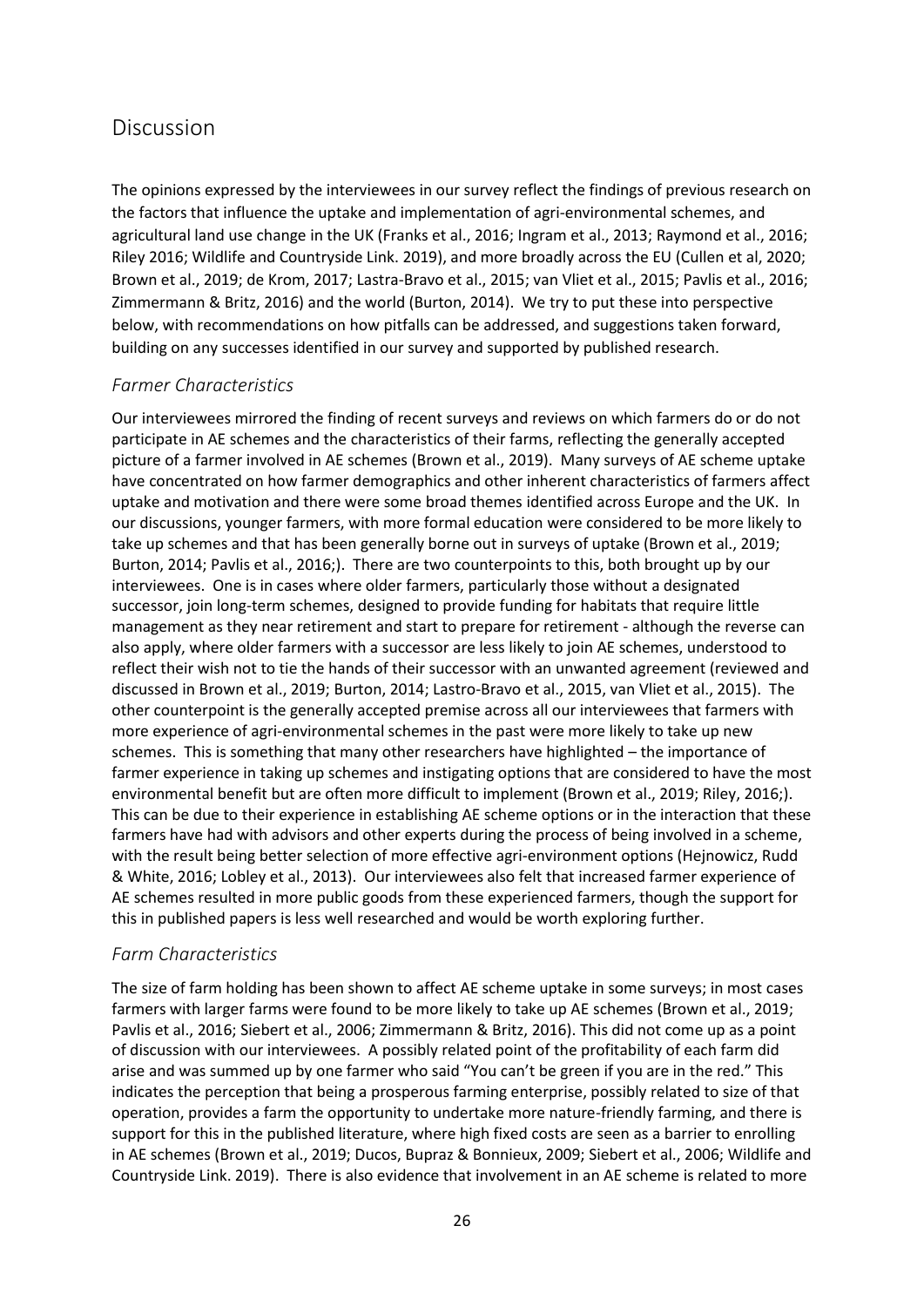## <span id="page-25-0"></span>Discussion

The opinions expressed by the interviewees in our survey reflect the findings of previous research on the factors that influence the uptake and implementation of agri-environmental schemes, and agricultural land use change in the UK (Franks et al., 2016; Ingram et al., 2013; Raymond et al., 2016; Riley 2016; Wildlife and Countryside Link. 2019), and more broadly across the EU (Cullen et al, 2020; Brown et al., 2019; de Krom, 2017; Lastra-Bravo et al., 2015; van Vliet et al., 2015; Pavlis et al., 2016; Zimmermann & Britz, 2016) and the world (Burton, 2014). We try to put these into perspective below, with recommendations on how pitfalls can be addressed, and suggestions taken forward, building on any successes identified in our survey and supported by published research.

#### <span id="page-25-1"></span>*Farmer Characteristics*

Our interviewees mirrored the finding of recent surveys and reviews on which farmers do or do not participate in AE schemes and the characteristics of their farms, reflecting the generally accepted picture of a farmer involved in AE schemes (Brown et al., 2019). Many surveys of AE scheme uptake have concentrated on how farmer demographics and other inherent characteristics of farmers affect uptake and motivation and there were some broad themes identified across Europe and the UK. In our discussions, younger farmers, with more formal education were considered to be more likely to take up schemes and that has been generally borne out in surveys of uptake (Brown et al., 2019; Burton, 2014; Pavlis et al., 2016;). There are two counterpoints to this, both brought up by our interviewees. One is in cases where older farmers, particularly those without a designated successor, join long-term schemes, designed to provide funding for habitats that require little management as they near retirement and start to prepare for retirement - although the reverse can also apply, where older farmers with a successor are less likely to join AE schemes, understood to reflect their wish not to tie the hands of their successor with an unwanted agreement (reviewed and discussed in Brown et al., 2019; Burton, 2014; Lastro-Bravo et al., 2015, van Vliet et al., 2015). The other counterpoint is the generally accepted premise across all our interviewees that farmers with more experience of agri-environmental schemes in the past were more likely to take up new schemes. This is something that many other researchers have highlighted – the importance of farmer experience in taking up schemes and instigating options that are considered to have the most environmental benefit but are often more difficult to implement (Brown et al., 2019; Riley, 2016;). This can be due to their experience in establishing AE scheme options or in the interaction that these farmers have had with advisors and other experts during the process of being involved in a scheme, with the result being better selection of more effective agri-environment options (Hejnowicz, Rudd & White, 2016; Lobley et al., 2013). Our interviewees also felt that increased farmer experience of AE schemes resulted in more public goods from these experienced farmers, though the support for this in published papers is less well researched and would be worth exploring further.

#### <span id="page-25-2"></span>*Farm Characteristics*

The size of farm holding has been shown to affect AE scheme uptake in some surveys; in most cases farmers with larger farms were found to be more likely to take up AE schemes (Brown et al., 2019; Pavlis et al., 2016; Siebert et al., 2006; Zimmermann & Britz, 2016). This did not come up as a point of discussion with our interviewees. A possibly related point of the profitability of each farm did arise and was summed up by one farmer who said "You can't be green if you are in the red." This indicates the perception that being a prosperous farming enterprise, possibly related to size of that operation, provides a farm the opportunity to undertake more nature-friendly farming, and there is support for this in the published literature, where high fixed costs are seen as a barrier to enrolling in AE schemes (Brown et al., 2019; Ducos, Bupraz & Bonnieux, 2009; Siebert et al., 2006; Wildlife and Countryside Link. 2019). There is also evidence that involvement in an AE scheme is related to more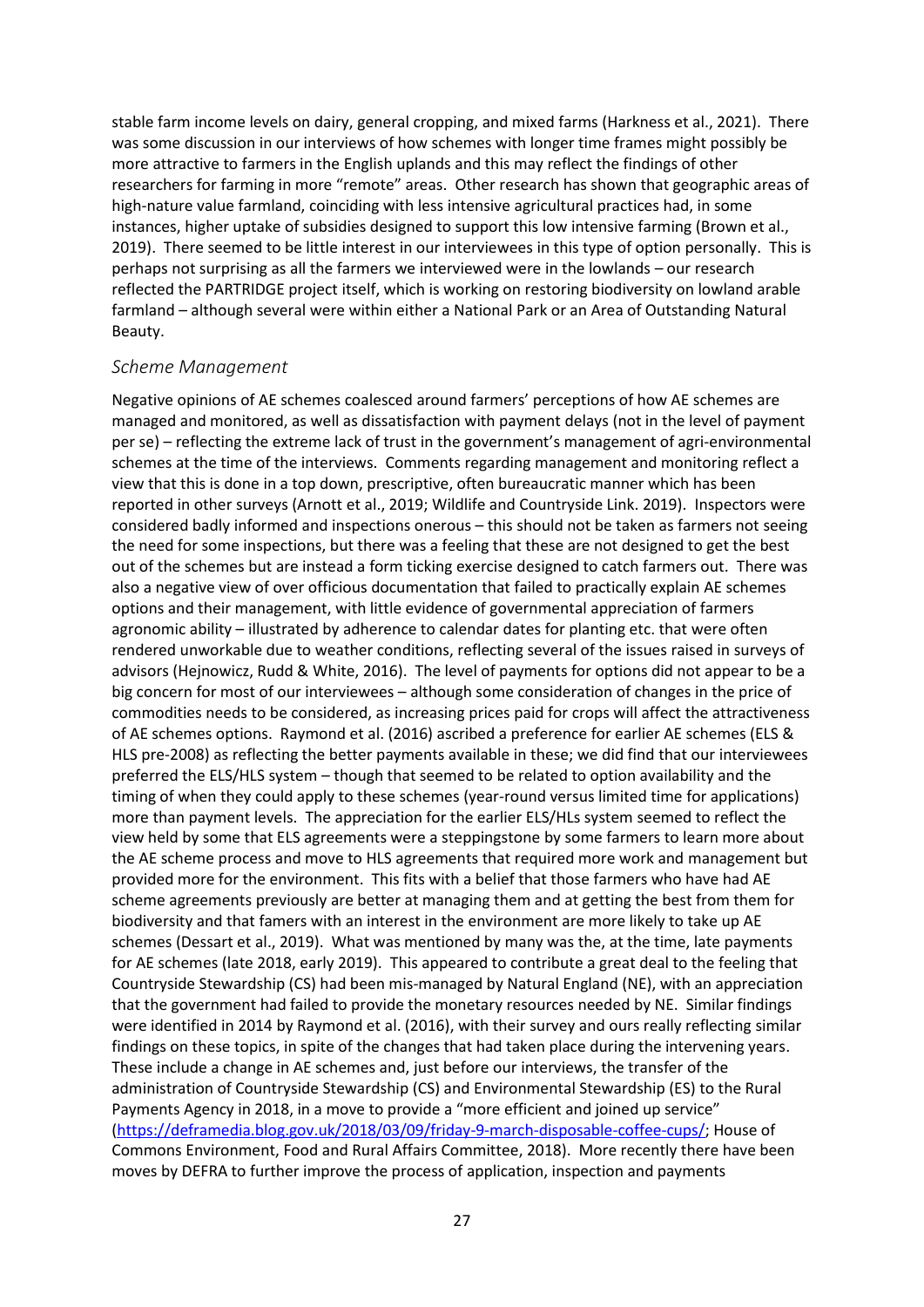stable farm income levels on dairy, general cropping, and mixed farms (Harkness et al., 2021). There was some discussion in our interviews of how schemes with longer time frames might possibly be more attractive to farmers in the English uplands and this may reflect the findings of other researchers for farming in more "remote" areas. Other research has shown that geographic areas of high-nature value farmland, coinciding with less intensive agricultural practices had, in some instances, higher uptake of subsidies designed to support this low intensive farming (Brown et al., 2019). There seemed to be little interest in our interviewees in this type of option personally. This is perhaps not surprising as all the farmers we interviewed were in the lowlands – our research reflected the PARTRIDGE project itself, which is working on restoring biodiversity on lowland arable farmland – although several were within either a National Park or an Area of Outstanding Natural Beauty.

#### <span id="page-26-0"></span>*Scheme Management*

Negative opinions of AE schemes coalesced around farmers' perceptions of how AE schemes are managed and monitored, as well as dissatisfaction with payment delays (not in the level of payment per se) – reflecting the extreme lack of trust in the government's management of agri-environmental schemes at the time of the interviews. Comments regarding management and monitoring reflect a view that this is done in a top down, prescriptive, often bureaucratic manner which has been reported in other surveys (Arnott et al., 2019; Wildlife and Countryside Link. 2019). Inspectors were considered badly informed and inspections onerous – this should not be taken as farmers not seeing the need for some inspections, but there was a feeling that these are not designed to get the best out of the schemes but are instead a form ticking exercise designed to catch farmers out. There was also a negative view of over officious documentation that failed to practically explain AE schemes options and their management, with little evidence of governmental appreciation of farmers agronomic ability – illustrated by adherence to calendar dates for planting etc. that were often rendered unworkable due to weather conditions, reflecting several of the issues raised in surveys of advisors (Hejnowicz, Rudd & White, 2016). The level of payments for options did not appear to be a big concern for most of our interviewees – although some consideration of changes in the price of commodities needs to be considered, as increasing prices paid for crops will affect the attractiveness of AE schemes options. Raymond et al. (2016) ascribed a preference for earlier AE schemes (ELS & HLS pre-2008) as reflecting the better payments available in these; we did find that our interviewees preferred the ELS/HLS system – though that seemed to be related to option availability and the timing of when they could apply to these schemes (year-round versus limited time for applications) more than payment levels. The appreciation for the earlier ELS/HLs system seemed to reflect the view held by some that ELS agreements were a steppingstone by some farmers to learn more about the AE scheme process and move to HLS agreements that required more work and management but provided more for the environment. This fits with a belief that those farmers who have had AE scheme agreements previously are better at managing them and at getting the best from them for biodiversity and that famers with an interest in the environment are more likely to take up AE schemes (Dessart et al., 2019). What was mentioned by many was the, at the time, late payments for AE schemes (late 2018, early 2019). This appeared to contribute a great deal to the feeling that Countryside Stewardship (CS) had been mis-managed by Natural England (NE), with an appreciation that the government had failed to provide the monetary resources needed by NE. Similar findings were identified in 2014 by Raymond et al. (2016), with their survey and ours really reflecting similar findings on these topics, in spite of the changes that had taken place during the intervening years. These include a change in AE schemes and, just before our interviews, the transfer of the administration of Countryside Stewardship (CS) and Environmental Stewardship (ES) to the Rural Payments Agency in 2018, in a move to provide a "more efficient and joined up service" [\(https://deframedia.blog.gov.uk/2018/03/09/friday-9-march-disposable-coffee-cups/;](https://deframedia.blog.gov.uk/2018/03/09/friday-9-march-disposable-coffee-cups/) House of Commons Environment, Food and Rural Affairs Committee, 2018). More recently there have been moves by DEFRA to further improve the process of application, inspection and payments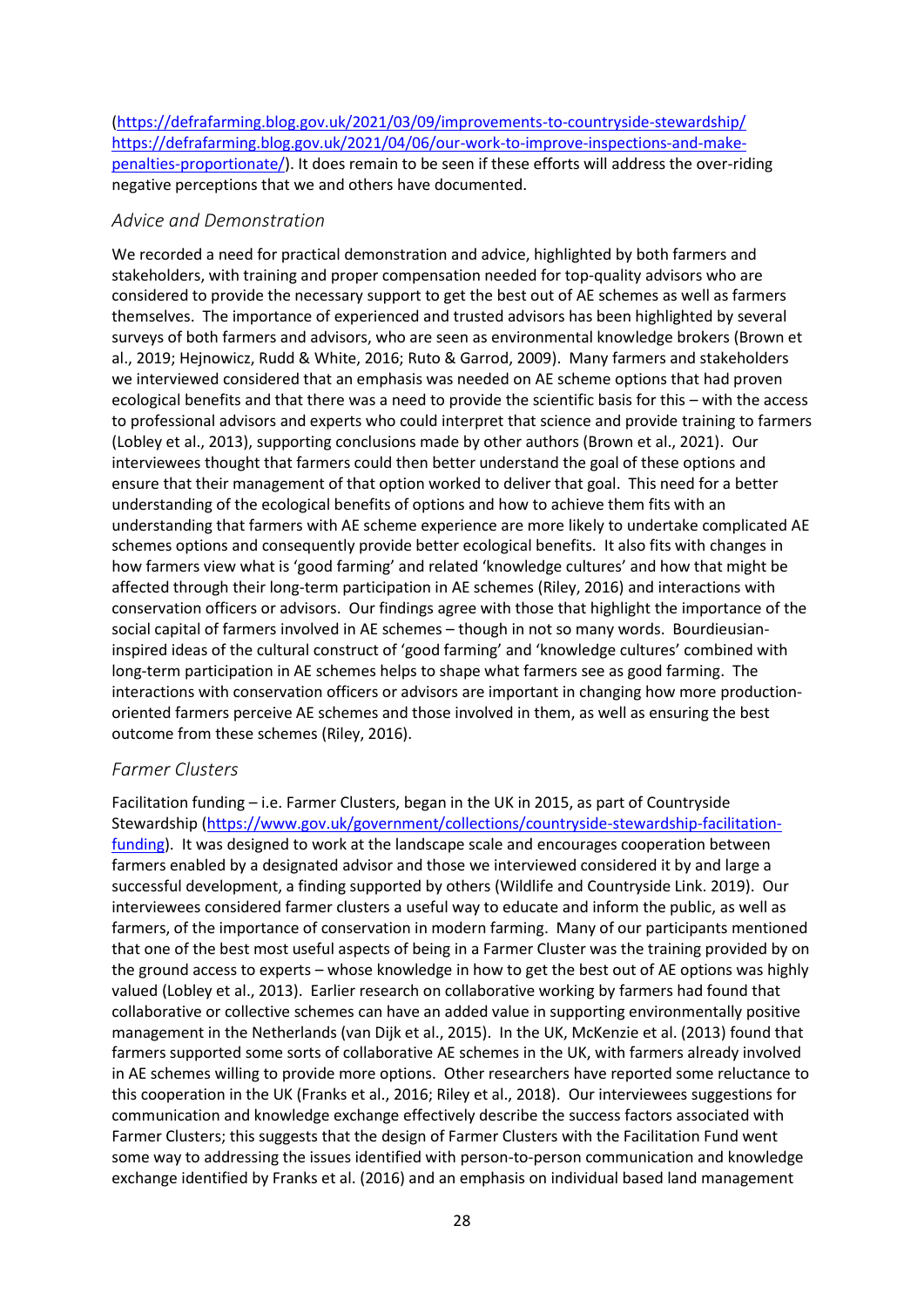[\(https://defrafarming.blog.gov.uk/2021/03/09/improvements-to-countryside-stewardship/](https://defrafarming.blog.gov.uk/2021/03/09/improvements-to-countryside-stewardship/) [https://defrafarming.blog.gov.uk/2021/04/06/our-work-to-improve-inspections-and-make](https://defrafarming.blog.gov.uk/2021/04/06/our-work-to-improve-inspections-and-make-penalties-proportionate/)[penalties-proportionate/\)](https://defrafarming.blog.gov.uk/2021/04/06/our-work-to-improve-inspections-and-make-penalties-proportionate/). It does remain to be seen if these efforts will address the over-riding negative perceptions that we and others have documented.

#### <span id="page-27-0"></span>*Advice and Demonstration*

We recorded a need for practical demonstration and advice, highlighted by both farmers and stakeholders, with training and proper compensation needed for top-quality advisors who are considered to provide the necessary support to get the best out of AE schemes as well as farmers themselves. The importance of experienced and trusted advisors has been highlighted by several surveys of both farmers and advisors, who are seen as environmental knowledge brokers (Brown et al., 2019; Hejnowicz, Rudd & White, 2016; Ruto & Garrod, 2009). Many farmers and stakeholders we interviewed considered that an emphasis was needed on AE scheme options that had proven ecological benefits and that there was a need to provide the scientific basis for this – with the access to professional advisors and experts who could interpret that science and provide training to farmers (Lobley et al., 2013), supporting conclusions made by other authors (Brown et al., 2021). Our interviewees thought that farmers could then better understand the goal of these options and ensure that their management of that option worked to deliver that goal. This need for a better understanding of the ecological benefits of options and how to achieve them fits with an understanding that farmers with AE scheme experience are more likely to undertake complicated AE schemes options and consequently provide better ecological benefits. It also fits with changes in how farmers view what is 'good farming' and related 'knowledge cultures' and how that might be affected through their long-term participation in AE schemes (Riley, 2016) and interactions with conservation officers or advisors. Our findings agree with those that highlight the importance of the social capital of farmers involved in AE schemes – though in not so many words. Bourdieusianinspired ideas of the cultural construct of 'good farming' and 'knowledge cultures' combined with long-term participation in AE schemes helps to shape what farmers see as good farming. The interactions with conservation officers or advisors are important in changing how more productionoriented farmers perceive AE schemes and those involved in them, as well as ensuring the best outcome from these schemes (Riley, 2016).

#### <span id="page-27-1"></span>*Farmer Clusters*

Facilitation funding – i.e. Farmer Clusters, began in the UK in 2015, as part of Countryside Stewardship [\(https://www.gov.uk/government/collections/countryside-stewardship-facilitation](https://www.gov.uk/government/collections/countryside-stewardship-facilitation-funding)[funding\)](https://www.gov.uk/government/collections/countryside-stewardship-facilitation-funding). It was designed to work at the landscape scale and encourages cooperation between farmers enabled by a designated advisor and those we interviewed considered it by and large a successful development, a finding supported by others (Wildlife and Countryside Link. 2019). Our interviewees considered farmer clusters a useful way to educate and inform the public, as well as farmers, of the importance of conservation in modern farming. Many of our participants mentioned that one of the best most useful aspects of being in a Farmer Cluster was the training provided by on the ground access to experts – whose knowledge in how to get the best out of AE options was highly valued (Lobley et al., 2013). Earlier research on collaborative working by farmers had found that collaborative or collective schemes can have an added value in supporting environmentally positive management in the Netherlands (van Dijk et al., 2015). In the UK, McKenzie et al. (2013) found that farmers supported some sorts of collaborative AE schemes in the UK, with farmers already involved in AE schemes willing to provide more options. Other researchers have reported some reluctance to this cooperation in the UK (Franks et al., 2016; Riley et al., 2018). Our interviewees suggestions for communication and knowledge exchange effectively describe the success factors associated with Farmer Clusters; this suggests that the design of Farmer Clusters with the Facilitation Fund went some way to addressing the issues identified with person-to-person communication and knowledge exchange identified by Franks et al. (2016) and an emphasis on individual based land management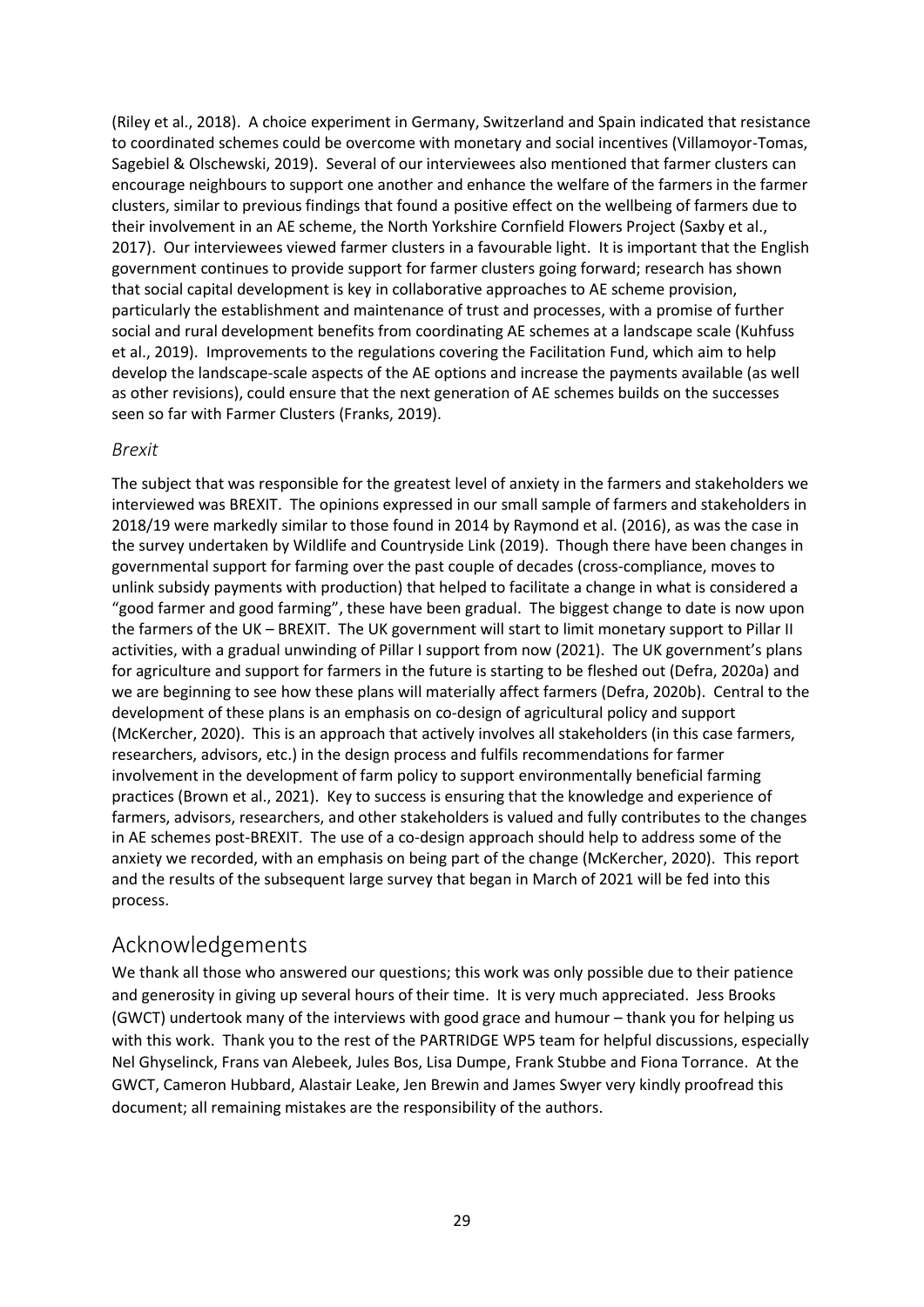(Riley et al., 2018). A choice experiment in Germany, Switzerland and Spain indicated that resistance to coordinated schemes could be overcome with monetary and social incentives (Villamoyor-Tomas, Sagebiel & Olschewski, 2019). Several of our interviewees also mentioned that farmer clusters can encourage neighbours to support one another and enhance the welfare of the farmers in the farmer clusters, similar to previous findings that found a positive effect on the wellbeing of farmers due to their involvement in an AE scheme, the North Yorkshire Cornfield Flowers Project (Saxby et al., 2017). Our interviewees viewed farmer clusters in a favourable light. It is important that the English government continues to provide support for farmer clusters going forward; research has shown that social capital development is key in collaborative approaches to AE scheme provision, particularly the establishment and maintenance of trust and processes, with a promise of further social and rural development benefits from coordinating AE schemes at a landscape scale (Kuhfuss et al., 2019). Improvements to the regulations covering the Facilitation Fund, which aim to help develop the landscape-scale aspects of the AE options and increase the payments available (as well as other revisions), could ensure that the next generation of AE schemes builds on the successes seen so far with Farmer Clusters (Franks, 2019).

#### <span id="page-28-0"></span>*Brexit*

The subject that was responsible for the greatest level of anxiety in the farmers and stakeholders we interviewed was BREXIT. The opinions expressed in our small sample of farmers and stakeholders in 2018/19 were markedly similar to those found in 2014 by Raymond et al. (2016), as was the case in the survey undertaken by Wildlife and Countryside Link (2019). Though there have been changes in governmental support for farming over the past couple of decades (cross-compliance, moves to unlink subsidy payments with production) that helped to facilitate a change in what is considered a "good farmer and good farming", these have been gradual. The biggest change to date is now upon the farmers of the UK – BREXIT. The UK government will start to limit monetary support to Pillar II activities, with a gradual unwinding of Pillar I support from now (2021). The UK government's plans for agriculture and support for farmers in the future is starting to be fleshed out (Defra, 2020a) and we are beginning to see how these plans will materially affect farmers (Defra, 2020b). Central to the development of these plans is an emphasis on co-design of agricultural policy and support (McKercher, 2020). This is an approach that actively involves all stakeholders (in this case farmers, researchers, advisors, etc.) in the design process and fulfils recommendations for farmer involvement in the development of farm policy to support environmentally beneficial farming practices (Brown et al., 2021). Key to success is ensuring that the knowledge and experience of farmers, advisors, researchers, and other stakeholders is valued and fully contributes to the changes in AE schemes post-BREXIT. The use of a co-design approach should help to address some of the anxiety we recorded, with an emphasis on being part of the change (McKercher, 2020). This report and the results of the subsequent large survey that began in March of 2021 will be fed into this process.

## <span id="page-28-1"></span>Acknowledgements

We thank all those who answered our questions; this work was only possible due to their patience and generosity in giving up several hours of their time. It is very much appreciated. Jess Brooks (GWCT) undertook many of the interviews with good grace and humour – thank you for helping us with this work. Thank you to the rest of the PARTRIDGE WP5 team for helpful discussions, especially Nel Ghyselinck, Frans van Alebeek, Jules Bos, Lisa Dumpe, Frank Stubbe and Fiona Torrance. At the GWCT, Cameron Hubbard, Alastair Leake, Jen Brewin and James Swyer very kindly proofread this document; all remaining mistakes are the responsibility of the authors.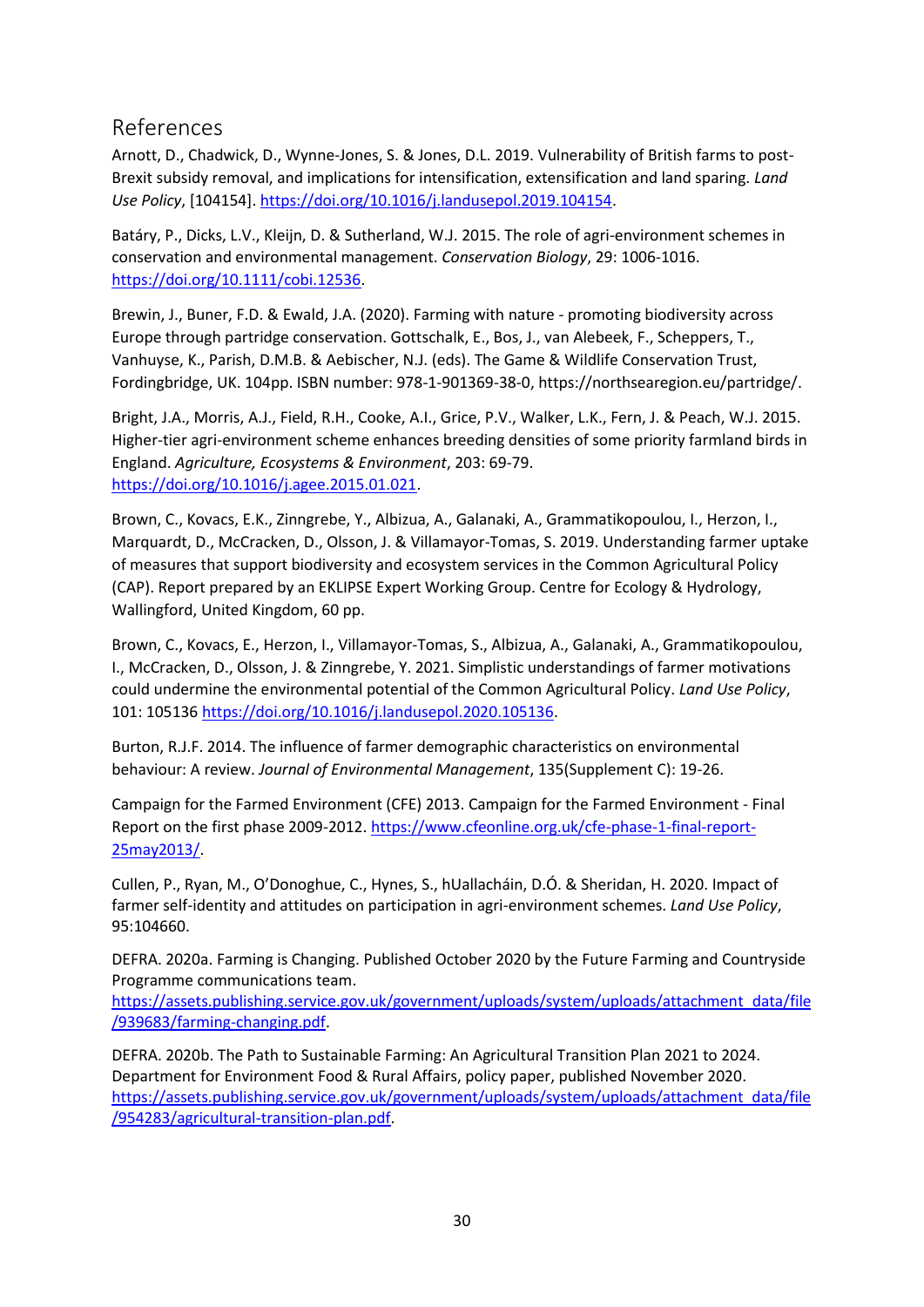## <span id="page-29-0"></span>References

Arnott, D., Chadwick, D., Wynne-Jones, S. & Jones, D.L. 2019. Vulnerability of British farms to post-Brexit subsidy removal, and implications for intensification, extensification and land sparing. *Land Use Policy*, [104154][. https://doi.org/10.1016/j.landusepol.2019.104154.](https://doi.org/10.1016/j.landusepol.2019.104154)

Batáry, P., Dicks, L.V., Kleijn, D. & Sutherland, W.J. 2015. The role of agri-environment schemes in conservation and environmental management. *Conservation Biology*, 29: 1006-1016. [https://doi.org/10.1111/cobi.12536.](https://doi.org/10.1111/cobi.12536)

Brewin, J., Buner, F.D. & Ewald, J.A. (2020). Farming with nature - promoting biodiversity across Europe through partridge conservation. Gottschalk, E., Bos, J., van Alebeek, F., Scheppers, T., Vanhuyse, K., Parish, D.M.B. & Aebischer, N.J. (eds). The Game & Wildlife Conservation Trust, Fordingbridge, UK. 104pp. ISBN number: 978-1-901369-38-0, https://northsearegion.eu/partridge/.

Bright, J.A., Morris, A.J., Field, R.H., Cooke, A.I., Grice, P.V., Walker, L.K., Fern, J. & Peach, W.J. 2015. Higher-tier agri-environment scheme enhances breeding densities of some priority farmland birds in England. *Agriculture, Ecosystems & Environment*, 203: 69-79. [https://doi.org/10.1016/j.agee.2015.01.021.](https://doi.org/10.1016/j.agee.2015.01.021)

Brown, C., Kovacs, E.K., Zinngrebe, Y., Albizua, A., Galanaki, A., Grammatikopoulou, I., Herzon, I., Marquardt, D., McCracken, D., Olsson, J. & Villamayor-Tomas, S. 2019. Understanding farmer uptake of measures that support biodiversity and ecosystem services in the Common Agricultural Policy (CAP). Report prepared by an EKLIPSE Expert Working Group. Centre for Ecology & Hydrology, Wallingford, United Kingdom, 60 pp.

Brown, C., Kovacs, E., Herzon, I., Villamayor-Tomas, S., Albizua, A., Galanaki, A., Grammatikopoulou, I., McCracken, D., Olsson, J. & Zinngrebe, Y. 2021. Simplistic understandings of farmer motivations could undermine the environmental potential of the Common Agricultural Policy. *Land Use Policy*, 101: 105136 [https://doi.org/10.1016/j.landusepol.2020.105136.](https://doi.org/10.1016/j.landusepol.2020.105136)

Burton, R.J.F. 2014. The influence of farmer demographic characteristics on environmental behaviour: A review. *Journal of Environmental Management*, 135(Supplement C): 19-26.

Campaign for the Farmed Environment (CFE) 2013. Campaign for the Farmed Environment - Final Report on the first phase 2009-2012. [https://www.cfeonline.org.uk/cfe-phase-1-final-report-](https://www.cfeonline.org.uk/cfe-phase-1-final-report-25may2013/)[25may2013/.](https://www.cfeonline.org.uk/cfe-phase-1-final-report-25may2013/)

Cullen, P., Ryan, M., O'Donoghue, C., Hynes, S., hUallacháin, D.Ó. & Sheridan, H. 2020. Impact of farmer self-identity and attitudes on participation in agri-environment schemes. *Land Use Policy*, 95:104660.

DEFRA. 2020a. Farming is Changing. Published October 2020 by the Future Farming and Countryside Programme communications team.

[https://assets.publishing.service.gov.uk/government/uploads/system/uploads/attachment\\_data/file](https://assets.publishing.service.gov.uk/government/uploads/system/uploads/attachment_data/file/939683/farming-changing.pdf) [/939683/farming-changing.pdf.](https://assets.publishing.service.gov.uk/government/uploads/system/uploads/attachment_data/file/939683/farming-changing.pdf)

DEFRA. 2020b. The Path to Sustainable Farming: An Agricultural Transition Plan 2021 to 2024. Department for Environment Food & Rural Affairs, policy paper, published November 2020. [https://assets.publishing.service.gov.uk/government/uploads/system/uploads/attachment\\_data/file](https://assets.publishing.service.gov.uk/government/uploads/system/uploads/attachment_data/file/954283/agricultural-transition-plan.pdf) [/954283/agricultural-transition-plan.pdf.](https://assets.publishing.service.gov.uk/government/uploads/system/uploads/attachment_data/file/954283/agricultural-transition-plan.pdf)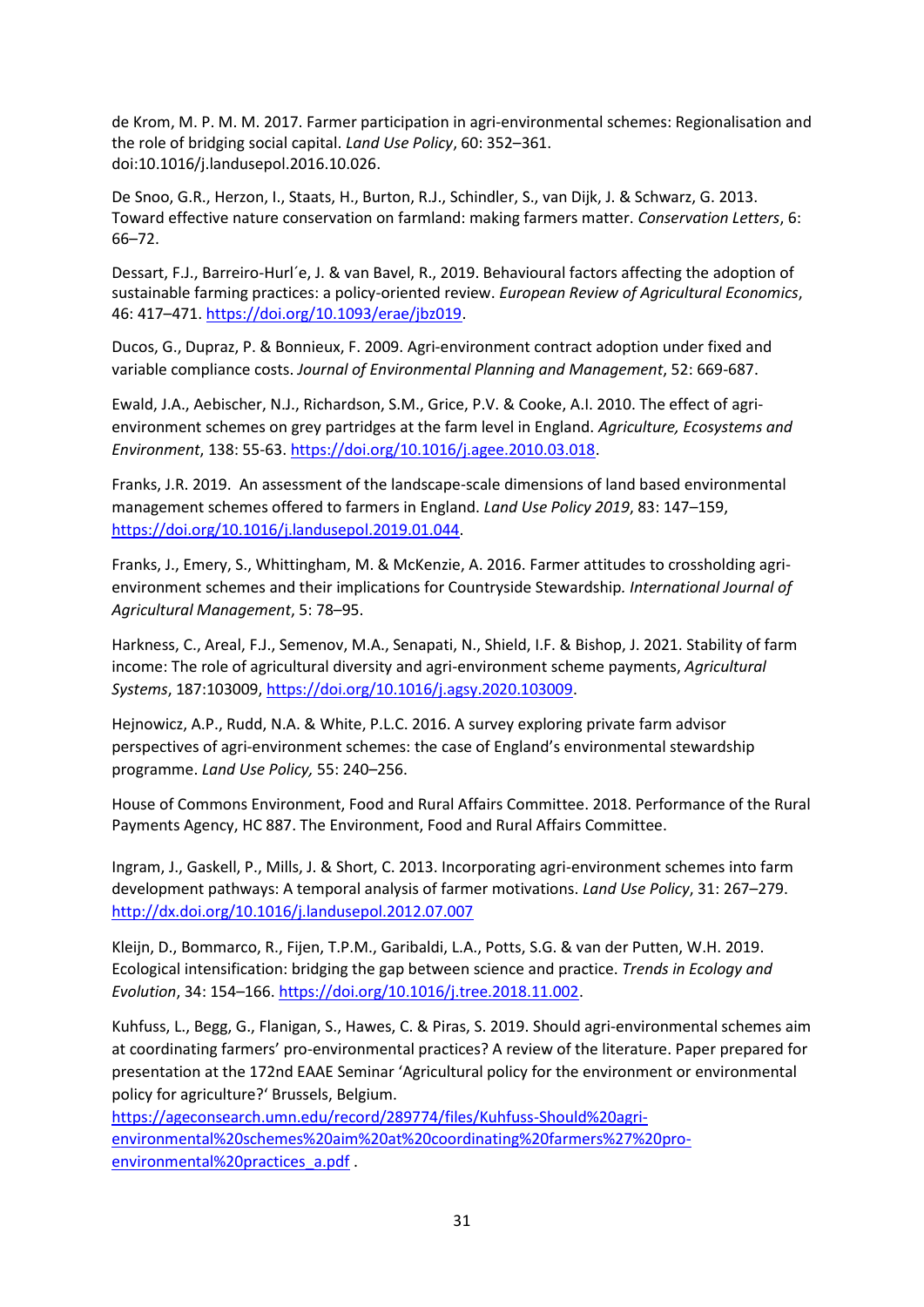de Krom, M. P. M. M. 2017. Farmer participation in agri-environmental schemes: Regionalisation and the role of bridging social capital. *Land Use Policy*, 60: 352–361. doi:10.1016/j.landusepol.2016.10.026.

De Snoo, G.R., Herzon, I., Staats, H., Burton, R.J., Schindler, S., van Dijk, J. & Schwarz, G. 2013. Toward effective nature conservation on farmland: making farmers matter. *Conservation Letters*, 6: 66–72.

Dessart, F.J., Barreiro-Hurl´e, J. & van Bavel, R., 2019. Behavioural factors affecting the adoption of sustainable farming practices: a policy-oriented review. *European Review of Agricultural Economics*, 46: 417–471. [https://doi.org/10.1093/erae/jbz019.](https://doi.org/10.1093/erae/jbz019)

Ducos, G., Dupraz, P. & Bonnieux, F. 2009. Agri-environment contract adoption under fixed and variable compliance costs. *Journal of Environmental Planning and Management*, 52: 669-687.

Ewald, J.A., Aebischer, N.J., Richardson, S.M., Grice, P.V. & Cooke, A.I. 2010. The effect of agrienvironment schemes on grey partridges at the farm level in England. *Agriculture, Ecosystems and Environment*, 138: 55-63. [https://doi.org/10.1016/j.agee.2010.03.018.](https://doi.org/10.1016/j.agee.2010.03.018)

Franks, J.R. 2019. An assessment of the landscape-scale dimensions of land based environmental management schemes offered to farmers in England. *Land Use Policy 2019*, 83: 147–159, [https://doi.org/10.1016/j.landusepol.2019.01.044.](https://doi.org/10.1016/j.landusepol.2019.01.044)

Franks, J., Emery, S., Whittingham, M. & McKenzie, A. 2016. Farmer attitudes to crossholding agrienvironment schemes and their implications for Countryside Stewardship*. International Journal of Agricultural Management*, 5: 78–95.

Harkness, C., Areal, F.J., Semenov, M.A., Senapati, N., Shield, I.F. & Bishop, J. 2021. Stability of farm income: The role of agricultural diversity and agri-environment scheme payments, *Agricultural Systems*, 187:103009, [https://doi.org/10.1016/j.agsy.2020.103009.](https://doi.org/10.1016/j.agsy.2020.103009)

Hejnowicz, A.P., Rudd, N.A. & White, P.L.C. 2016. A survey exploring private farm advisor perspectives of agri-environment schemes: the case of England's environmental stewardship programme. *Land Use Policy,* 55: 240–256.

House of Commons Environment, Food and Rural Affairs Committee. 2018. Performance of the Rural Payments Agency, HC 887. The Environment, Food and Rural Affairs Committee.

Ingram, J., Gaskell, P., Mills, J. & Short, C. 2013. Incorporating agri-environment schemes into farm development pathways: A temporal analysis of farmer motivations. *Land Use Policy*, 31: 267–279. <http://dx.doi.org/10.1016/j.landusepol.2012.07.007>

Kleijn, D., Bommarco, R., Fijen, T.P.M., Garibaldi, L.A., Potts, S.G. & van der Putten, W.H. 2019. Ecological intensification: bridging the gap between science and practice. *Trends in Ecology and Evolution*, 34: 154–166. [https://doi.org/10.1016/j.tree.2018.11.002.](https://doi.org/10.1016/j.tree.2018.11.002)

Kuhfuss, L., Begg, G., Flanigan, S., Hawes, C. & Piras, S. 2019. Should agri-environmental schemes aim at coordinating farmers' pro-environmental practices? A review of the literature. Paper prepared for presentation at the 172nd EAAE Seminar 'Agricultural policy for the environment or environmental policy for agriculture?' Brussels, Belgium.

[https://ageconsearch.umn.edu/record/289774/files/Kuhfuss-Should%20agri](https://ageconsearch.umn.edu/record/289774/files/Kuhfuss-Should%20agri-environmental%20schemes%20aim%20at%20coordinating%20farmers%27%20pro-environmental%20practices_a.pdf)[environmental%20schemes%20aim%20at%20coordinating%20farmers%27%20pro](https://ageconsearch.umn.edu/record/289774/files/Kuhfuss-Should%20agri-environmental%20schemes%20aim%20at%20coordinating%20farmers%27%20pro-environmental%20practices_a.pdf)[environmental%20practices\\_a.pdf](https://ageconsearch.umn.edu/record/289774/files/Kuhfuss-Should%20agri-environmental%20schemes%20aim%20at%20coordinating%20farmers%27%20pro-environmental%20practices_a.pdf) .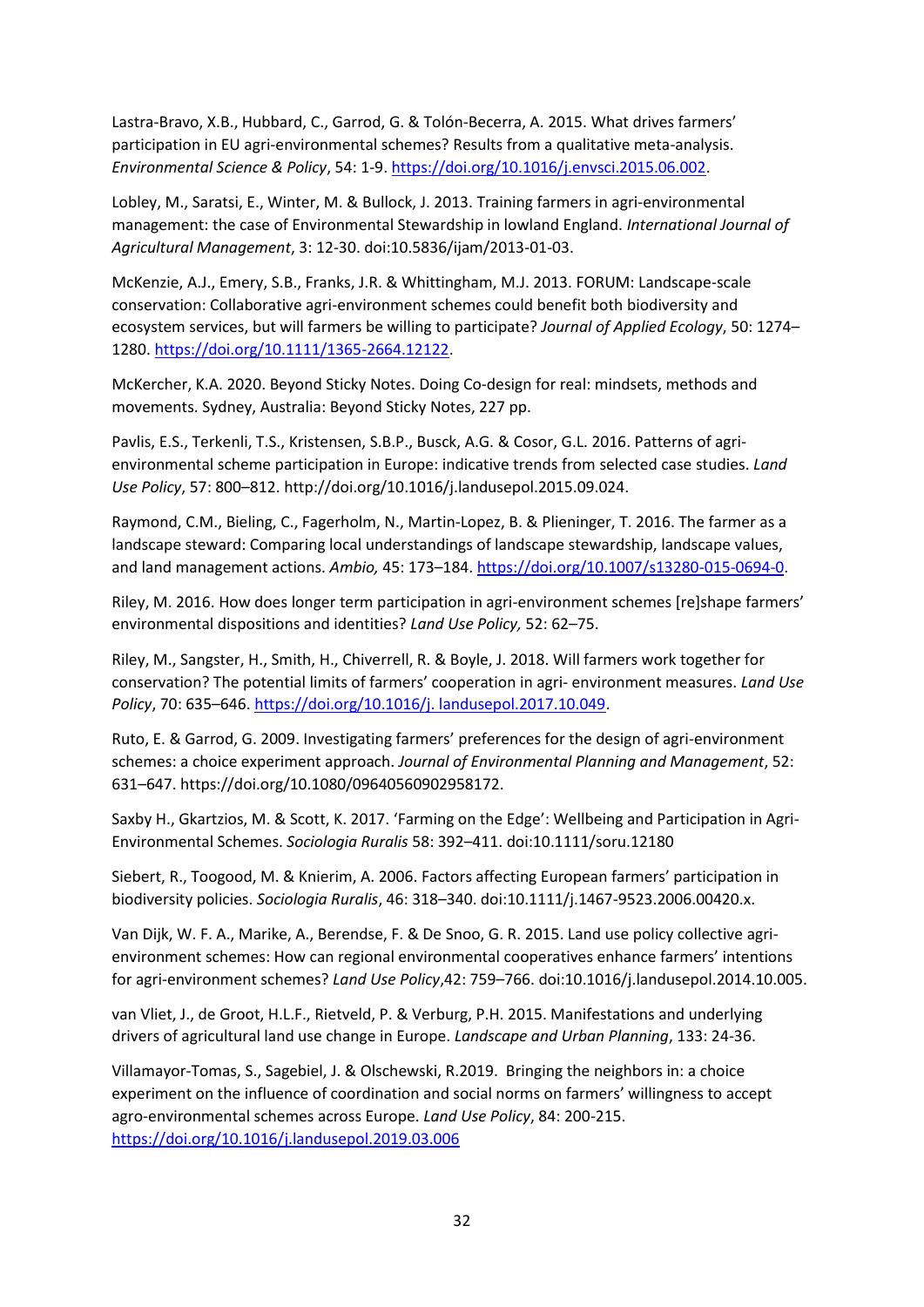Lastra-Bravo, X.B., Hubbard, C., Garrod, G. & Tolón-Becerra, A. 2015. What drives farmers' participation in EU agri-environmental schemes? Results from a qualitative meta-analysis. *Environmental Science & Policy*, 54: 1-9. [https://doi.org/10.1016/j.envsci.2015.06.002.](https://doi.org/10.1016/j.envsci.2015.06.002)

Lobley, M., Saratsi, E., Winter, M. & Bullock, J. 2013. Training farmers in agri-environmental management: the case of Environmental Stewardship in lowland England. *International Journal of Agricultural Management*, 3: 12-30. doi:10.5836/ijam/2013-01-03.

McKenzie, A.J., Emery, S.B., Franks, J.R. & Whittingham, M.J. 2013. FORUM: Landscape-scale conservation: Collaborative agri-environment schemes could benefit both biodiversity and ecosystem services, but will farmers be willing to participate? *Journal of Applied Ecology*, 50: 1274– 1280[. https://doi.org/10.1111/1365-2664.12122.](https://doi.org/10.1111/1365-2664.12122)

McKercher, K.A. 2020. Beyond Sticky Notes. Doing Co-design for real: mindsets, methods and movements. Sydney, Australia: Beyond Sticky Notes, 227 pp.

Pavlis, E.S., Terkenli, T.S., Kristensen, S.B.P., Busck, A.G. & Cosor, G.L. 2016. Patterns of agrienvironmental scheme participation in Europe: indicative trends from selected case studies. *Land Use Policy*, 57: 800–812. http://doi.org/10.1016/j.landusepol.2015.09.024.

Raymond, C.M., Bieling, C., Fagerholm, N., Martin-Lopez, B. & Plieninger, T. 2016. The farmer as a landscape steward: Comparing local understandings of landscape stewardship, landscape values, and land management actions. *Ambio,* 45: 173–184. [https://doi.org/10.1007/s13280-015-0694-0.](https://doi.org/10.1007/s13280-015-0694-0)

Riley, M. 2016. How does longer term participation in agri-environment schemes [re]shape farmers' environmental dispositions and identities? *Land Use Policy,* 52: 62–75.

Riley, M., Sangster, H., Smith, H., Chiverrell, R. & Boyle, J. 2018. Will farmers work together for conservation? The potential limits of farmers' cooperation in agri- environment measures. *Land Use Policy*, 70: 635–646. [https://doi.org/10.1016/j. landusepol.2017.10.049.](https://doi.org/10.1016/j.%20landusepol.2017.10.049)

Ruto, E. & Garrod, G. 2009. Investigating farmers' preferences for the design of agri-environment schemes: a choice experiment approach. *Journal of Environmental Planning and Management*, 52: 631–647. https://doi.org/10.1080/09640560902958172.

Saxby H., Gkartzios, M. & Scott, K. 2017. 'Farming on the Edge': Wellbeing and Participation in Agri-Environmental Schemes. *Sociologia Ruralis* 58: 392–411. doi:10.1111/soru.12180

Siebert, R., Toogood, M. & Knierim, A. 2006. Factors affecting European farmers' participation in biodiversity policies. *Sociologia Ruralis*, 46: 318–340. doi:10.1111/j.1467-9523.2006.00420.x.

Van Dijk, W. F. A., Marike, A., Berendse, F. & De Snoo, G. R. 2015. Land use policy collective agrienvironment schemes: How can regional environmental cooperatives enhance farmers' intentions for agri-environment schemes? *Land Use Policy*,42: 759–766. doi:10.1016/j.landusepol.2014.10.005.

van Vliet, J., de Groot, H.L.F., Rietveld, P. & Verburg, P.H. 2015. Manifestations and underlying drivers of agricultural land use change in Europe. *Landscape and Urban Planning*, 133: 24-36.

Villamayor-Tomas, S., Sagebiel, J. & Olschewski, R.2019. Bringing the neighbors in: a choice experiment on the influence of coordination and social norms on farmers' willingness to accept agro-environmental schemes across Europe. *Land Use Policy*, 84: 200-215. <https://doi.org/10.1016/j.landusepol.2019.03.006>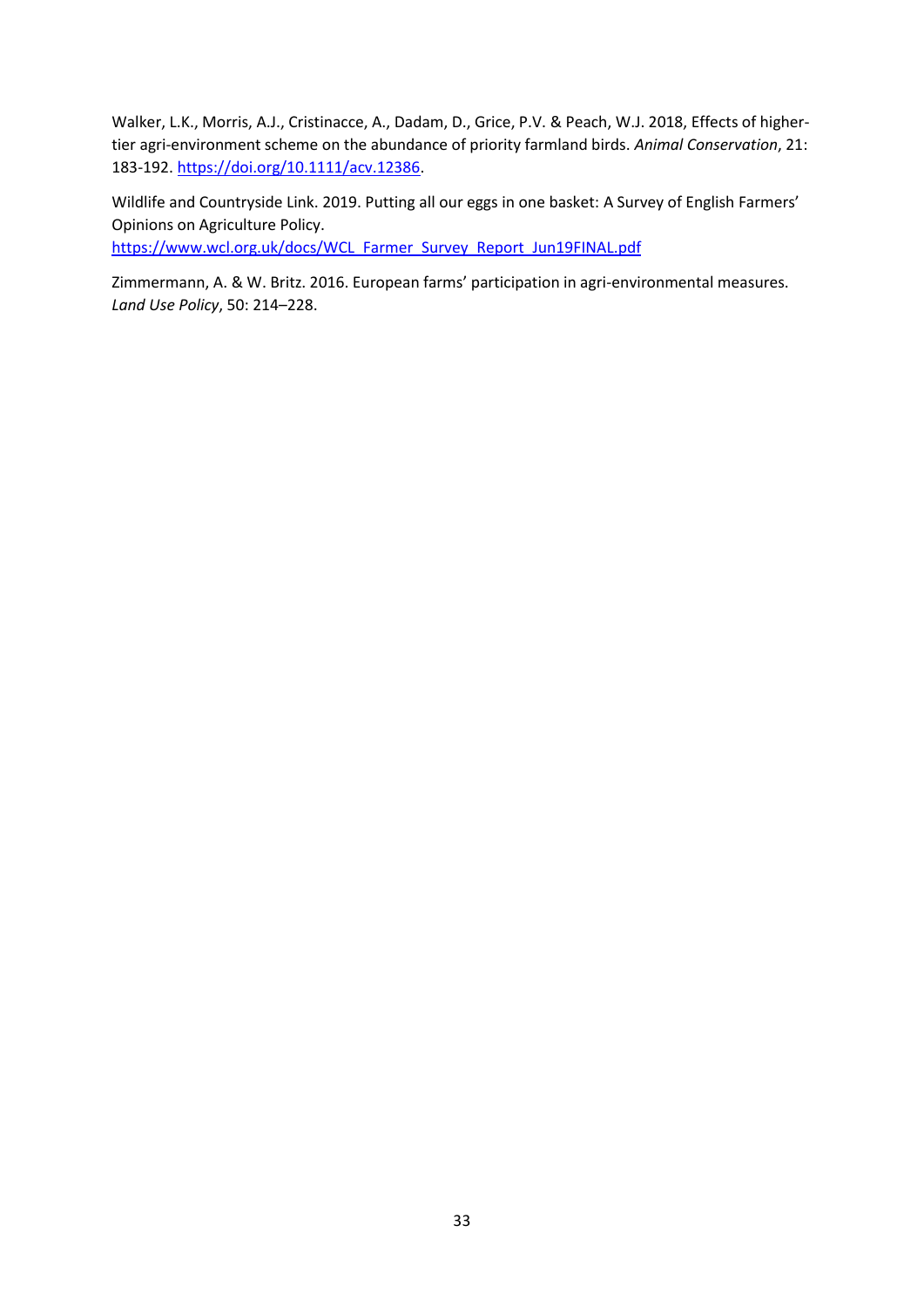Walker, L.K., Morris, A.J., Cristinacce, A., Dadam, D., Grice, P.V. & Peach, W.J. 2018, Effects of higher‐ tier agri‐environment scheme on the abundance of priority farmland birds. *Animal Conservation*, 21: 183-192. [https://doi.org/10.1111/acv.12386.](https://doi.org/10.1111/acv.12386)

Wildlife and Countryside Link. 2019. Putting all our eggs in one basket: A Survey of English Farmers' Opinions on Agriculture Policy. [https://www.wcl.org.uk/docs/WCL\\_Farmer\\_Survey\\_Report\\_Jun19FINAL.pdf](https://www.wcl.org.uk/docs/WCL_Farmer_Survey_Report_Jun19FINAL.pdf)

Zimmermann, A. & W. Britz. 2016. European farms' participation in agri-environmental measures. *Land Use Policy*, 50: 214–228.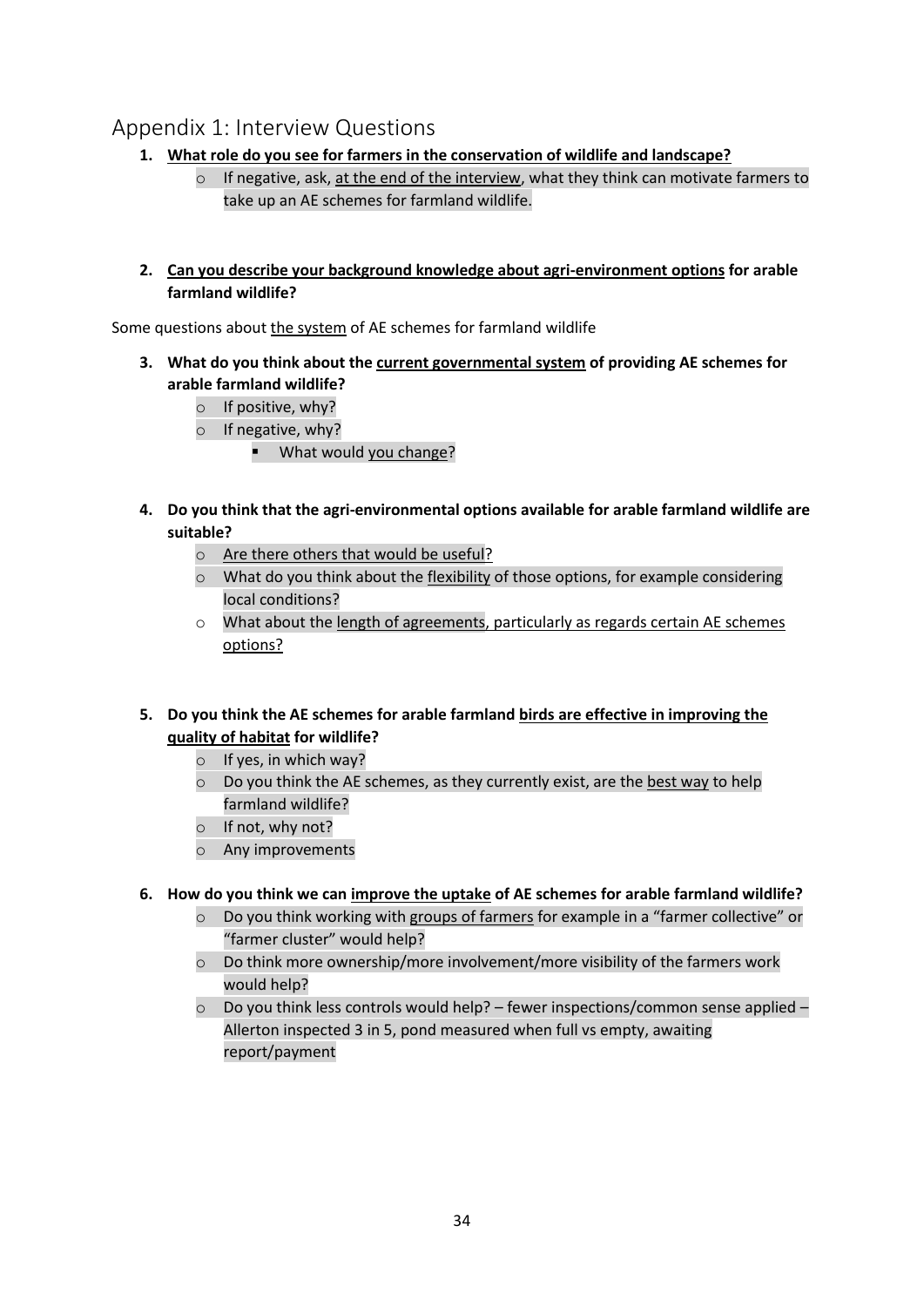## <span id="page-33-0"></span>Appendix 1: Interview Questions

- **1. What role do you see for farmers in the conservation of wildlife and landscape?**
	- $\circ$  If negative, ask, at the end of the interview, what they think can motivate farmers to take up an AE schemes for farmland wildlife.
- **2. Can you describe your background knowledge about agri-environment options for arable farmland wildlife?**

Some questions about the system of AE schemes for farmland wildlife

- **3. What do you think about the current governmental system of providing AE schemes for arable farmland wildlife?** 
	- o If positive, why?
	- o If negative, why?
		- What would you change?
- **4. Do you think that the agri-environmental options available for arable farmland wildlife are suitable?**
	- o Are there others that would be useful?
	- $\circ$  What do you think about the flexibility of those options, for example considering local conditions?
	- $\circ$  What about the length of agreements, particularly as regards certain AE schemes options?
- **5. Do you think the AE schemes for arable farmland birds are effective in improving the quality of habitat for wildlife?**
	- $\circ$  If yes, in which way?
	- o Do you think the AE schemes, as they currently exist, are the best way to help farmland wildlife?
	- o If not, why not?
	- o Any improvements
- **6. How do you think we can improve the uptake of AE schemes for arable farmland wildlife?**
	- $\circ$  Do you think working with groups of farmers for example in a "farmer collective" or "farmer cluster" would help?
	- $\circ$  Do think more ownership/more involvement/more visibility of the farmers work would help?
	- $\circ$  Do you think less controls would help? fewer inspections/common sense applied Allerton inspected 3 in 5, pond measured when full vs empty, awaiting report/payment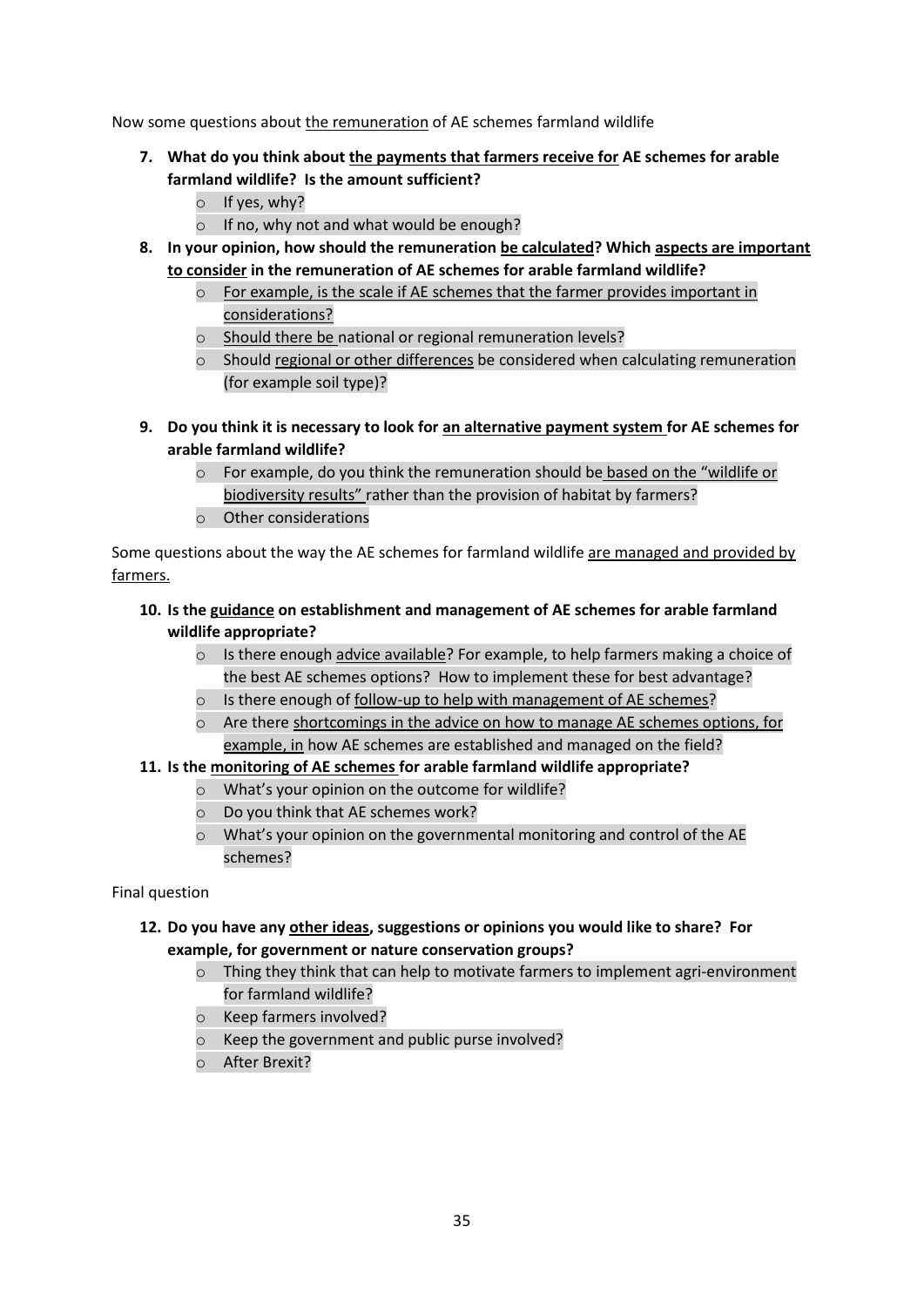Now some questions about the remuneration of AE schemes farmland wildlife

- **7. What do you think about the payments that farmers receive for AE schemes for arable farmland wildlife? Is the amount sufficient?**
	- $\circ$  If yes, why?
	- o If no, why not and what would be enough?
- **8. In your opinion, how should the remuneration be calculated? Which aspects are important to consider in the remuneration of AE schemes for arable farmland wildlife?**
	- For example, is the scale if AE schemes that the farmer provides important in considerations?
	- o Should there be national or regional remuneration levels?
	- $\circ$  Should regional or other differences be considered when calculating remuneration (for example soil type)?
- **9. Do you think it is necessary to look for an alternative payment system for AE schemes for arable farmland wildlife?** 
	- $\circ$  For example, do you think the remuneration should be based on the "wildlife or biodiversity results" rather than the provision of habitat by farmers?
	- o Other considerations

Some questions about the way the AE schemes for farmland wildlife are managed and provided by farmers.

#### **10. Is the guidance on establishment and management of AE schemes for arable farmland wildlife appropriate?**

- $\circ$  Is there enough advice available? For example, to help farmers making a choice of the best AE schemes options? How to implement these for best advantage?
- o Is there enough of follow-up to help with management of AE schemes?
- $\circ$  Are there shortcomings in the advice on how to manage AE schemes options, for example, in how AE schemes are established and managed on the field?
- **11. Is the monitoring of AE schemes for arable farmland wildlife appropriate?**
	- o What's your opinion on the outcome for wildlife?
	- o Do you think that AE schemes work?
	- o What's your opinion on the governmental monitoring and control of the AE schemes?

#### Final question

#### **12. Do you have any other ideas, suggestions or opinions you would like to share? For example, for government or nature conservation groups?**

- $\circ$  Thing they think that can help to motivate farmers to implement agri-environment for farmland wildlife?
- o Keep farmers involved?
- o Keep the government and public purse involved?
- o After Brexit?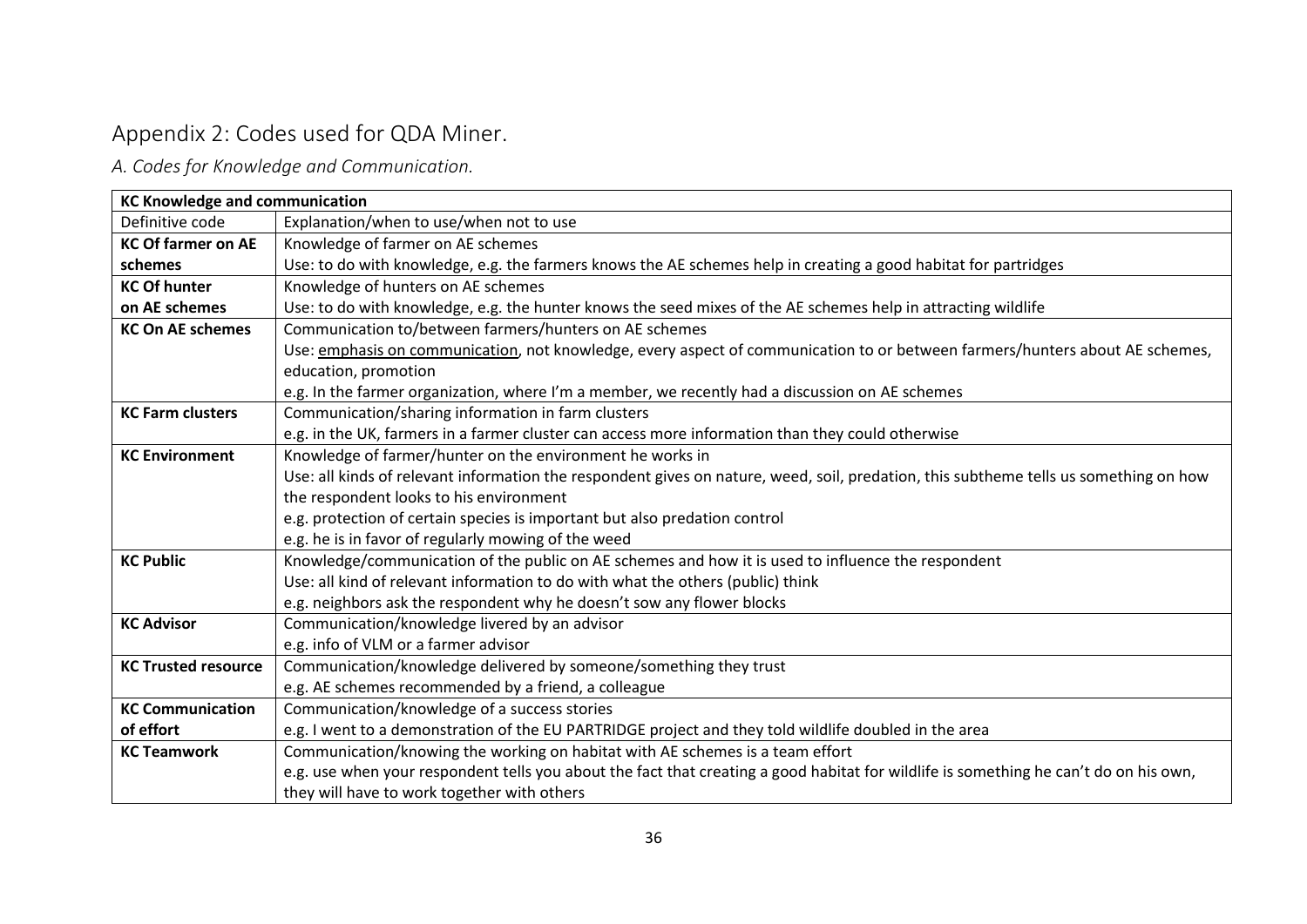# Appendix 2: Codes used for QDA Miner.

*A. Codes for Knowledge and Communication.*

<span id="page-35-1"></span><span id="page-35-0"></span>

| <b>KC Knowledge and communication</b> |                                                                                                                                       |  |
|---------------------------------------|---------------------------------------------------------------------------------------------------------------------------------------|--|
| Definitive code                       | Explanation/when to use/when not to use                                                                                               |  |
| <b>KC Of farmer on AE</b>             | Knowledge of farmer on AE schemes                                                                                                     |  |
| schemes                               | Use: to do with knowledge, e.g. the farmers knows the AE schemes help in creating a good habitat for partridges                       |  |
| <b>KC Of hunter</b>                   | Knowledge of hunters on AE schemes                                                                                                    |  |
| on AE schemes                         | Use: to do with knowledge, e.g. the hunter knows the seed mixes of the AE schemes help in attracting wildlife                         |  |
| <b>KC On AE schemes</b>               | Communication to/between farmers/hunters on AE schemes                                                                                |  |
|                                       | Use: emphasis on communication, not knowledge, every aspect of communication to or between farmers/hunters about AE schemes,          |  |
|                                       | education, promotion                                                                                                                  |  |
|                                       | e.g. In the farmer organization, where I'm a member, we recently had a discussion on AE schemes                                       |  |
| <b>KC Farm clusters</b>               | Communication/sharing information in farm clusters                                                                                    |  |
|                                       | e.g. in the UK, farmers in a farmer cluster can access more information than they could otherwise                                     |  |
| <b>KC Environment</b>                 | Knowledge of farmer/hunter on the environment he works in                                                                             |  |
|                                       | Use: all kinds of relevant information the respondent gives on nature, weed, soil, predation, this subtheme tells us something on how |  |
|                                       | the respondent looks to his environment                                                                                               |  |
|                                       | e.g. protection of certain species is important but also predation control                                                            |  |
|                                       | e.g. he is in favor of regularly mowing of the weed                                                                                   |  |
| <b>KC Public</b>                      | Knowledge/communication of the public on AE schemes and how it is used to influence the respondent                                    |  |
|                                       | Use: all kind of relevant information to do with what the others (public) think                                                       |  |
|                                       | e.g. neighbors ask the respondent why he doesn't sow any flower blocks                                                                |  |
| <b>KC Advisor</b>                     | Communication/knowledge livered by an advisor                                                                                         |  |
|                                       | e.g. info of VLM or a farmer advisor                                                                                                  |  |
| <b>KC Trusted resource</b>            | Communication/knowledge delivered by someone/something they trust                                                                     |  |
|                                       | e.g. AE schemes recommended by a friend, a colleague                                                                                  |  |
| <b>KC Communication</b>               | Communication/knowledge of a success stories                                                                                          |  |
| of effort                             | e.g. I went to a demonstration of the EU PARTRIDGE project and they told wildlife doubled in the area                                 |  |
| <b>KC Teamwork</b>                    | Communication/knowing the working on habitat with AE schemes is a team effort                                                         |  |
|                                       | e.g. use when your respondent tells you about the fact that creating a good habitat for wildlife is something he can't do on his own, |  |
|                                       | they will have to work together with others                                                                                           |  |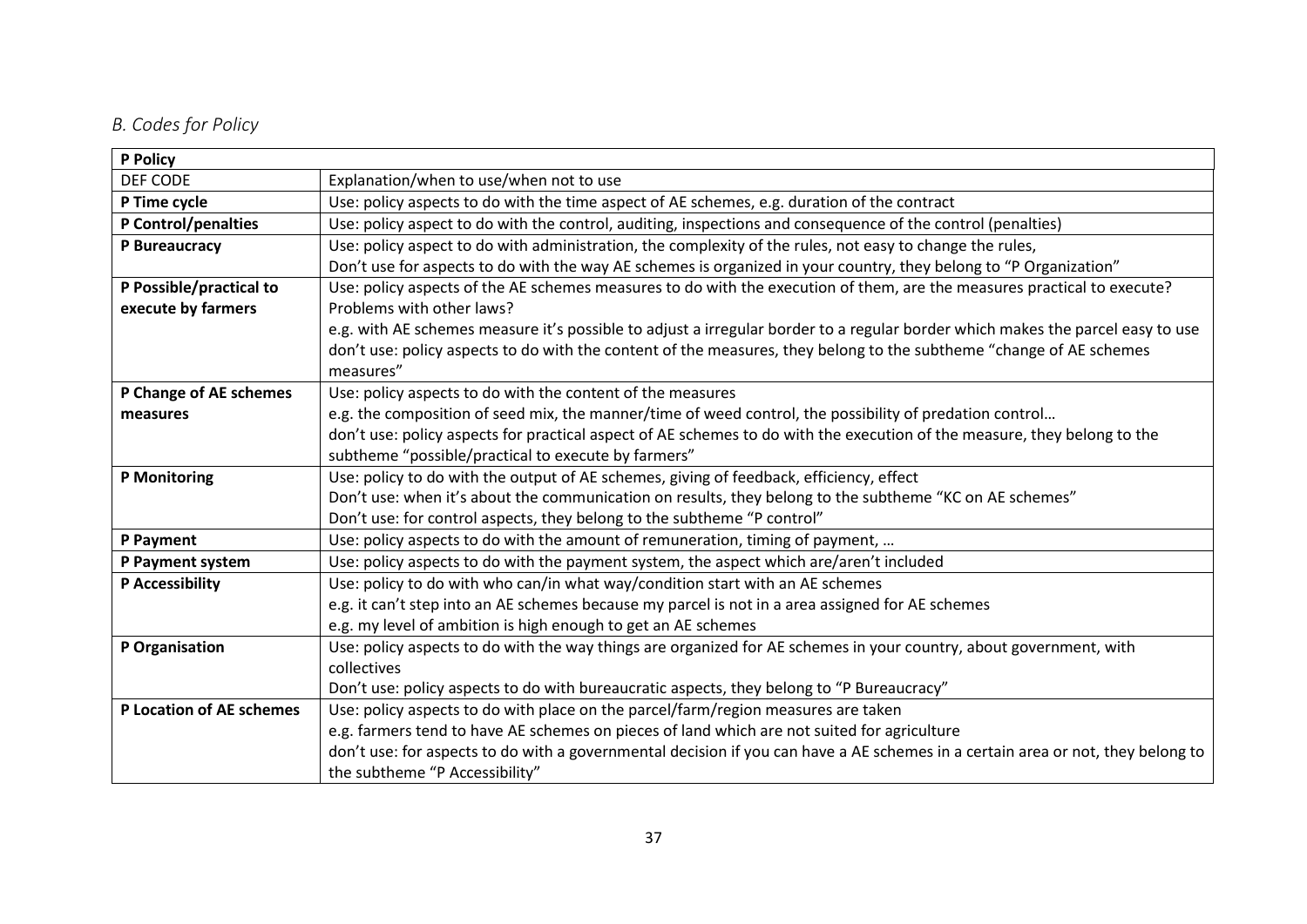## *B. Codes for Policy*

<span id="page-36-0"></span>

| P Policy                 |                                                                                                                                 |  |
|--------------------------|---------------------------------------------------------------------------------------------------------------------------------|--|
| DEF CODE                 | Explanation/when to use/when not to use                                                                                         |  |
| P Time cycle             | Use: policy aspects to do with the time aspect of AE schemes, e.g. duration of the contract                                     |  |
| P Control/penalties      | Use: policy aspect to do with the control, auditing, inspections and consequence of the control (penalties)                     |  |
| P Bureaucracy            | Use: policy aspect to do with administration, the complexity of the rules, not easy to change the rules,                        |  |
|                          | Don't use for aspects to do with the way AE schemes is organized in your country, they belong to "P Organization"               |  |
| P Possible/practical to  | Use: policy aspects of the AE schemes measures to do with the execution of them, are the measures practical to execute?         |  |
| execute by farmers       | Problems with other laws?                                                                                                       |  |
|                          | e.g. with AE schemes measure it's possible to adjust a irregular border to a regular border which makes the parcel easy to use  |  |
|                          | don't use: policy aspects to do with the content of the measures, they belong to the subtheme "change of AE schemes             |  |
|                          | measures"                                                                                                                       |  |
| P Change of AE schemes   | Use: policy aspects to do with the content of the measures                                                                      |  |
| measures                 | e.g. the composition of seed mix, the manner/time of weed control, the possibility of predation control                         |  |
|                          | don't use: policy aspects for practical aspect of AE schemes to do with the execution of the measure, they belong to the        |  |
|                          | subtheme "possible/practical to execute by farmers"                                                                             |  |
| <b>P</b> Monitoring      | Use: policy to do with the output of AE schemes, giving of feedback, efficiency, effect                                         |  |
|                          | Don't use: when it's about the communication on results, they belong to the subtheme "KC on AE schemes"                         |  |
|                          | Don't use: for control aspects, they belong to the subtheme "P control"                                                         |  |
| P Payment                | Use: policy aspects to do with the amount of remuneration, timing of payment,                                                   |  |
| P Payment system         | Use: policy aspects to do with the payment system, the aspect which are/aren't included                                         |  |
| P Accessibility          | Use: policy to do with who can/in what way/condition start with an AE schemes                                                   |  |
|                          | e.g. it can't step into an AE schemes because my parcel is not in a area assigned for AE schemes                                |  |
|                          | e.g. my level of ambition is high enough to get an AE schemes                                                                   |  |
| P Organisation           | Use: policy aspects to do with the way things are organized for AE schemes in your country, about government, with              |  |
|                          | collectives                                                                                                                     |  |
|                          | Don't use: policy aspects to do with bureaucratic aspects, they belong to "P Bureaucracy"                                       |  |
| P Location of AE schemes | Use: policy aspects to do with place on the parcel/farm/region measures are taken                                               |  |
|                          | e.g. farmers tend to have AE schemes on pieces of land which are not suited for agriculture                                     |  |
|                          | don't use: for aspects to do with a governmental decision if you can have a AE schemes in a certain area or not, they belong to |  |
|                          | the subtheme "P Accessibility"                                                                                                  |  |